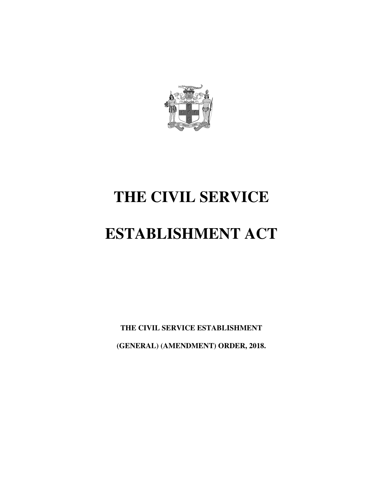

## **THE CIVIL SERVICE**

# **ESTABLISHMENT ACT**

**THE CIVIL SERVICE ESTABLISHMENT (GENERAL) (AMENDMENT) ORDER, 2018.**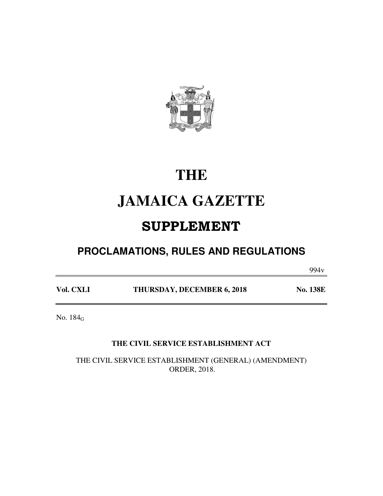

## **THE**

## **JAMAICA GAZETTE**

## SUPPLEMENT

### **PROCLAMATIONS, RULES AND REGULATIONS**

 $994v$ 

Vol. CXLI **THURSDAY, DECEMBER 6, 2018** No. 138E

No. 184<sup>G</sup>

#### **THE CIVIL SERVICE ESTABLISHMENT ACT**

THE CIVIL SERVICE ESTABLISHMENT (GENERAL) (AMENDMENT) ORDER, 2018.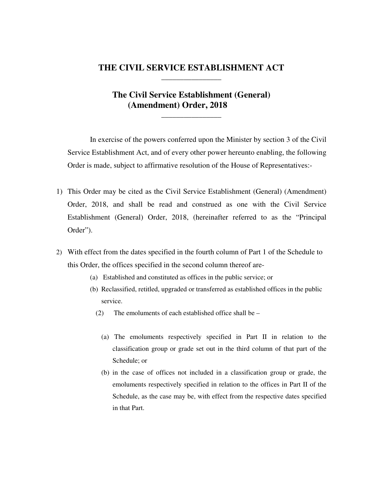#### **THE CIVIL SERVICE ESTABLISHMENT ACT \_\_\_\_\_\_\_\_\_\_\_\_\_\_\_\_**

#### **The Civil Service Establishment (General) (Amendment) Order, 2018**

**\_\_\_\_\_\_\_\_\_\_\_\_\_\_\_\_** 

In exercise of the powers conferred upon the Minister by section 3 of the Civil Service Establishment Act, and of every other power hereunto enabling, the following Order is made, subject to affirmative resolution of the House of Representatives:-

- 1) This Order may be cited as the Civil Service Establishment (General) (Amendment) Order, 2018, and shall be read and construed as one with the Civil Service Establishment (General) Order, 2018, (hereinafter referred to as the "Principal Order").
- 2) With effect from the dates specified in the fourth column of Part 1 of the Schedule to this Order, the offices specified in the second column thereof are-
	- (a) Established and constituted as offices in the public service; or
	- (b) Reclassified, retitled, upgraded or transferred as established offices in the public service.
		- (2) The emoluments of each established office shall be
			- (a) The emoluments respectively specified in Part II in relation to the classification group or grade set out in the third column of that part of the Schedule; or
			- (b) in the case of offices not included in a classification group or grade, the emoluments respectively specified in relation to the offices in Part II of the Schedule, as the case may be, with effect from the respective dates specified in that Part.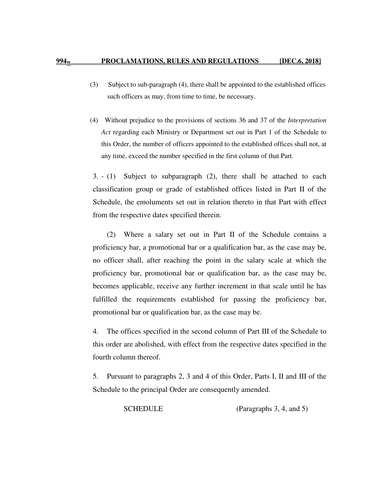- (3) Subject to sub-paragraph (4), there shall be appointed to the established offices such officers as may, from time to time, be necessary.
- (4) Without prejudice to the provisions of sections 36 and 37 of the *Interpretation Act* regarding each Ministry or Department set out in Part 1 of the Schedule to this Order, the number of officers appointed to the established offices shall not, at any time, exceed the number specified in the first column of that Part.

3. - (1) Subject to subparagraph (2), there shall be attached to each classification group or grade of established offices listed in Part II of the Schedule, the emoluments set out in relation thereto in that Part with effect from the respective dates specified therein.

(2) Where a salary set out in Part II of the Schedule contains a proficiency bar, a promotional bar or a qualification bar, as the case may be, no officer shall, after reaching the point in the salary scale at which the proficiency bar, promotional bar or qualification bar, as the case may be, becomes applicable, receive any further increment in that scale until he has fulfilled the requirements established for passing the proficiency bar, promotional bar or qualification bar, as the case may be.

4. The offices specified in the second column of Part III of the Schedule to this order are abolished, with effect from the respective dates specified in the fourth column thereof.

5. Pursuant to paragraphs 2, 3 and 4 of this Order, Parts I, II and III of the Schedule to the principal Order are consequently amended.

SCHEDULE (Paragraphs 3, 4, and 5)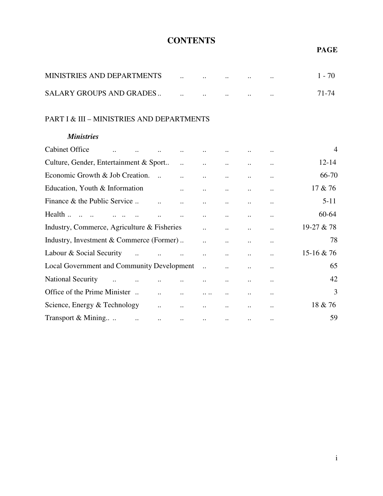### **CONTENTS**

#### **PAGE**

| MINISTRIES AND DEPARTMENTS      | $\cdot$ . | $\cdots$  |           | $1 - 70$ |
|---------------------------------|-----------|-----------|-----------|----------|
| <b>SALARY GROUPS AND GRADES</b> |           | $\cdot$ . | $\cdot$ . | 71-74    |

#### PART I & III – MINISTRIES AND DEPARTMENTS

#### *Ministries*

| <b>Cabinet Office</b>                                                                        |                                            | $\ddot{\phantom{a}}$ |                           |                      |           |                      | $\overline{4}$ |
|----------------------------------------------------------------------------------------------|--------------------------------------------|----------------------|---------------------------|----------------------|-----------|----------------------|----------------|
| Culture, Gender, Entertainment & Sport                                                       |                                            |                      | $\ddots$                  | $\ddots$             |           | $\ddot{\phantom{a}}$ | $12 - 14$      |
| Economic Growth & Job Creation.                                                              |                                            |                      | $\dddot{\phantom{0}}$     | $\ddot{\phantom{a}}$ |           |                      | 66-70          |
| Education, Youth & Information                                                               | $\mathbf{r} = \mathbf{r}$                  |                      | $\ddotsc$                 | $\ddotsc$            |           | $\ddotsc$            | 17 & 76        |
| Finance & the Public Service                                                                 |                                            | $\ddot{\phantom{a}}$ | $\ddotsc$                 | $\ddotsc$            | $\ldots$  | $\ddotsc$            | $5 - 11$       |
| Health                                                                                       | $\ddots$                                   |                      | $\ddots$                  | $\ddot{\phantom{a}}$ |           | $\ddotsc$            | 60-64          |
| Industry, Commerce, Agriculture & Fisheries                                                  |                                            |                      | $\dddot{\phantom{0}}$     | $\ddot{\phantom{a}}$ | $\ddotsc$ | $\ddotsc$            | 19-27 & 78     |
| Industry, Investment & Commerce (Former)                                                     |                                            |                      |                           |                      |           |                      | 78             |
| Labour & Social Security<br>$\mathbf{a}$ , and $\mathbf{a}$ , and $\mathbf{a}$               |                                            | $\cdot$ .            | $\ddot{\phantom{a}}$      | $\ddot{\phantom{a}}$ | $\ddotsc$ | $\ddotsc$            | 15-16 & 76     |
| <b>Local Government and Community Development</b>                                            |                                            |                      | $\ddots$                  | $\ddots$             |           |                      | 65             |
| <b>National Security</b><br>$\mathbf{u} = \mathbf{u} \times \mathbf{u}$ , where $\mathbf{u}$ | $\cdot$ .<br>$\dddot{\phantom{0}}$         |                      | $\ddots$                  | $\ldots$             |           |                      | 42             |
| Office of the Prime Minister                                                                 | $\ddotsc$<br>$\mathbf{r}$ and $\mathbf{r}$ |                      | $\cdots$                  | $\ddot{\phantom{a}}$ | $\ldots$  | $\ddotsc$            | 3              |
| Science, Energy & Technology                                                                 | $\ddotsc$                                  | $\ddots$             | $\ddotsc$                 | $\ddot{\phantom{a}}$ |           | $\ddotsc$            | 18 & 76        |
| Transport $\&$ Mining $\qquad \qquad \ldots$                                                 | $\ddotsc$<br>$\sim$ $\sim$                 |                      | $\sim$ $\sim$<br>$\ddots$ |                      |           | $\ldots$             | 59             |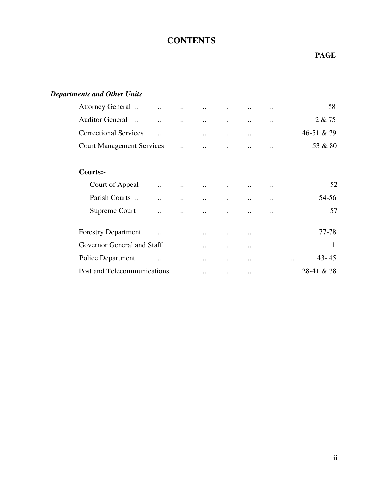### **CONTENTS**

#### **PAGE**

#### *Departments and Other Units*

| Attorney General                                   |                           |                           |               |             |                      | 58                     |
|----------------------------------------------------|---------------------------|---------------------------|---------------|-------------|----------------------|------------------------|
| <b>Auditor General</b><br>                         | $\ddot{\phantom{0}}$      | $\ddotsc$                 | $\ddotsc$     | $\cdot$ .   | $\ddotsc$            | 2 & 75                 |
| <b>Correctional Services</b>                       | $\ddot{\phantom{0}}$      |                           |               |             | $\ddotsc$            | 46-51 & 79             |
| <b>Court Management Services</b>                   | $\ddotsc$                 | $\ddot{\phantom{0}}$      |               |             | $\ddotsc$            | 53 & 80                |
| Courts:-                                           |                           |                           |               |             |                      |                        |
| Court of Appeal<br>$\ddot{\phantom{0}}$            |                           |                           |               |             | $\cdot$ .            | 52                     |
| Parish Courts<br>                                  | $\ddot{\phantom{0}}$      |                           |               |             | $\cdot$ .            | 54-56                  |
| Supreme Court                                      |                           |                           |               |             |                      | 57                     |
| <b>Forestry Department</b><br>$\ddot{\phantom{a}}$ | $\ddotsc$                 | $\ddot{\phantom{0}}\cdot$ |               |             | $\cdot$ .            | 77-78                  |
| Governor General and Staff                         | $\ddot{\phantom{0}}$      | $\ddotsc$                 | $\cdot \cdot$ | $\bullet$ . | $\bullet$ .          | 1                      |
| Police Department                                  | $\ddot{\phantom{0}}\cdot$ | $\cdot$                   | $\cdot$       |             | $\ddot{\phantom{0}}$ | $43 - 45$<br>$\ddotsc$ |
| Post and Telecommunications                        | $\ddotsc$                 | $\cdot$ .                 | $\cdot \cdot$ | $\ddotsc$   | $\cdot$ .            | 28-41 & 78             |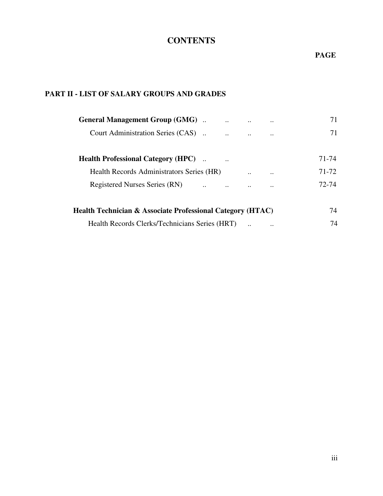### **CONTENTS**

#### **PAGE**

#### **PART II - LIST OF SALARY GROUPS AND GRADES**

| <b>General Management Group (GMG)</b>                                 | 71                 |
|-----------------------------------------------------------------------|--------------------|
| Court Administration Series (CAS)<br>$\cdot$ .                        | 71<br>             |
| <b>Health Professional Category (HPC)</b><br>$\ddot{\phantom{a}}$     | 71-74              |
| Health Records Administrators Series (HR)<br>$\cdot$ .                | 71-72<br>$\ddotsc$ |
| <b>Registered Nurses Series (RN)</b><br>$\ddotsc$<br>$\ddotsc$<br>    | 72-74<br>$\ddotsc$ |
| <b>Health Technician &amp; Associate Professional Category (HTAC)</b> | 74                 |
| Health Records Clerks/Technicians Series (HRT)                        | 74<br>$\ddotsc$    |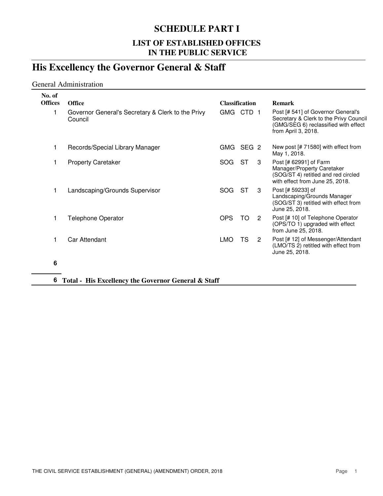### **SCHEDULE PART I**

#### **LIST OF ESTABLISHED OFFICES IN THE PUBLIC SERVICE**

### **His Excellency the Governor General & Staff**

#### General Administration

| No. of         |                                                              |                       |                  |   |                                                                                                                                             |
|----------------|--------------------------------------------------------------|-----------------------|------------------|---|---------------------------------------------------------------------------------------------------------------------------------------------|
| <b>Offices</b> | <b>Office</b>                                                | <b>Classification</b> |                  |   | <b>Remark</b>                                                                                                                               |
| 1              | Governor General's Secretary & Clerk to the Privy<br>Council | GMG CTD 1             |                  |   | Post [# 541] of Governor General's<br>Secretary & Clerk to the Privy Council<br>(GMG/SEG 6) reclassified with effect<br>from April 3, 2018. |
| 1              | Records/Special Library Manager                              | GMG.                  | SEG <sub>2</sub> |   | New post [# 71580] with effect from<br>May 1, 2018.                                                                                         |
| 1              | <b>Property Caretaker</b>                                    | SOG.                  | <b>ST</b>        | 3 | Post [# 62991] of Farm<br>Manager/Property Caretaker<br>(SOG/ST 4) retitled and red circled<br>with effect from June 25, 2018.              |
| 1              | Landscaping/Grounds Supervisor                               | SOG.                  | ST               | 3 | Post [# 59233] of<br>Landscaping/Grounds Manager<br>(SOG/ST 3) retitled with effect from<br>June 25, 2018.                                  |
| 1              | <b>Telephone Operator</b>                                    | <b>OPS</b>            | TO.              | 2 | Post [# 10] of Telephone Operator<br>(OPS/TO 1) upgraded with effect<br>from June 25, 2018.                                                 |
| 1              | Car Attendant                                                | <b>LMO</b>            | TS               | 2 | Post [# 12] of Messenger/Attendant<br>(LMO/TS 2) retitled with effect from<br>June 25, 2018.                                                |
| c              |                                                              |                       |                  |   |                                                                                                                                             |

**6**

**6 Total - His Excellency the Governor General & Staff**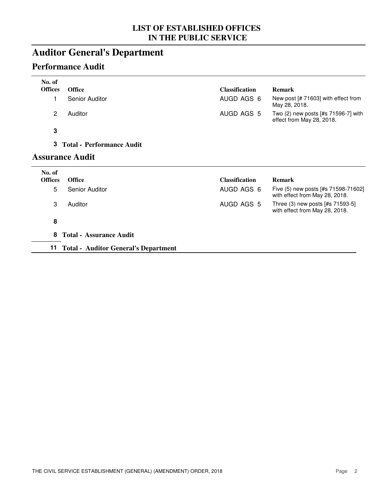### **Auditor General's Department**

### **Performance Audit**

| No. of         |                                             |                       |                                                                       |
|----------------|---------------------------------------------|-----------------------|-----------------------------------------------------------------------|
| <b>Offices</b> | <b>Office</b>                               | <b>Classification</b> | <b>Remark</b>                                                         |
| 1              | <b>Senior Auditor</b>                       | AUGD AGS 6            | New post [# 71603] with effect from<br>May 28, 2018.                  |
| $\overline{c}$ | Auditor                                     | AUGD AGS 5            | Two (2) new posts [#s 71596-7] with<br>effect from May 28, 2018.      |
| $\mathbf 3$    |                                             |                       |                                                                       |
| 3              | <b>Total - Performance Audit</b>            |                       |                                                                       |
|                | <b>Assurance Audit</b>                      |                       |                                                                       |
| No. of         |                                             |                       |                                                                       |
| <b>Offices</b> | <b>Office</b>                               | <b>Classification</b> | <b>Remark</b>                                                         |
| 5              | <b>Senior Auditor</b>                       | AUGD AGS 6            | Five (5) new posts [#s 71598-71602]<br>with effect from May 28, 2018. |
| 3              | Auditor                                     | AUGD AGS 5            | Three (3) new posts [#s 71593-5]<br>with effect from May 28, 2018.    |
| 8              |                                             |                       |                                                                       |
| 8              | <b>Total - Assurance Audit</b>              |                       |                                                                       |
| 11             | <b>Total - Auditor General's Department</b> |                       |                                                                       |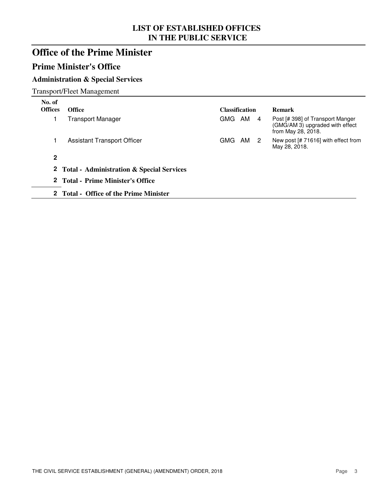### **Office of the Prime Minister**

### **Prime Minister's Office**

#### **Administration & Special Services**

Transport/Fleet Management

| No. of<br><b>Offices</b> | <b>Office</b>                               | <b>Classification</b> |  | <b>Remark</b>                                                                             |
|--------------------------|---------------------------------------------|-----------------------|--|-------------------------------------------------------------------------------------------|
|                          | <b>Transport Manager</b>                    | GMG AM 4              |  | Post [# 398] of Transport Manger<br>(GMG/AM 3) upgraded with effect<br>from May 28, 2018. |
|                          | <b>Assistant Transport Officer</b>          | GMG AM 2              |  | New post [# 71616] with effect from<br>May 28, 2018.                                      |
| $\mathbf{2}$             |                                             |                       |  |                                                                                           |
|                          | 2 Total - Administration & Special Services |                       |  |                                                                                           |
|                          | 2 Total - Prime Minister's Office           |                       |  |                                                                                           |
|                          | 2 Total - Office of the Prime Minister      |                       |  |                                                                                           |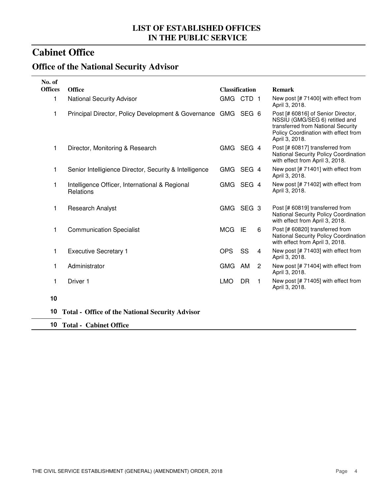### **Cabinet Office**

### **Office of the National Security Advisor**

| No. of<br><b>Offices</b> |                                                               |                       |           |              |                                                                                                                                                                      |
|--------------------------|---------------------------------------------------------------|-----------------------|-----------|--------------|----------------------------------------------------------------------------------------------------------------------------------------------------------------------|
|                          | <b>Office</b>                                                 | <b>Classification</b> |           |              | <b>Remark</b>                                                                                                                                                        |
| 1                        | <b>National Security Advisor</b>                              | GMG CTD 1             |           |              | New post [# 71400] with effect from<br>April 3, 2018.                                                                                                                |
| 1                        | Principal Director, Policy Development & Governance GMG SEG 6 |                       |           |              | Post [# 60816] of Senior Director,<br>NSSIU (GMG/SEG 6) retitled and<br>transferred from National Security<br>Policy Coordination with effect from<br>April 3, 2018. |
| 1                        | Director, Monitoring & Research                               | GMG SEG 4             |           |              | Post [# 60817] transferred from<br>National Security Policy Coordination<br>with effect from April 3, 2018.                                                          |
| 1                        | Senior Intelligience Director, Security & Intelligence        | GMG SEG 4             |           |              | New post [# 71401] with effect from<br>April 3, 2018.                                                                                                                |
| 1                        | Intelligence Officer, International & Regional<br>Relations   | GMG SEG 4             |           |              | New post [# 71402] with effect from<br>April 3, 2018.                                                                                                                |
| 1                        | <b>Research Analyst</b>                                       | GMG SEG 3             |           |              | Post [# 60819] transferred from<br>National Security Policy Coordination<br>with effect from April 3, 2018.                                                          |
| 1                        | <b>Communication Specialist</b>                               | MCG IE                |           | 6            | Post [# 60820] transferred from<br>National Security Policy Coordination<br>with effect from April 3, 2018.                                                          |
| 1                        | <b>Executive Secretary 1</b>                                  | <b>OPS</b>            | SS        | 4            | New post [# 71403] with effect from<br>April 3, 2018.                                                                                                                |
| 1                        | Administrator                                                 | <b>GMG</b>            | AM        | 2            | New post [# 71404] with effect from<br>April 3, 2018.                                                                                                                |
| 1                        | Driver 1                                                      | <b>LMO</b>            | <b>DR</b> | $\mathbf{1}$ | New post [# 71405] with effect from<br>April 3, 2018.                                                                                                                |
| 10                       |                                                               |                       |           |              |                                                                                                                                                                      |
| 10                       | <b>Total - Office of the National Security Advisor</b>        |                       |           |              |                                                                                                                                                                      |
|                          | 10 Total - Cabinet Office                                     |                       |           |              |                                                                                                                                                                      |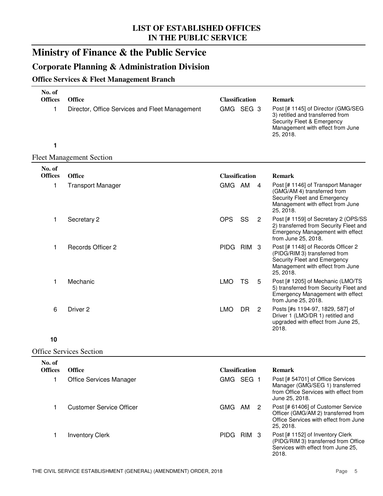### **Ministry of Finance & the Public Service**

### **Corporate Planning & Administration Division**

#### **Office Services & Fleet Management Branch**

| No. of<br><b>Offices</b> |                                                                 |                                    |           |                |                                                                                                                                                                        |
|--------------------------|-----------------------------------------------------------------|------------------------------------|-----------|----------------|------------------------------------------------------------------------------------------------------------------------------------------------------------------------|
| 1                        | <b>Office</b><br>Director, Office Services and Fleet Management | <b>Classification</b><br>GMG SEG 3 |           |                | <b>Remark</b><br>Post [# 1145] of Director (GMG/SEG<br>3) retitled and transferred from<br>Security Fleet & Emergency<br>Management with effect from June<br>25, 2018. |
| 1                        |                                                                 |                                    |           |                |                                                                                                                                                                        |
|                          | <b>Fleet Management Section</b>                                 |                                    |           |                |                                                                                                                                                                        |
| No. of<br><b>Offices</b> | <b>Office</b>                                                   | <b>Classification</b>              |           |                | Remark                                                                                                                                                                 |
| 1                        | <b>Transport Manager</b>                                        | GMG AM                             |           | 4              | Post [# 1146] of Transport Manager<br>(GMG/AM 4) transferred from<br>Security Fleet and Emergency<br>Management with effect from June<br>25, 2018.                     |
| 1                        | Secretary 2                                                     | <b>OPS</b>                         | SS        | $\overline{2}$ | Post [# 1159] of Secretary 2 (OPS/SS<br>2) transferred from Security Fleet and<br>Emergency Management with effect<br>from June 25, 2018.                              |
| 1                        | Records Officer 2                                               | PIDG RIM 3                         |           |                | Post [# 1148] of Records Officer 2<br>(PIDG/RIM 3) transferred from<br>Security Fleet and Emergency<br>Management with effect from June<br>25, 2018.                   |
| 1                        | Mechanic                                                        | <b>LMO</b>                         | <b>TS</b> | 5              | Post [# 1205] of Mechanic (LMO/TS<br>5) transferred from Security Fleet and<br>Emergency Management with effect<br>from June 25, 2018.                                 |
| 6                        | Driver <sub>2</sub>                                             | <b>LMO</b>                         | DR.       | $\overline{2}$ | Posts [#s 1194-97, 1829, 587] of<br>Driver 1 (LMO/DR 1) retitled and<br>upgraded with effect from June 25,<br>2018.                                                    |
| 10                       |                                                                 |                                    |           |                |                                                                                                                                                                        |
|                          | <b>Office Services Section</b>                                  |                                    |           |                |                                                                                                                                                                        |
| No. of                   |                                                                 |                                    |           |                |                                                                                                                                                                        |
| <b>Offices</b>           | <b>Office</b>                                                   | <b>Classification</b>              |           |                | <b>Remark</b>                                                                                                                                                          |
| 1                        | <b>Office Services Manager</b>                                  | GMG SEG 1                          |           |                | Post [# 54701] of Office Services<br>Manager (GMG/SEG 1) transferred<br>from Office Services with effect from<br>June 25, 2018.                                        |
| 1                        | <b>Customer Service Officer</b>                                 | GMG AM                             |           | $\overline{2}$ | Post [# 61406] of Customer Service<br>Officer (GMG/AM 2) transferred from<br>Office Services with effect from June<br>25, 2018.                                        |
| 1                        | <b>Inventory Clerk</b>                                          | PIDG RIM 3                         |           |                | Post [# 1152] of Inventory Clerk<br>(PIDG/RIM 3) transferred from Office<br>Services with effect from June 25,<br>2018.                                                |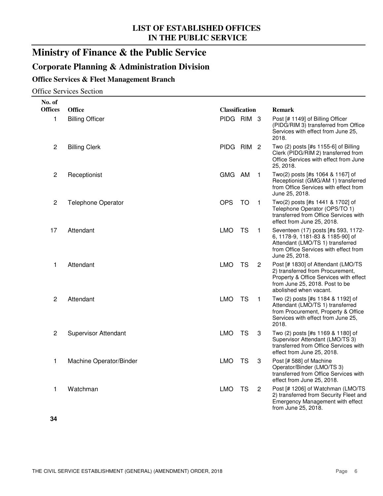### **Ministry of Finance & the Public Service**

### **Corporate Planning & Administration Division**

#### **Office Services & Fleet Management Branch**

Office Services Section

| No. of         |                             |                       |           |                |                                                                                                                                                                              |
|----------------|-----------------------------|-----------------------|-----------|----------------|------------------------------------------------------------------------------------------------------------------------------------------------------------------------------|
| <b>Offices</b> | <b>Office</b>               | <b>Classification</b> |           |                | <b>Remark</b>                                                                                                                                                                |
| 1              | <b>Billing Officer</b>      | PIDG RIM 3            |           |                | Post [# 1149] of Billing Officer<br>(PIDG/RIM 3) transferred from Office<br>Services with effect from June 25,<br>2018.                                                      |
| $\overline{c}$ | <b>Billing Clerk</b>        | PIDG RIM 2            |           |                | Two (2) posts [#s 1155-6] of Billing<br>Clerk (PIDG/RIM 2) transferred from<br>Office Services with effect from June<br>25, 2018.                                            |
| $\overline{c}$ | Receptionist                | GMG AM                |           | $\mathbf{1}$   | Two(2) posts [#s 1064 & 1167] of<br>Receptionist (GMG/AM 1) transferred<br>from Office Services with effect from<br>June 25, 2018.                                           |
| $\overline{c}$ | <b>Telephone Operator</b>   | <b>OPS</b>            | <b>TO</b> | $\mathbf{1}$   | Two(2) posts [#s 1441 & 1702] of<br>Telephone Operator (OPS/TO 1)<br>transferred from Office Services with<br>effect from June 25, 2018.                                     |
| 17             | Attendant                   | <b>LMO</b>            | <b>TS</b> | $\mathbf 1$    | Seventeen (17) posts [#s 593, 1172-<br>6, 1178-9, 1181-83 & 1185-90] of<br>Attendant (LMO/TS 1) transferred<br>from Office Services with effect from<br>June 25, 2018.       |
| 1              | Attendant                   | <b>LMO</b>            | TS        | $\overline{2}$ | Post [# 1830] of Attendant (LMO/TS<br>2) transferred from Procurement,<br>Property & Office Services with effect<br>from June 25, 2018. Post to be<br>abolished when vacant. |
| $\overline{2}$ | Attendant                   | <b>LMO</b>            | <b>TS</b> | 1              | Two (2) posts [#s 1184 & 1192] of<br>Attendant (LMO/TS 1) transferred<br>from Procurement, Property & Office<br>Services with effect from June 25,<br>2018.                  |
| $\overline{c}$ | <b>Supervisor Attendant</b> | <b>LMO</b>            | <b>TS</b> | 3              | Two (2) posts [#s 1169 & 1180] of<br>Supervisor Attendant (LMO/TS 3)<br>transferred from Office Services with<br>effect from June 25, 2018.                                  |
| 1              | Machine Operator/Binder     | <b>LMO</b>            | <b>TS</b> | 3              | Post [# 588] of Machine<br>Operator/Binder (LMO/TS 3)<br>transferred from Office Services with<br>effect from June 25, 2018.                                                 |
| 1              | Watchman                    | <b>LMO</b>            | TS        | $\mathbf{2}$   | Post [# 1206] of Watchman (LMO/TS<br>2) transferred from Security Fleet and<br>Emergency Management with effect<br>from June 25, 2018.                                       |
|                |                             |                       |           |                |                                                                                                                                                                              |

**34**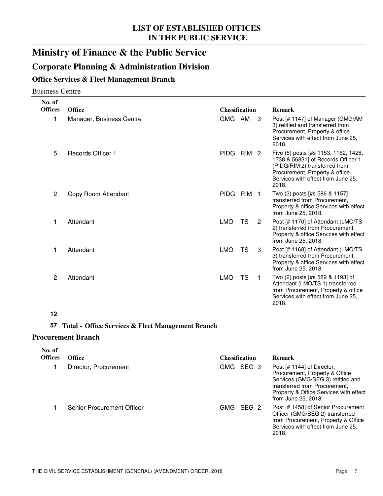### **Ministry of Finance & the Public Service**

#### **Corporate Planning & Administration Division**

#### **Office Services & Fleet Management Branch**

#### Business Centre

| No. of<br><b>Offices</b> | <b>Office</b>            | <b>Classification</b> |                  |   | <b>Remark</b>                                                                                                                                                                                |
|--------------------------|--------------------------|-----------------------|------------------|---|----------------------------------------------------------------------------------------------------------------------------------------------------------------------------------------------|
| 1                        | Manager, Business Centre | GMG AM                |                  | 3 | Post [# 1147] of Manager (GMG/AM<br>3) retitled and transferred from<br>Procurement, Property & office<br>Services with effect from June 25,<br>2018.                                        |
| 5                        | Records Officer 1        | <b>PIDG</b>           | RIM <sub>2</sub> |   | Five (5) posts [#s 1153, 1162, 1428,<br>1738 & 56831] of Records Officer 1<br>(PIDG/RIM 2) transferred from<br>Procurement, Property & office<br>Services with effect from June 25,<br>2018. |
| 2                        | Copy Room Attendant      | <b>PIDG</b>           | RIM <sub>1</sub> |   | Two (2) posts [#s 586 & 1157]<br>transferred from Procurement,<br>Property & office Services with effect<br>from June 25, 2018.                                                              |
| 1                        | Attendant                | <b>LMO</b>            | TS               | 2 | Post [# 1170] of Attendant (LMO/TS<br>2) transferred from Procurement,<br>Property & office Services with effect<br>from June 25, 2018.                                                      |
| 1                        | Attendant                | <b>LMO</b>            | TS               | 3 | Post [# 1168] of Attendant (LMO/TS<br>3) transferred from Procurement,<br>Property & office Services with effect<br>from June 25, 2018.                                                      |
| 2                        | Attendant                | <b>LMO</b>            | TS               | 1 | Two (2) posts [#s 589 & 1193] of<br>Attendant (LMO/TS 1) transferred<br>from Procurement, Property & office<br>Services with effect from June 25,<br>2018.                                   |

#### **12**

#### **57 Total - Office Services & Fleet Management Branch**

#### **Procurement Branch**

| No. of<br><b>Offices</b> | <b>Office</b>                     | <b>Classification</b> | <b>Remark</b>                                                                                                                                                                                       |  |  |
|--------------------------|-----------------------------------|-----------------------|-----------------------------------------------------------------------------------------------------------------------------------------------------------------------------------------------------|--|--|
|                          | Director, Procurement             | GMG SEG 3             | Post [# 1144] of Director,<br>Procurement, Property & Office<br>Services (GMG/SEG 3) retitled and<br>transferred from Procurement,<br>Property & Office Services with effect<br>from June 25, 2018. |  |  |
|                          | <b>Senior Procurement Officer</b> | SEG 2<br>GMG          | Post [# 1458] of Senior Procurement<br>Officer (GMG/SEG 2) transferred<br>from Procurement, Property & Office<br>Services with effect from June 25,<br>2018.                                        |  |  |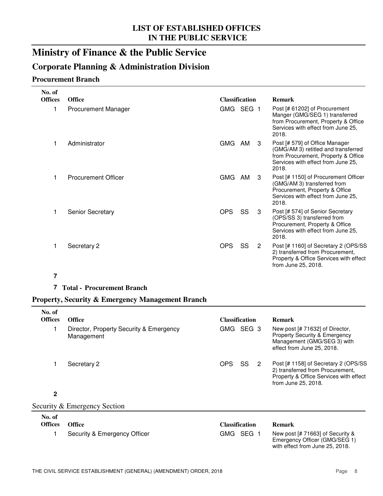### **Ministry of Finance & the Public Service**

#### **Corporate Planning & Administration Division**

#### **Procurement Branch**

| No. of         |                            |                       |    |   |                                                                                                                                                             |
|----------------|----------------------------|-----------------------|----|---|-------------------------------------------------------------------------------------------------------------------------------------------------------------|
| <b>Offices</b> | <b>Office</b>              | <b>Classification</b> |    |   | <b>Remark</b>                                                                                                                                               |
| 1              | <b>Procurement Manager</b> | GMG SEG 1             |    |   | Post [# 61202] of Procurement<br>Manger (GMG/SEG 1) transferred<br>from Procurement, Property & Office<br>Services with effect from June 25,<br>2018.       |
| $\mathbf{1}$   | Administrator              | GMG                   | AM | 3 | Post [# 579] of Office Manager<br>(GMG/AM 3) retitled and transferred<br>from Procurement, Property & Office<br>Services with effect from June 25,<br>2018. |
| $\mathbf{1}$   | <b>Procurement Officer</b> | <b>GMG</b>            | AM | 3 | Post [# 1150] of Procurement Officer<br>(GMG/AM 3) transferred from<br>Procurement, Property & Office<br>Services with effect from June 25,<br>2018.        |
| 1              | <b>Senior Secretary</b>    | OPS                   | SS | 3 | Post [# 574] of Senior Secretary<br>(OPS/SS 3) transferred from<br>Procurement, Property & Office<br>Services with effect from June 25,<br>2018.            |
|                | Secretary 2                | <b>OPS</b>            | SS | 2 | Post [# 1160] of Secretary 2 (OPS/SS<br>2) transferred from Procurement,<br>Property & Office Services with effect<br>from June 25, 2018.                   |

#### **7**

#### **7 Total - Procurement Branch**

#### **Property, Security & Emergency Management Branch**

| No. of<br><b>Offices</b> | <b>Office</b>                                         | <b>Classification</b> | <b>Remark</b>                                                                                                                             |
|--------------------------|-------------------------------------------------------|-----------------------|-------------------------------------------------------------------------------------------------------------------------------------------|
|                          | Director, Property Security & Emergency<br>Management | GMG SEG 3             | New post [# 71632] of Director,<br>Property Security & Emergency<br>Management (GMG/SEG 3) with<br>effect from June 25, 2018.             |
|                          | Secretary 2                                           | SS<br><b>OPS</b><br>2 | Post [# 1158] of Secretary 2 (OPS/SS<br>2) transferred from Procurement,<br>Property & Office Services with effect<br>from June 25, 2018. |
| $\overline{2}$           |                                                       |                       |                                                                                                                                           |
|                          | Security & Emergency Section                          |                       |                                                                                                                                           |
| No. of<br><b>Offices</b> | <b>Office</b>                                         | <b>Classification</b> | Remark                                                                                                                                    |

| Security & Emergency Officer | GMG SEG 1 |
|------------------------------|-----------|
|                              |           |

New post [# 71663] of Security & Emergency Officer (GMG/SEG 1) with effect from June 25, 2018.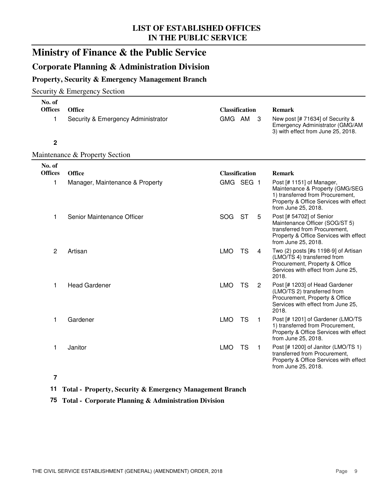### **Ministry of Finance & the Public Service**

#### **Corporate Planning & Administration Division**

#### **Property, Security & Emergency Management Branch**

#### Security & Emergency Section

| No. of<br><b>Offices</b><br>1 | <b>Office</b><br>Security & Emergency Administrator | <b>Classification</b><br>GMG AM |           | 3              | <b>Remark</b><br>New post [# 71634] of Security &<br>Emergency Administrator (GMG/AM<br>3) with effect from June 25, 2018.                                        |
|-------------------------------|-----------------------------------------------------|---------------------------------|-----------|----------------|-------------------------------------------------------------------------------------------------------------------------------------------------------------------|
| $\mathbf 2$                   |                                                     |                                 |           |                |                                                                                                                                                                   |
|                               | Maintenance & Property Section                      |                                 |           |                |                                                                                                                                                                   |
| No. of<br><b>Offices</b>      | <b>Office</b>                                       | <b>Classification</b>           |           |                | <b>Remark</b>                                                                                                                                                     |
| 1                             | Manager, Maintenance & Property                     | GMG SEG 1                       |           |                | Post [# 1151] of Manager,<br>Maintenance & Property (GMG/SEG<br>1) transferred from Procurement,<br>Property & Office Services with effect<br>from June 25, 2018. |
| 1                             | Senior Maintenance Officer                          | <b>SOG</b>                      | <b>ST</b> | 5              | Post [# 54702] of Senior<br>Maintenance Officer (SOG/ST 5)<br>transferred from Procurement,<br>Property & Office Services with effect<br>from June 25, 2018.      |
| 2                             | Artisan                                             | <b>LMO</b>                      | <b>TS</b> | 4              | Two (2) posts [#s 1198-9] of Artisan<br>(LMO/TS 4) transferred from<br>Procurement, Property & Office<br>Services with effect from June 25,<br>2018.              |
| 1                             | <b>Head Gardener</b>                                | <b>LMO</b>                      | <b>TS</b> | $\overline{2}$ | Post [# 1203] of Head Gardener<br>(LMO/TS 2) transferred from<br>Procurement, Property & Office<br>Services with effect from June 25,<br>2018.                    |
| 1                             | Gardener                                            | <b>LMO</b>                      | <b>TS</b> | $\mathbf{1}$   | Post [# 1201] of Gardener (LMO/TS<br>1) transferred from Procurement,<br>Property & Office Services with effect<br>from June 25, 2018.                            |
| 1                             | Janitor                                             | <b>LMO</b>                      | <b>TS</b> | $\mathbf{1}$   | Post [# 1200] of Janitor (LMO/TS 1)<br>transferred from Procurement,<br>Property & Office Services with effect<br>from June 25, 2018.                             |

#### **7**

#### **11 Total - Property, Security & Emergency Management Branch**

#### **75 Total - Corporate Planning & Administration Division**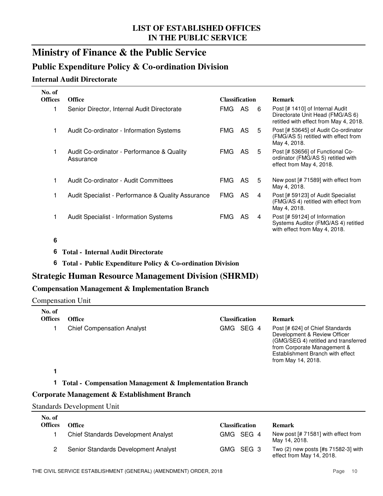### **Ministry of Finance & the Public Service**

#### **Public Expenditure Policy & Co-ordination Division**

#### **Internal Audit Directorate**

| No. of         |                                                         |                       |     |    |                                                                                                               |
|----------------|---------------------------------------------------------|-----------------------|-----|----|---------------------------------------------------------------------------------------------------------------|
| <b>Offices</b> | <b>Office</b>                                           | <b>Classification</b> |     |    | <b>Remark</b>                                                                                                 |
| 1              | Senior Director, Internal Audit Directorate             | FMG                   | AS. | -6 | Post [# 1410] of Internal Audit<br>Directorate Unit Head (FMG/AS 6)<br>retitled with effect from May 4, 2018. |
| 1.             | Audit Co-ordinator - Information Systems                | FMG.                  | AS  | 5  | Post [# 53645] of Audit Co-ordinator<br>(FMG/AS 5) retitled with effect from<br>May 4, 2018.                  |
| 1              | Audit Co-ordinator - Performance & Quality<br>Assurance | FMG.                  | AS. | 5  | Post [# 53656] of Functional Co-<br>ordinator (FMG/AS 5) retitled with<br>effect from May 4, 2018.            |
| 1              | Audit Co-ordinator - Audit Committees                   | FMG.                  | AS  | 5  | New post $[# 71589]$ with effect from<br>May 4, 2018.                                                         |
| 1.             | Audit Specialist - Performance & Quality Assurance      | <b>FMG</b>            | AS. | 4  | Post [# 59123] of Audit Specialist<br>(FMG/AS 4) retitled with effect from<br>May 4, 2018.                    |
| 1              | <b>Audit Specialist - Information Systems</b>           | FMG.                  | AS. | 4  | Post [# 59124] of Information<br>Systems Auditor (FMG/AS 4) retitled<br>with effect from May 4, 2018.         |
|                |                                                         |                       |     |    |                                                                                                               |

#### **6**

- **6 Total - Internal Audit Directorate**
- **6 Total - Public Expenditure Policy & Co-ordination Division**

#### **Strategic Human Resource Management Division (SHRMD)**

#### **Compensation Management & Implementation Branch**

Compensation Unit

| No. of<br><b>Offices</b> | <b>Office</b>                     | <b>Classification</b> | <b>Remark</b>                                                                                                                                                                                    |
|--------------------------|-----------------------------------|-----------------------|--------------------------------------------------------------------------------------------------------------------------------------------------------------------------------------------------|
|                          | <b>Chief Compensation Analyst</b> | GMG SEG 4             | Post [# 624] of Chief Standards<br>Development & Review Officer<br>(GMG/SEG 4) retitled and transferred<br>from Corporate Management &<br>Establishment Branch with effect<br>from May 14, 2018. |

#### **1**

#### **1 Total - Compensation Management & Implementation Branch**

#### **Corporate Management & Establishment Branch**

#### Standards Development Unit

| No. of<br><b>Offices</b> | Office                                     | <b>Classification</b> | <b>Remark</b>                                                    |
|--------------------------|--------------------------------------------|-----------------------|------------------------------------------------------------------|
|                          | <b>Chief Standards Development Analyst</b> | GMG SEG 4             | New post [# 71581] with effect from                              |
|                          |                                            |                       | May 14, 2018.                                                    |
|                          | Senior Standards Development Analyst       | GMG SEG 3             | Two (2) new posts [#s 71582-3] with<br>effect from May 14, 2018. |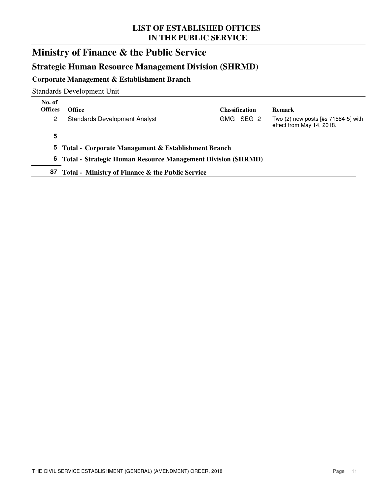### **Ministry of Finance & the Public Service**

#### **Strategic Human Resource Management Division (SHRMD)**

#### **Corporate Management & Establishment Branch**

Standards Development Unit

| No. of<br><b>Offices</b> | <b>Office</b>                                                  | <b>Classification</b> | <b>Remark</b>                                                        |
|--------------------------|----------------------------------------------------------------|-----------------------|----------------------------------------------------------------------|
| 2                        | <b>Standards Development Analyst</b>                           | GMG SEG 2             | Two $(2)$ new posts $[#s 71584-5]$ with<br>effect from May 14, 2018. |
| 5                        |                                                                |                       |                                                                      |
|                          | 5 Total - Corporate Management & Establishment Branch          |                       |                                                                      |
|                          | 6 Total - Strategic Human Resource Management Division (SHRMD) |                       |                                                                      |
| 87                       | Total - Ministry of Finance & the Public Service               |                       |                                                                      |
|                          |                                                                |                       |                                                                      |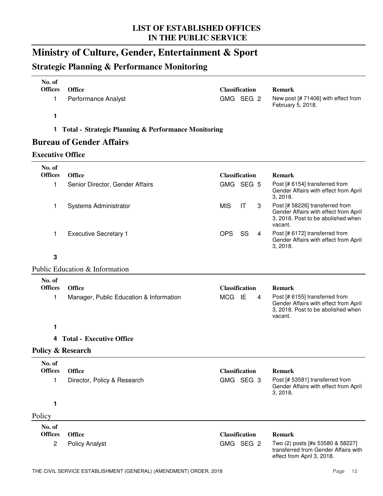### **Ministry of Culture, Gender, Entertainment & Sport**

### **Strategic Planning & Performance Monitoring**

| No. of<br><b>Offices</b><br><b>Office</b><br><b>Classification</b><br><b>Remark</b><br>GMG SEG 2<br>1<br><b>Performance Analyst</b><br>New post [# 71406] with effect from<br>February 5, 2018.<br>1<br>1<br><b>Total - Strategic Planning &amp; Performance Monitoring</b><br><b>Bureau of Gender Affairs</b><br><b>Executive Office</b><br>No. of<br><b>Offices</b><br><b>Office</b><br><b>Classification</b><br><b>Remark</b><br>GMG SEG 5<br>Post [# 6154] transferred from<br>1<br>Senior Director, Gender Affairs<br>Gender Affairs with effect from April<br>3, 2018.<br><b>MIS</b><br>IT<br>3<br>Post [# 58226] transferred from<br>Systems Administrator<br>1<br>Gender Affairs with effect from April<br>3, 2018. Post to be abolished when<br>vacant.<br><b>OPS</b><br><b>Executive Secretary 1</b><br>SS<br>Post [# 6172] transferred from<br>1<br>4<br>Gender Affairs with effect from April<br>3, 2018.<br>$\mathbf 3$<br>Public Education & Information<br>No. of<br><b>Offices</b><br><b>Office</b><br><b>Classification</b><br><b>Remark</b><br>MCG IE<br>Post [# 6155] transferred from<br>1<br>Manager, Public Education & Information<br>4<br>Gender Affairs with effect from April<br>3, 2018. Post to be abolished when<br>vacant.<br>1.<br><b>Total - Executive Office</b><br>4<br>Policy & Research<br>No. of<br><b>Offices</b><br><b>Classification</b><br><b>Office</b><br><b>Remark</b><br>GMG SEG 3<br>1<br>Director, Policy & Research<br>Post [# 53581] transferred from<br>Gender Affairs with effect from April<br>3, 2018.<br>1<br>Policy |  |
|----------------------------------------------------------------------------------------------------------------------------------------------------------------------------------------------------------------------------------------------------------------------------------------------------------------------------------------------------------------------------------------------------------------------------------------------------------------------------------------------------------------------------------------------------------------------------------------------------------------------------------------------------------------------------------------------------------------------------------------------------------------------------------------------------------------------------------------------------------------------------------------------------------------------------------------------------------------------------------------------------------------------------------------------------------------------------------------------------------------------------------------------------------------------------------------------------------------------------------------------------------------------------------------------------------------------------------------------------------------------------------------------------------------------------------------------------------------------------------------------------------------------------------------------------------------------------|--|
|                                                                                                                                                                                                                                                                                                                                                                                                                                                                                                                                                                                                                                                                                                                                                                                                                                                                                                                                                                                                                                                                                                                                                                                                                                                                                                                                                                                                                                                                                                                                                                            |  |
|                                                                                                                                                                                                                                                                                                                                                                                                                                                                                                                                                                                                                                                                                                                                                                                                                                                                                                                                                                                                                                                                                                                                                                                                                                                                                                                                                                                                                                                                                                                                                                            |  |
|                                                                                                                                                                                                                                                                                                                                                                                                                                                                                                                                                                                                                                                                                                                                                                                                                                                                                                                                                                                                                                                                                                                                                                                                                                                                                                                                                                                                                                                                                                                                                                            |  |
|                                                                                                                                                                                                                                                                                                                                                                                                                                                                                                                                                                                                                                                                                                                                                                                                                                                                                                                                                                                                                                                                                                                                                                                                                                                                                                                                                                                                                                                                                                                                                                            |  |
|                                                                                                                                                                                                                                                                                                                                                                                                                                                                                                                                                                                                                                                                                                                                                                                                                                                                                                                                                                                                                                                                                                                                                                                                                                                                                                                                                                                                                                                                                                                                                                            |  |
|                                                                                                                                                                                                                                                                                                                                                                                                                                                                                                                                                                                                                                                                                                                                                                                                                                                                                                                                                                                                                                                                                                                                                                                                                                                                                                                                                                                                                                                                                                                                                                            |  |
|                                                                                                                                                                                                                                                                                                                                                                                                                                                                                                                                                                                                                                                                                                                                                                                                                                                                                                                                                                                                                                                                                                                                                                                                                                                                                                                                                                                                                                                                                                                                                                            |  |
|                                                                                                                                                                                                                                                                                                                                                                                                                                                                                                                                                                                                                                                                                                                                                                                                                                                                                                                                                                                                                                                                                                                                                                                                                                                                                                                                                                                                                                                                                                                                                                            |  |
|                                                                                                                                                                                                                                                                                                                                                                                                                                                                                                                                                                                                                                                                                                                                                                                                                                                                                                                                                                                                                                                                                                                                                                                                                                                                                                                                                                                                                                                                                                                                                                            |  |
|                                                                                                                                                                                                                                                                                                                                                                                                                                                                                                                                                                                                                                                                                                                                                                                                                                                                                                                                                                                                                                                                                                                                                                                                                                                                                                                                                                                                                                                                                                                                                                            |  |
|                                                                                                                                                                                                                                                                                                                                                                                                                                                                                                                                                                                                                                                                                                                                                                                                                                                                                                                                                                                                                                                                                                                                                                                                                                                                                                                                                                                                                                                                                                                                                                            |  |
|                                                                                                                                                                                                                                                                                                                                                                                                                                                                                                                                                                                                                                                                                                                                                                                                                                                                                                                                                                                                                                                                                                                                                                                                                                                                                                                                                                                                                                                                                                                                                                            |  |
|                                                                                                                                                                                                                                                                                                                                                                                                                                                                                                                                                                                                                                                                                                                                                                                                                                                                                                                                                                                                                                                                                                                                                                                                                                                                                                                                                                                                                                                                                                                                                                            |  |
|                                                                                                                                                                                                                                                                                                                                                                                                                                                                                                                                                                                                                                                                                                                                                                                                                                                                                                                                                                                                                                                                                                                                                                                                                                                                                                                                                                                                                                                                                                                                                                            |  |
|                                                                                                                                                                                                                                                                                                                                                                                                                                                                                                                                                                                                                                                                                                                                                                                                                                                                                                                                                                                                                                                                                                                                                                                                                                                                                                                                                                                                                                                                                                                                                                            |  |
|                                                                                                                                                                                                                                                                                                                                                                                                                                                                                                                                                                                                                                                                                                                                                                                                                                                                                                                                                                                                                                                                                                                                                                                                                                                                                                                                                                                                                                                                                                                                                                            |  |
|                                                                                                                                                                                                                                                                                                                                                                                                                                                                                                                                                                                                                                                                                                                                                                                                                                                                                                                                                                                                                                                                                                                                                                                                                                                                                                                                                                                                                                                                                                                                                                            |  |
|                                                                                                                                                                                                                                                                                                                                                                                                                                                                                                                                                                                                                                                                                                                                                                                                                                                                                                                                                                                                                                                                                                                                                                                                                                                                                                                                                                                                                                                                                                                                                                            |  |
|                                                                                                                                                                                                                                                                                                                                                                                                                                                                                                                                                                                                                                                                                                                                                                                                                                                                                                                                                                                                                                                                                                                                                                                                                                                                                                                                                                                                                                                                                                                                                                            |  |
|                                                                                                                                                                                                                                                                                                                                                                                                                                                                                                                                                                                                                                                                                                                                                                                                                                                                                                                                                                                                                                                                                                                                                                                                                                                                                                                                                                                                                                                                                                                                                                            |  |
|                                                                                                                                                                                                                                                                                                                                                                                                                                                                                                                                                                                                                                                                                                                                                                                                                                                                                                                                                                                                                                                                                                                                                                                                                                                                                                                                                                                                                                                                                                                                                                            |  |
|                                                                                                                                                                                                                                                                                                                                                                                                                                                                                                                                                                                                                                                                                                                                                                                                                                                                                                                                                                                                                                                                                                                                                                                                                                                                                                                                                                                                                                                                                                                                                                            |  |
|                                                                                                                                                                                                                                                                                                                                                                                                                                                                                                                                                                                                                                                                                                                                                                                                                                                                                                                                                                                                                                                                                                                                                                                                                                                                                                                                                                                                                                                                                                                                                                            |  |
| No. of<br><b>Offices</b><br><b>Office</b><br><b>Classification</b>                                                                                                                                                                                                                                                                                                                                                                                                                                                                                                                                                                                                                                                                                                                                                                                                                                                                                                                                                                                                                                                                                                                                                                                                                                                                                                                                                                                                                                                                                                         |  |
| <b>Remark</b><br>Two (2) posts [#s 53580 & 58227]<br>$\overline{c}$<br>GMG SEG 2<br><b>Policy Analyst</b><br>transferred from Gender Affairs with<br>effect from April 3, 2018.                                                                                                                                                                                                                                                                                                                                                                                                                                                                                                                                                                                                                                                                                                                                                                                                                                                                                                                                                                                                                                                                                                                                                                                                                                                                                                                                                                                            |  |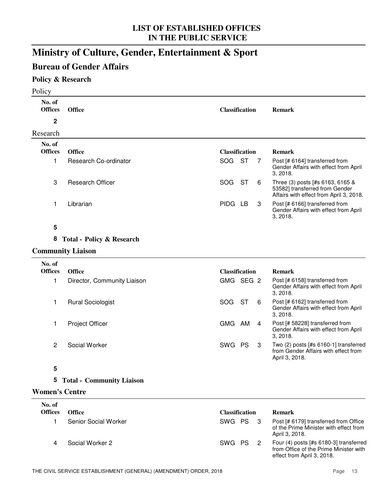### **Ministry of Culture, Gender, Entertainment & Sport**

### **Bureau of Gender Affairs**

#### **Policy & Research**

| Policy                   |                                      |            |                       |   |                                                                                                               |
|--------------------------|--------------------------------------|------------|-----------------------|---|---------------------------------------------------------------------------------------------------------------|
| No. of<br><b>Offices</b> | <b>Office</b>                        |            | <b>Classification</b> |   | <b>Remark</b>                                                                                                 |
| $\mathbf 2$              |                                      |            |                       |   |                                                                                                               |
| Research                 |                                      |            |                       |   |                                                                                                               |
| No. of<br><b>Offices</b> | <b>Office</b>                        |            | <b>Classification</b> |   | <b>Remark</b>                                                                                                 |
| 1                        | Research Co-ordinator                | SOG        | <b>ST</b>             | 7 | Post [# 6164] transferred from<br>Gender Affairs with effect from April<br>3, 2018.                           |
| 3                        | <b>Research Officer</b>              | <b>SOG</b> | <b>ST</b>             | 6 | Three (3) posts [#s 6163, 6165 &<br>53582] transferred from Gender<br>Affairs with effect from April 3, 2018. |
| 1                        | Librarian                            | PIDG LB    |                       | 3 | Post [# 6166] transferred from<br>Gender Affairs with effect from April<br>3, 2018.                           |
| 5                        |                                      |            |                       |   |                                                                                                               |
| 8                        | <b>Total - Policy &amp; Research</b> |            |                       |   |                                                                                                               |
|                          | <b>Community Liaison</b>             |            |                       |   |                                                                                                               |
| No. of                   |                                      |            |                       |   |                                                                                                               |
| <b>Offices</b>           | <b>Office</b>                        |            | <b>Classification</b> |   | <b>Remark</b>                                                                                                 |
| 1                        | Director, Community Liaison          |            | GMG SEG 2             |   | Post [# 6158] transferred from<br>Gender Affairs with effect from April<br>3, 2018.                           |
| 1                        | <b>Rural Sociologist</b>             | <b>SOG</b> | <b>ST</b>             | 6 | Post [# 6162] transferred from<br>Gender Affairs with effect from April<br>3, 2018.                           |
| 1                        | <b>Project Officer</b>               | GMG AM     |                       | 4 | Post [# 58228] transferred from<br>Gender Affairs with effect from April<br>3, 2018.                          |
| 2                        | Social Worker                        | SWG PS     |                       | 3 | Two (2) posts [#s 6160-1] transferred<br>from Gender Affairs with effect from<br>April 3, 2018.               |
| 5                        |                                      |            |                       |   |                                                                                                               |
| 5                        | <b>Total - Community Liaison</b>     |            |                       |   |                                                                                                               |
| <b>Women's Centre</b>    |                                      |            |                       |   |                                                                                                               |
| No. of                   |                                      |            |                       |   |                                                                                                               |

| .<br>Offices | <b>Office</b>        | <b>Classification</b> | <b>Remark</b>                                                                                                    |
|--------------|----------------------|-----------------------|------------------------------------------------------------------------------------------------------------------|
|              | Senior Social Worker | SWG PS 3              | Post [# 6179] transferred from Office<br>of the Prime Minister with effect from<br>April 3, 2018.                |
|              | Social Worker 2      | SWG PS                | Four $(4)$ posts [#s 6180-3] transferred<br>from Office of the Prime Minister with<br>effect from April 3, 2018. |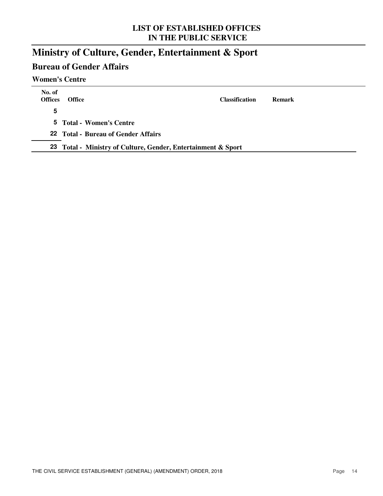### **Ministry of Culture, Gender, Entertainment & Sport**

### **Bureau of Gender Affairs**

#### **Women's Centre**

| No. of<br><b>Offices</b> | <b>Office</b>                                                 | <b>Classification</b> | <b>Remark</b> |
|--------------------------|---------------------------------------------------------------|-----------------------|---------------|
| 5                        |                                                               |                       |               |
|                          | 5 Total - Women's Centre                                      |                       |               |
|                          | 22 Total - Bureau of Gender Affairs                           |                       |               |
|                          | 23 Total - Ministry of Culture, Gender, Entertainment & Sport |                       |               |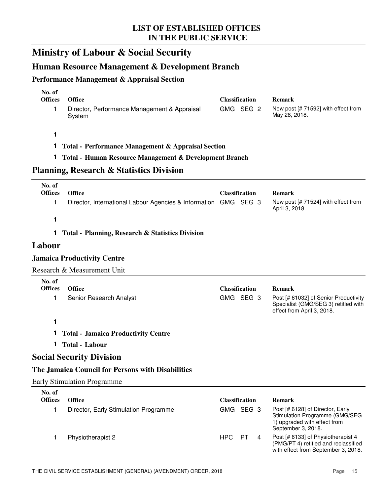## **Ministry of Labour & Social Security**

### **Human Resource Management & Development Branch**

#### **Performance Management & Appraisal Section**

| No. of<br><b>Offices</b> | <b>Office</b>                                                   |            | <b>Classification</b> | <b>Remark</b>                                                                                                            |
|--------------------------|-----------------------------------------------------------------|------------|-----------------------|--------------------------------------------------------------------------------------------------------------------------|
| 1                        | Director, Performance Management & Appraisal<br>System          |            | GMG SEG 2             | New post [# 71592] with effect from<br>May 28, 2018.                                                                     |
|                          |                                                                 |            |                       |                                                                                                                          |
| 1                        |                                                                 |            |                       |                                                                                                                          |
| 1                        | <b>Total - Performance Management &amp; Appraisal Section</b>   |            |                       |                                                                                                                          |
| 1.                       | Total - Human Resource Management & Development Branch          |            |                       |                                                                                                                          |
|                          | <b>Planning, Research &amp; Statistics Division</b>             |            |                       |                                                                                                                          |
| No. of                   |                                                                 |            |                       |                                                                                                                          |
| <b>Offices</b>           | <b>Office</b>                                                   |            | <b>Classification</b> | <b>Remark</b>                                                                                                            |
| 1                        | Director, International Labour Agencies & Information GMG SEG 3 |            |                       | New post [# 71524] with effect from<br>April 3, 2018.                                                                    |
| 1                        |                                                                 |            |                       |                                                                                                                          |
| 1                        | <b>Total - Planning, Research &amp; Statistics Division</b>     |            |                       |                                                                                                                          |
| Labour                   |                                                                 |            |                       |                                                                                                                          |
|                          | <b>Jamaica Productivity Centre</b>                              |            |                       |                                                                                                                          |
|                          | Research & Measurement Unit                                     |            |                       |                                                                                                                          |
| No. of                   |                                                                 |            |                       |                                                                                                                          |
| <b>Offices</b>           | <b>Office</b>                                                   |            | <b>Classification</b> | <b>Remark</b>                                                                                                            |
| 1                        | Senior Research Analyst                                         |            | GMG SEG 3             | Post [# 61032] of Senior Productivity<br>Specialist (GMG/SEG 3) retitled with<br>effect from April 3, 2018.              |
| 1                        |                                                                 |            |                       |                                                                                                                          |
| 1.                       | <b>Total - Jamaica Productivity Centre</b>                      |            |                       |                                                                                                                          |
|                          | 1 Total - Labour                                                |            |                       |                                                                                                                          |
|                          | <b>Social Security Division</b>                                 |            |                       |                                                                                                                          |
|                          | The Jamaica Council for Persons with Disabilities               |            |                       |                                                                                                                          |
|                          | <b>Early Stimulation Programme</b>                              |            |                       |                                                                                                                          |
| No. of                   |                                                                 |            |                       |                                                                                                                          |
| <b>Offices</b>           | <b>Office</b>                                                   |            | <b>Classification</b> | <b>Remark</b>                                                                                                            |
| 1                        | Director, Early Stimulation Programme                           |            | GMG SEG 3             | Post [# 6128] of Director, Early<br>Stimulation Programme (GMG/SEG<br>1) upgraded with effect from<br>September 3, 2018. |
| 1                        | Physiotherapist 2                                               | <b>HPC</b> | PT<br>4               | Post [# 6133] of Physiotherapist 4<br>(PMG/PT 4) retitled and reclassified<br>with effect from September 3, 2018.        |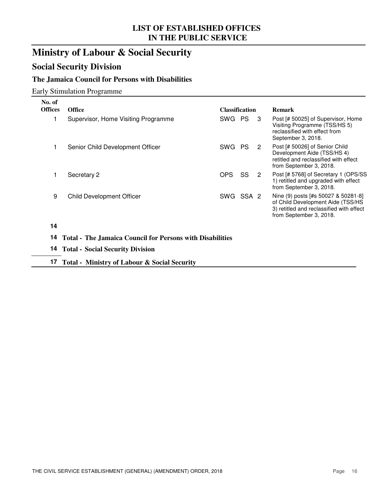### **Ministry of Labour & Social Security**

### **Social Security Division**

#### **The Jamaica Council for Persons with Disabilities**

Early Stimulation Programme

| No. of         |                                                                  |                       |     |    |                                                                                                                                                 |
|----------------|------------------------------------------------------------------|-----------------------|-----|----|-------------------------------------------------------------------------------------------------------------------------------------------------|
| <b>Offices</b> | <b>Office</b>                                                    | <b>Classification</b> |     |    | <b>Remark</b>                                                                                                                                   |
|                | Supervisor, Home Visiting Programme                              | SWG PS                |     | -3 | Post [# 50025] of Supervisor, Home<br>Visiting Programme (TSS/HS 5)<br>reclassified with effect from<br>September 3, 2018.                      |
|                | Senior Child Development Officer                                 | SWG                   | PS. | 2  | Post [# 50026] of Senior Child<br>Development Aide (TSS/HS 4)<br>retitled and reclassified with effect<br>from September 3, 2018.               |
|                | Secretary 2                                                      | OPS.                  | SS  | 2  | Post [# 5768] of Secretary 1 (OPS/SS)<br>1) retitled and upgraded with effect<br>from September 3, 2018.                                        |
| 9              | <b>Child Development Officer</b>                                 | SWG SSA 2             |     |    | Nine (9) posts [#s 50027 & 50281-8]<br>of Child Development Aide (TSS/HS<br>3) retitled and reclassified with effect<br>from September 3, 2018. |
| 14             |                                                                  |                       |     |    |                                                                                                                                                 |
| 14             | <b>Total - The Jamaica Council for Persons with Disabilities</b> |                       |     |    |                                                                                                                                                 |
| 14.            | <b>Total - Social Security Division</b>                          |                       |     |    |                                                                                                                                                 |

**17 Total - Ministry of Labour & Social Security**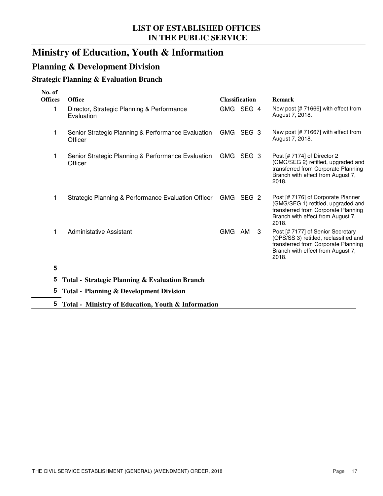### **Ministry of Education, Youth & Information**

#### **Planning & Development Division**

#### **Strategic Planning & Evaluation Branch**

| No. of<br><b>Offices</b> | <b>Office</b>                                                 | <b>Classification</b> | <b>Remark</b>                                                                                                                                                   |
|--------------------------|---------------------------------------------------------------|-----------------------|-----------------------------------------------------------------------------------------------------------------------------------------------------------------|
| 1                        | Director, Strategic Planning & Performance<br>Evaluation      | GMG SEG 4             | New post [# 71666] with effect from<br>August 7, 2018.                                                                                                          |
| 1                        | Senior Strategic Planning & Performance Evaluation<br>Officer | GMG SEG 3             | New post [# 71667] with effect from<br>August 7, 2018.                                                                                                          |
| 1                        | Senior Strategic Planning & Performance Evaluation<br>Officer | GMG SEG 3             | Post [# 7174] of Director 2<br>(GMG/SEG 2) retitled, upgraded and<br>transferred from Corporate Planning<br>Branch with effect from August 7,<br>2018.          |
| 1                        | Strategic Planning & Performance Evaluation Officer           | GMG SEG 2             | Post [# 7176] of Corporate Planner<br>(GMG/SEG 1) retitled, upgraded and<br>transferred from Corporate Planning<br>Branch with effect from August 7,<br>2018.   |
| 1                        | <b>Administative Assistant</b>                                | GMG AM<br>3           | Post [# 7177] of Senior Secretary<br>(OPS/SS 3) retitled, reclassified and<br>transferred from Corporate Planning<br>Branch with effect from August 7,<br>2018. |
| 5                        |                                                               |                       |                                                                                                                                                                 |
| 5                        | <b>Total - Strategic Planning &amp; Evaluation Branch</b>     |                       |                                                                                                                                                                 |
| 5                        | <b>Total - Planning &amp; Development Division</b>            |                       |                                                                                                                                                                 |
| 5                        | Total - Ministry of Education, Youth & Information            |                       |                                                                                                                                                                 |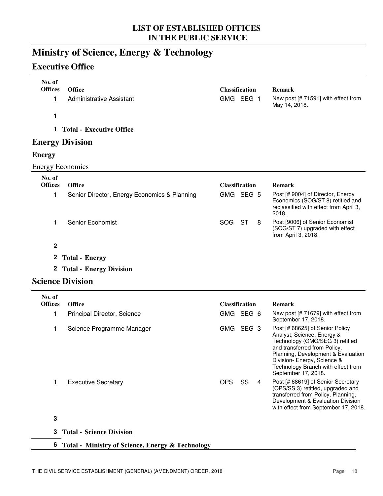### **Ministry of Science, Energy & Technology**

### **Executive Office**

| No. of<br><b>Offices</b> | <b>Office</b>                                      |            | <b>Classification</b> |   | <b>Remark</b>                                                                                                                                                                                                                                                      |
|--------------------------|----------------------------------------------------|------------|-----------------------|---|--------------------------------------------------------------------------------------------------------------------------------------------------------------------------------------------------------------------------------------------------------------------|
| $\mathbf 1$              | <b>Administrative Assistant</b>                    |            | GMG SEG 1             |   | New post [# 71591] with effect from<br>May 14, 2018.                                                                                                                                                                                                               |
| 1                        |                                                    |            |                       |   |                                                                                                                                                                                                                                                                    |
| 1                        | <b>Total - Executive Office</b>                    |            |                       |   |                                                                                                                                                                                                                                                                    |
|                          | <b>Energy Division</b>                             |            |                       |   |                                                                                                                                                                                                                                                                    |
| <b>Energy</b>            |                                                    |            |                       |   |                                                                                                                                                                                                                                                                    |
| <b>Energy Economics</b>  |                                                    |            |                       |   |                                                                                                                                                                                                                                                                    |
| No. of<br><b>Offices</b> | <b>Office</b>                                      |            | <b>Classification</b> |   | <b>Remark</b>                                                                                                                                                                                                                                                      |
| $\mathbf{1}$             | Senior Director, Energy Economics & Planning       |            | GMG SEG 5             |   | Post [# 9004] of Director, Energy<br>Economics (SOG/ST 8) retitled and<br>reclassified with effect from April 3,<br>2018.                                                                                                                                          |
| 1                        | Senior Economist                                   | <b>SOG</b> | <b>ST</b>             | 8 | Post [9006] of Senior Economist<br>(SOG/ST 7) upgraded with effect<br>from April 3, 2018.                                                                                                                                                                          |
| $\mathbf 2$              |                                                    |            |                       |   |                                                                                                                                                                                                                                                                    |
| $\mathbf{2}$             | <b>Total - Energy</b>                              |            |                       |   |                                                                                                                                                                                                                                                                    |
| $\mathbf{2}$             | <b>Total - Energy Division</b>                     |            |                       |   |                                                                                                                                                                                                                                                                    |
|                          | <b>Science Division</b>                            |            |                       |   |                                                                                                                                                                                                                                                                    |
| No. of                   |                                                    |            |                       |   |                                                                                                                                                                                                                                                                    |
| <b>Offices</b>           | <b>Office</b>                                      |            | <b>Classification</b> |   | <b>Remark</b>                                                                                                                                                                                                                                                      |
| 1                        | Principal Director, Science                        |            | GMG SEG 6             |   | New post [# 71679] with effect from<br>September 17, 2018.                                                                                                                                                                                                         |
| $\mathbf{1}$             | Science Programme Manager                          |            | GMG SEG 3             |   | Post [# 68625] of Senior Policy<br>Analyst, Science, Energy &<br>Technology (GMG/SEG 3) retitled<br>and transferred from Policy,<br>Planning, Development & Evaluation<br>Division- Energy, Science &<br>Technology Branch with effect from<br>September 17, 2018. |
| $\mathbf 1$              | <b>Executive Secretary</b>                         | <b>OPS</b> | SS                    | 4 | Post [# 68619] of Senior Secretary<br>(OPS/SS 3) retitled, upgraded and<br>transferred from Policy, Planning,<br>Development & Evaluation Division<br>with effect from September 17, 2018.                                                                         |
| 3                        |                                                    |            |                       |   |                                                                                                                                                                                                                                                                    |
| 3                        | <b>Total - Science Division</b>                    |            |                       |   |                                                                                                                                                                                                                                                                    |
|                          | 6 Total - Ministry of Science, Energy & Technology |            |                       |   |                                                                                                                                                                                                                                                                    |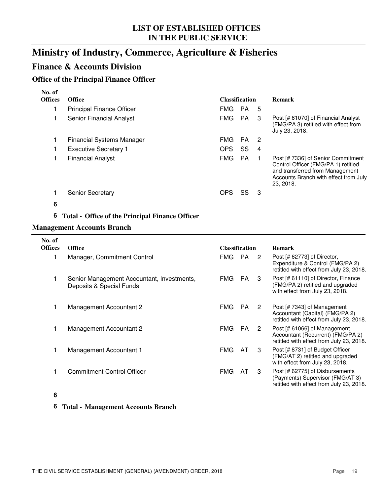### **Ministry of Industry, Commerce, Agriculture & Fisheries**

#### **Finance & Accounts Division**

#### **Office of the Principal Finance Officer**

| No. of<br><b>Offices</b> | <b>Office</b>                    |            | <b>Classification</b> |                | <b>Remark</b>                                                                                                                                                      |
|--------------------------|----------------------------------|------------|-----------------------|----------------|--------------------------------------------------------------------------------------------------------------------------------------------------------------------|
|                          | <b>Principal Finance Officer</b> | <b>FMG</b> | <b>PA</b>             | 5              |                                                                                                                                                                    |
|                          | Senior Financial Analyst         | <b>FMG</b> | PA                    | 3              | Post [# 61070] of Financial Analyst<br>(FMG/PA 3) retitled with effect from<br>July 23, 2018.                                                                      |
|                          | <b>Financial Systems Manager</b> | <b>FMG</b> | <b>PA</b>             | -2             |                                                                                                                                                                    |
|                          | <b>Executive Secretary 1</b>     | <b>OPS</b> | SS                    | $\overline{4}$ |                                                                                                                                                                    |
|                          | <b>Financial Analyst</b>         | <b>FMG</b> | <b>PA</b>             |                | Post [# 7336] of Senior Commitment<br>Control Officer (FMG/PA 1) retitled<br>and transferred from Management<br>Accounts Branch with effect from July<br>23, 2018. |
|                          | <b>Senior Secretary</b>          | <b>OPS</b> | SS                    | 3              |                                                                                                                                                                    |
| 6                        |                                  |            |                       |                |                                                                                                                                                                    |

#### **6 Total - Office of the Principal Finance Officer**

#### **Management Accounts Branch**

| No. of<br><b>Offices</b> | <b>Office</b>                                                          | <b>Classification</b>               | <b>Remark</b>                                                                                                   |
|--------------------------|------------------------------------------------------------------------|-------------------------------------|-----------------------------------------------------------------------------------------------------------------|
|                          | Manager, Commitment Control                                            | PA<br><b>FMG</b><br>2               | Post [# 62773] of Director,<br>Expenditure & Control (FMG/PA 2)<br>retitled with effect from July 23, 2018.     |
|                          | Senior Management Accountant, Investments,<br>Deposits & Special Funds | <b>FMG</b><br>PA.<br>3              | Post [# 61110] of Director, Finance<br>(FMG/PA 2) retitled and upgraded<br>with effect from July 23, 2018.      |
|                          | Management Accountant 2                                                | <b>PA</b><br><b>FMG</b><br>2        | Post [# 7343] of Management<br>Accountant (Capital) (FMG/PA 2)<br>retitled with effect from July 23, 2018.      |
|                          | Management Accountant 2                                                | FMG.<br>PA.<br>$\mathbf{2}^{\circ}$ | Post [# 61066] of Management<br>Accountant (Recurrent) (FMG/PA 2)<br>retitled with effect from July 23, 2018.   |
|                          | Management Accountant 1                                                | <b>FMG</b><br>AT.<br>3              | Post [# 8731] of Budget Officer<br>(FMG/AT 2) retitled and upgraded<br>with effect from July 23, 2018.          |
|                          | <b>Commitment Control Officer</b>                                      | FMG<br>3<br>AT                      | Post [# 62775] of Disbursements<br>(Payments) Supervisor (FMG/AT 3)<br>retitled with effect from July 23, 2018. |

#### **6**

#### **6 Total - Management Accounts Branch**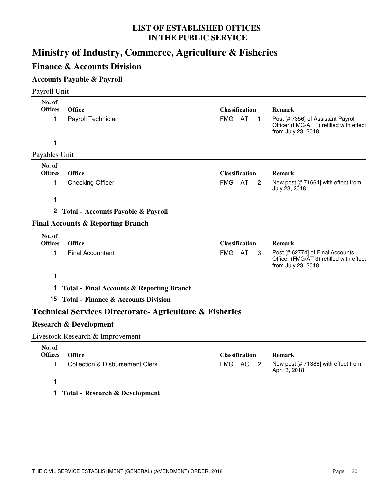### **Ministry of Industry, Commerce, Agriculture & Fisheries**

#### **Finance & Accounts Division**

#### **Accounts Payable & Payroll**

| Payroll Unit                  |                                                                   |                                     |    |                |                                                                                                                       |
|-------------------------------|-------------------------------------------------------------------|-------------------------------------|----|----------------|-----------------------------------------------------------------------------------------------------------------------|
| No. of<br><b>Offices</b><br>1 | Office<br>Payroll Technician                                      | <b>Classification</b><br>FMG AT     |    | $\mathbf 1$    | <b>Remark</b><br>Post [# 7356] of Assistant Payroll<br>Officer (FMG/AT 1) retitled with effect<br>from July 23, 2018. |
| 1                             |                                                                   |                                     |    |                |                                                                                                                       |
| Payables Unit                 |                                                                   |                                     |    |                |                                                                                                                       |
| No. of<br><b>Offices</b><br>1 | Office<br><b>Checking Officer</b>                                 | <b>Classification</b><br><b>FMG</b> | AT | $\overline{2}$ | <b>Remark</b><br>New post [# 71664] with effect from                                                                  |
|                               |                                                                   |                                     |    |                | July 23, 2018.                                                                                                        |
| 1                             |                                                                   |                                     |    |                |                                                                                                                       |
| $\mathbf{2}$                  | <b>Total - Accounts Payable &amp; Payroll</b>                     |                                     |    |                |                                                                                                                       |
|                               | <b>Final Accounts &amp; Reporting Branch</b>                      |                                     |    |                |                                                                                                                       |
| No. of<br><b>Offices</b>      | Office                                                            | <b>Classification</b>               |    |                | <b>Remark</b>                                                                                                         |
| 1                             | <b>Final Accountant</b>                                           | <b>FMG</b>                          | AT | 3              | Post [# 62774] of Final Accounts<br>Officer (FMG/AT 3) retitled with effect<br>from July 23, 2018.                    |
| 1                             |                                                                   |                                     |    |                |                                                                                                                       |
| 1                             | <b>Total - Final Accounts &amp; Reporting Branch</b>              |                                     |    |                |                                                                                                                       |
|                               | 15 Total - Finance & Accounts Division                            |                                     |    |                |                                                                                                                       |
|                               | <b>Technical Services Directorate-Agriculture &amp; Fisheries</b> |                                     |    |                |                                                                                                                       |
|                               | <b>Research &amp; Development</b>                                 |                                     |    |                |                                                                                                                       |
|                               | Livestock Research & Improvement                                  |                                     |    |                |                                                                                                                       |
|                               |                                                                   |                                     |    |                |                                                                                                                       |

| No. of<br><b>Offices</b> | Office                           | <b>Classification</b> |  | <b>Remark</b>                                         |
|--------------------------|----------------------------------|-----------------------|--|-------------------------------------------------------|
|                          | Collection & Disbursement Clerk  | FMG AC 2              |  | New post [# 71386] with effect from<br>April 3, 2018. |
|                          |                                  |                       |  |                                                       |
|                          | 1 Total - Research & Development |                       |  |                                                       |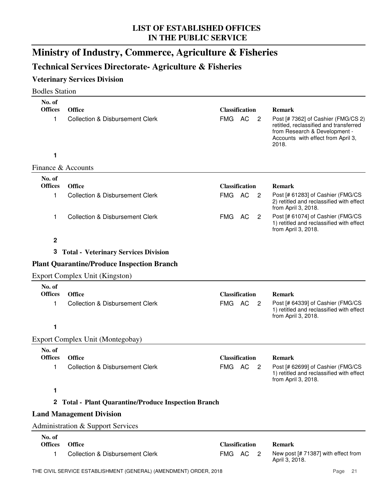### **Ministry of Industry, Commerce, Agriculture & Fisheries**

### **Technical Services Directorate- Agriculture & Fisheries**

#### **Veterinary Services Division**

| <b>Bodles Station</b>         |                                                             |            |                                    |                |                                                                                                                                                                                |
|-------------------------------|-------------------------------------------------------------|------------|------------------------------------|----------------|--------------------------------------------------------------------------------------------------------------------------------------------------------------------------------|
| No. of<br><b>Offices</b><br>1 | <b>Office</b><br><b>Collection &amp; Disbursement Clerk</b> | <b>FMG</b> | <b>Classification</b><br><b>AC</b> | $\overline{2}$ | <b>Remark</b><br>Post [# 7362] of Cashier (FMG/CS 2)<br>retitled, reclassified and transferred<br>from Research & Development -<br>Accounts with effect from April 3,<br>2018. |
| 1                             |                                                             |            |                                    |                |                                                                                                                                                                                |
| Finance & Accounts            |                                                             |            |                                    |                |                                                                                                                                                                                |
| No. of                        |                                                             |            |                                    |                |                                                                                                                                                                                |
| <b>Offices</b>                | <b>Office</b>                                               |            | <b>Classification</b>              |                | <b>Remark</b>                                                                                                                                                                  |
| 1                             | <b>Collection &amp; Disbursement Clerk</b>                  | FMG AC     |                                    | 2              | Post [# 61283] of Cashier (FMG/CS<br>2) retitled and reclassified with effect<br>from April 3, 2018.                                                                           |
| 1                             | <b>Collection &amp; Disbursement Clerk</b>                  | FMG        | AC                                 | $\overline{2}$ | Post [# 61074] of Cashier (FMG/CS<br>1) retitled and reclassified with effect<br>from April 3, 2018.                                                                           |
| $\mathbf 2$                   |                                                             |            |                                    |                |                                                                                                                                                                                |
|                               | 3 Total - Veterinary Services Division                      |            |                                    |                |                                                                                                                                                                                |
|                               | <b>Plant Quarantine/Produce Inspection Branch</b>           |            |                                    |                |                                                                                                                                                                                |
|                               | <b>Export Complex Unit (Kingston)</b>                       |            |                                    |                |                                                                                                                                                                                |
| No. of                        |                                                             |            |                                    |                |                                                                                                                                                                                |
| <b>Offices</b>                | <b>Office</b>                                               |            | <b>Classification</b>              |                | <b>Remark</b>                                                                                                                                                                  |
| 1                             | <b>Collection &amp; Disbursement Clerk</b>                  | FMG AC     |                                    | $\overline{2}$ | Post [# 64339] of Cashier (FMG/CS<br>1) retitled and reclassified with effect<br>from April 3, 2018.                                                                           |
| 1                             |                                                             |            |                                    |                |                                                                                                                                                                                |
|                               | Export Complex Unit (Montegobay)                            |            |                                    |                |                                                                                                                                                                                |
| No. of<br><b>Offices</b>      | <b>Office</b>                                               |            | <b>Classification</b>              |                | <b>Remark</b>                                                                                                                                                                  |
|                               | <b>Collection &amp; Disbursement Clerk</b>                  |            | FMG AC 2                           |                | Post [# 62699] of Cashier (FMG/CS                                                                                                                                              |
|                               |                                                             |            |                                    |                | 1) retitled and reclassified with effect<br>from April 3, 2018.                                                                                                                |
| 1                             |                                                             |            |                                    |                |                                                                                                                                                                                |
|                               | 2 Total - Plant Quarantine/Produce Inspection Branch        |            |                                    |                |                                                                                                                                                                                |
|                               | <b>Land Management Division</b>                             |            |                                    |                |                                                                                                                                                                                |
|                               | Administration & Support Services                           |            |                                    |                |                                                                                                                                                                                |
| No. of                        |                                                             |            |                                    |                |                                                                                                                                                                                |
| <b>Offices</b>                | <b>Office</b>                                               |            | <b>Classification</b>              |                | <b>Remark</b>                                                                                                                                                                  |
| 1                             | <b>Collection &amp; Disbursement Clerk</b>                  | FMG AC     |                                    | 2              | New post [# 71387] with effect from<br>April 3, 2018.                                                                                                                          |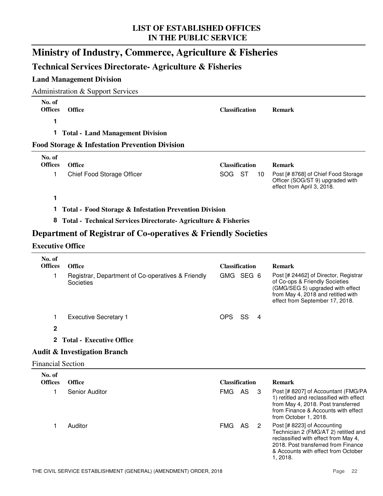### **Ministry of Industry, Commerce, Agriculture & Fisheries**

#### **Technical Services Directorate- Agriculture & Fisheries**

#### **Land Management Division**

Administration & Support Services

| No. of<br><b>Offices</b> | <b>Office</b>                                             | <b>Classification</b> | <b>Remark</b>                                                                                         |
|--------------------------|-----------------------------------------------------------|-----------------------|-------------------------------------------------------------------------------------------------------|
| 1                        |                                                           |                       |                                                                                                       |
|                          | <b>Total - Land Management Division</b>                   |                       |                                                                                                       |
|                          | <b>Food Storage &amp; Infestation Prevention Division</b> |                       |                                                                                                       |
| No. of<br><b>Offices</b> | <b>Office</b>                                             | <b>Classification</b> | <b>Remark</b>                                                                                         |
|                          | Chief Food Storage Officer                                | SOG.<br>ST<br>10      | Post [# 8768] of Chief Food Storage<br>Officer (SOG/ST 9) upgraded with<br>effect from April 3, 2018. |
|                          |                                                           |                       |                                                                                                       |

**1 Total - Food Storage & Infestation Prevention Division**

**8 Total - Technical Services Directorate- Agriculture & Fisheries**

#### **Department of Registrar of Co-operatives & Friendly Societies**

#### **Executive Office**

| <b>Office</b>                                                  |               |     |                | <b>Remark</b>                                                                                                                                                                                         |
|----------------------------------------------------------------|---------------|-----|----------------|-------------------------------------------------------------------------------------------------------------------------------------------------------------------------------------------------------|
| Registrar, Department of Co-operatives & Friendly<br>Societies |               |     |                | Post [# 24462] of Director, Registrar<br>of Co-ops & Friendly Societies<br>(GMG/SEG 5) upgraded with effect<br>from May 4, 2018 and retitled with<br>effect from September 17, 2018.                  |
| <b>Executive Secretary 1</b>                                   | OPS           | SS. | -4             |                                                                                                                                                                                                       |
|                                                                |               |     |                |                                                                                                                                                                                                       |
| <b>Total - Executive Office</b>                                |               |     |                |                                                                                                                                                                                                       |
| <b>Audit &amp; Investigation Branch</b>                        |               |     |                |                                                                                                                                                                                                       |
| <b>Financial Section</b>                                       |               |     |                |                                                                                                                                                                                                       |
|                                                                |               |     |                |                                                                                                                                                                                                       |
|                                                                |               |     |                | <b>Remark</b>                                                                                                                                                                                         |
| <b>Senior Auditor</b>                                          | <b>FMG</b>    |     | -3             | Post [# 8207] of Accountant (FMG/PA<br>1) retitled and reclassified with effect<br>from May 4, 2018. Post transferred<br>from Finance & Accounts with effect<br>from October 1, 2018.                 |
| Auditor                                                        | <b>FMG</b>    | AS  | $\overline{2}$ | Post [# 8223] of Accounting<br>Technician 2 (FMG/AT 2) retitled and<br>reclassified with effect from May 4,<br>2018. Post transferred from Finance<br>& Accounts with effect from October<br>1, 2018. |
|                                                                | <b>Office</b> |     | AS             | <b>Classification</b><br>GMG SEG 6<br><b>Classification</b>                                                                                                                                           |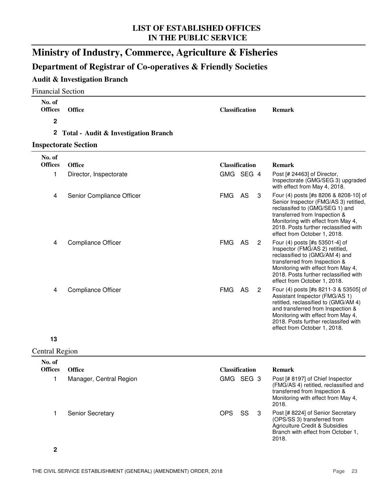### **Ministry of Industry, Commerce, Agriculture & Fisheries**

#### **Department of Registrar of Co-operatives & Friendly Societies**

#### **Audit & Investigation Branch**

| <b>Financial Section</b> |                                      |                       |     |                |                                                                                                                                                                                                                                                                    |
|--------------------------|--------------------------------------|-----------------------|-----|----------------|--------------------------------------------------------------------------------------------------------------------------------------------------------------------------------------------------------------------------------------------------------------------|
| No. of<br><b>Offices</b> | <b>Office</b>                        | <b>Classification</b> |     |                | <b>Remark</b>                                                                                                                                                                                                                                                      |
| $\mathbf 2$              |                                      |                       |     |                |                                                                                                                                                                                                                                                                    |
| $\mathbf{2}$             | Total - Audit & Investigation Branch |                       |     |                |                                                                                                                                                                                                                                                                    |
|                          | <b>Inspectorate Section</b>          |                       |     |                |                                                                                                                                                                                                                                                                    |
| No. of<br><b>Offices</b> | <b>Office</b>                        | <b>Classification</b> |     |                | <b>Remark</b>                                                                                                                                                                                                                                                      |
| 1                        | Director, Inspectorate               | GMG SEG 4             |     |                | Post [# 24463] of Director,<br>Inspectorate (GMG/SEG 3) upgraded<br>with effect from May 4, 2018.                                                                                                                                                                  |
| 4                        | Senior Compliance Officer            | <b>FMG</b>            | AS  | 3              | Four (4) posts [#s 8206 & 8208-10] of<br>Senior Inspector (FMG/AS 3) retitled,<br>reclassifed to (GMG/SEG 1) and<br>transferred from Inspection &<br>Monitoring with effect from May 4,<br>2018. Posts further reclassified with<br>effect from October 1, 2018.   |
| 4                        | <b>Compliance Officer</b>            | <b>FMG</b>            | AS. | $\overline{2}$ | Four (4) posts [#s 53501-4] of<br>Inspector (FMG/AS 2) retitled,<br>reclassified to (GMG/AM 4) and<br>transferred from Inspection &<br>Monitoring with effect from May 4,<br>2018. Posts further reclassified with<br>effect from October 1, 2018.                 |
| $\overline{4}$           | <b>Compliance Officer</b>            | <b>FMG</b>            | AS  | $\overline{2}$ | Four (4) posts [#s 8211-3 & 53505] of<br>Assistant Inspector (FMG/AS 1)<br>retitled, reclassified to (GMG/AM 4)<br>and transferred from Inspection &<br>Monitoring with effect from May 4,<br>2018. Posts further reclassifed with<br>effect from October 1, 2018. |

#### **13**

Central Region

| No. of<br><b>Offices</b> | <b>Office</b>           |            | <b>Classification</b> | <b>Remark</b>                                                                                                                                             |  |
|--------------------------|-------------------------|------------|-----------------------|-----------------------------------------------------------------------------------------------------------------------------------------------------------|--|
|                          | Manager, Central Region | GMG SEG 3  |                       | Post [# 8197] of Chief Inspector<br>(FMG/AS 4) retitled, reclassified and<br>transferred from Inspection &<br>Monitoring with effect from May 4,<br>2018. |  |
|                          | <b>Senior Secretary</b> | <b>OPS</b> | SS                    | Post [# 8224] of Senior Secretary<br>(OPS/SS 3) transferred from<br>Agriculture Credit & Subsidies<br>Branch with effect from October 1,<br>2018.         |  |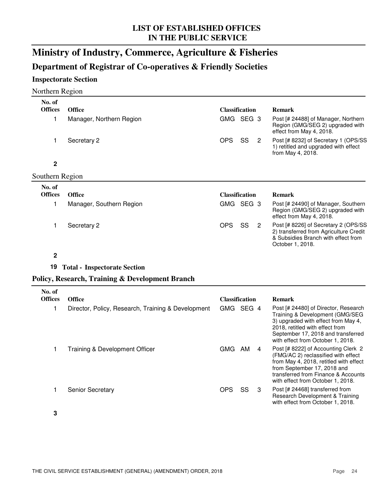### **Ministry of Industry, Commerce, Agriculture & Fisheries**

### **Department of Registrar of Co-operatives & Friendly Societies**

#### **Inspectorate Section**

#### Northern Region

| No. of                   |                                                    |                                    |                                                                                                                                                                                                                                 |
|--------------------------|----------------------------------------------------|------------------------------------|---------------------------------------------------------------------------------------------------------------------------------------------------------------------------------------------------------------------------------|
| <b>Offices</b>           | <b>Office</b>                                      | <b>Classification</b>              | <b>Remark</b>                                                                                                                                                                                                                   |
| 1                        | Manager, Northern Region                           | GMG SEG 3                          | Post [# 24488] of Manager, Northern<br>Region (GMG/SEG 2) upgraded with<br>effect from May 4, 2018.                                                                                                                             |
| 1                        | Secretary 2                                        | <b>OPS</b><br>SS<br>$\overline{2}$ | Post [# 8232] of Secretary 1 (OPS/SS<br>1) retitled and upgraded with effect<br>from May 4, 2018.                                                                                                                               |
| $\mathbf 2$              |                                                    |                                    |                                                                                                                                                                                                                                 |
| Southern Region          |                                                    |                                    |                                                                                                                                                                                                                                 |
| No. of                   |                                                    |                                    |                                                                                                                                                                                                                                 |
| <b>Offices</b>           | <b>Office</b>                                      | <b>Classification</b>              | <b>Remark</b>                                                                                                                                                                                                                   |
| 1                        | Manager, Southern Region                           | GMG SEG 3                          | Post [# 24490] of Manager, Southern<br>Region (GMG/SEG 2) upgraded with<br>effect from May 4, 2018.                                                                                                                             |
| 1                        | Secretary 2                                        | <b>OPS</b><br>SS<br>$\overline{c}$ | Post [# 8226] of Secretary 2 (OPS/SS<br>2) transferred from Agriculture Credit<br>& Subsidies Branch with effect from<br>October 1, 2018.                                                                                       |
| $\mathbf 2$              |                                                    |                                    |                                                                                                                                                                                                                                 |
| 19                       | <b>Total - Inspectorate Section</b>                |                                    |                                                                                                                                                                                                                                 |
|                          | Policy, Research, Training & Development Branch    |                                    |                                                                                                                                                                                                                                 |
| No. of<br><b>Offices</b> | <b>Office</b>                                      | <b>Classification</b>              | <b>Remark</b>                                                                                                                                                                                                                   |
| 1                        | Director, Policy, Research, Training & Development | GMG SEG 4                          | Post [# 24480] of Director, Research<br>Training & Development (GMG/SEG<br>3) upgraded with effect from May 4,<br>2018, retitled with effect from<br>September 17, 2018 and transferred<br>with effect from October 1, 2018.    |
| 1                        | Training & Development Officer                     | GMG AM<br>4                        | Post [# 8222] of Accounting Clerk 2<br>(FMG/AC 2) reclassified with effect<br>from May 4, 2018, retitled with effect<br>from September 17, 2018 and<br>transferred from Finance & Accounts<br>with effect from October 1, 2018. |
| 1                        | Senior Secretary                                   | <b>OPS</b><br>SS<br>3              | Post [# 24468] transferred from<br>Research Development & Training<br>with effect from October 1, 2018.                                                                                                                         |

**3**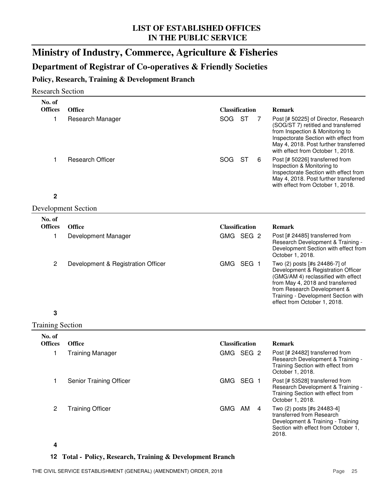### **Ministry of Industry, Commerce, Agriculture & Fisheries**

### **Department of Registrar of Co-operatives & Friendly Societies**

#### **Policy, Research, Training & Development Branch**

#### Research Section

| No. of                  |                                    |                       |                |                                                                                                                                                                                                                                                      |
|-------------------------|------------------------------------|-----------------------|----------------|------------------------------------------------------------------------------------------------------------------------------------------------------------------------------------------------------------------------------------------------------|
| <b>Offices</b>          | <b>Office</b>                      | <b>Classification</b> |                | <b>Remark</b>                                                                                                                                                                                                                                        |
| 1                       | Research Manager                   | SOG                   | <b>ST</b><br>7 | Post [# 50225] of Director, Research<br>(SOG/ST 7) retitled and transferred<br>from Inspection & Monitoring to<br>Inspectorate Section with effect from<br>May 4, 2018. Post further transferred<br>with effect from October 1, 2018.                |
| 1                       | <b>Research Officer</b>            | SOG.                  | ST<br>6        | Post [# 50226] transferred from<br>Inspection & Monitoring to<br>Inspectorate Section with effect from<br>May 4, 2018. Post further transferred<br>with effect from October 1, 2018.                                                                 |
| $\mathbf 2$             |                                    |                       |                |                                                                                                                                                                                                                                                      |
|                         | <b>Development Section</b>         |                       |                |                                                                                                                                                                                                                                                      |
| No. of                  |                                    |                       |                |                                                                                                                                                                                                                                                      |
| <b>Offices</b>          | <b>Office</b>                      | <b>Classification</b> |                | <b>Remark</b>                                                                                                                                                                                                                                        |
| 1                       | Development Manager                | GMG SEG 2             |                | Post [# 24485] transferred from<br>Research Development & Training -<br>Development Section with effect from<br>October 1, 2018.                                                                                                                     |
| $\overline{c}$          | Development & Registration Officer | GMG SEG 1             |                | Two (2) posts [#s 24486-7] of<br>Development & Registration Officer<br>(GMG/AM 4) reclassified with effect<br>from May 4, 2018 and transferred<br>from Research Development &<br>Training - Development Section with<br>effect from October 1, 2018. |
| 3                       |                                    |                       |                |                                                                                                                                                                                                                                                      |
| <b>Training Section</b> |                                    |                       |                |                                                                                                                                                                                                                                                      |
| No. of                  |                                    |                       |                |                                                                                                                                                                                                                                                      |
| <b>Offices</b>          | <b>Office</b>                      | <b>Classification</b> |                | <b>Remark</b>                                                                                                                                                                                                                                        |
| 1                       | <b>Training Manager</b>            | GMG SEG 2             |                | Post [# 24482] transferred from<br>Research Development & Training -<br>Training Section with effect from<br>October 1, 2018.                                                                                                                        |
| 1                       | Senior Training Officer            | GMG SEG 1             |                | Post [# 53528] transferred from<br>Research Development & Training -<br>Training Section with effect from<br>October 1, 2018.                                                                                                                        |
| $\overline{c}$          | <b>Training Officer</b>            | GMG AM                | 4              | Two (2) posts [#s 24483-4]<br>transferred from Research<br>Development & Training - Training<br>Section with effect from October 1,<br>2018.                                                                                                         |

#### **4**

#### **12 Total - Policy, Research, Training & Development Branch**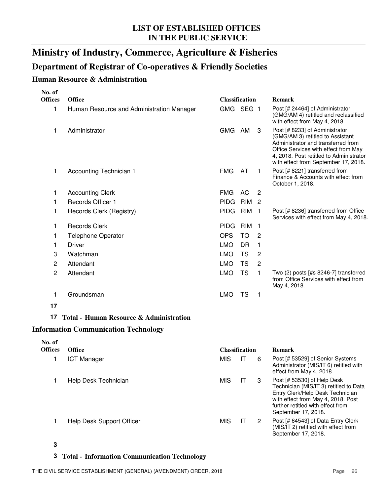### **Ministry of Industry, Commerce, Agriculture & Fisheries**

#### **Department of Registrar of Co-operatives & Friendly Societies**

#### **Human Resource & Administration**

| No. of<br><b>Offices</b> |                                           |                                             |                                                                                                                                                                                                                                     |
|--------------------------|-------------------------------------------|---------------------------------------------|-------------------------------------------------------------------------------------------------------------------------------------------------------------------------------------------------------------------------------------|
|                          | <b>Office</b>                             | <b>Classification</b>                       | <b>Remark</b>                                                                                                                                                                                                                       |
| 1                        | Human Resource and Administration Manager | GMG SEG 1                                   | Post [# 24464] of Administrator<br>(GMG/AM 4) retitled and reclassified<br>with effect from May 4, 2018.                                                                                                                            |
| 1                        | Administrator                             | GMG AM<br>3                                 | Post [# 8233] of Administrator<br>(GMG/AM 3) retitled to Assistant<br>Administrator and transferred from<br>Office Services with effect from May<br>4, 2018. Post retitled to Administrator<br>with effect from September 17, 2018. |
| 1                        | Accounting Technician 1                   | <b>FMG</b><br>AT<br>1.                      | Post [# 8221] transferred from<br>Finance & Accounts with effect from<br>October 1, 2018.                                                                                                                                           |
| 1                        | <b>Accounting Clerk</b>                   | <b>FMG</b><br>AC<br>$\overline{2}$          |                                                                                                                                                                                                                                     |
| 1                        | Records Officer 1                         | <b>PIDG</b><br>RIM<br>$\overline{2}$        |                                                                                                                                                                                                                                     |
| 1                        | Records Clerk (Registry)                  | RIM <sub>1</sub><br><b>PIDG</b>             | Post [# 8236] transferred from Office<br>Services with effect from May 4, 2018.                                                                                                                                                     |
| 1                        | <b>Records Clerk</b>                      | <b>RIM</b><br><b>PIDG</b><br>$\overline{1}$ |                                                                                                                                                                                                                                     |
| 1                        | <b>Telephone Operator</b>                 | <b>OPS</b><br>TO<br>$\overline{2}$          |                                                                                                                                                                                                                                     |
| 1                        | <b>Driver</b>                             | <b>LMO</b><br><b>DR</b><br>$\mathbf{1}$     |                                                                                                                                                                                                                                     |
| 3                        | Watchman                                  | <b>LMO</b><br>2<br>TS                       |                                                                                                                                                                                                                                     |
| $\overline{c}$           | Attendant                                 | <b>LMO</b><br>TS<br>$\overline{2}$          |                                                                                                                                                                                                                                     |
| $\overline{c}$           | Attendant                                 | <b>LMO</b><br><b>TS</b><br>$\mathbf{1}$     | Two (2) posts [#s 8246-7] transferred<br>from Office Services with effect from<br>May 4, 2018.                                                                                                                                      |
| 1                        | Groundsman                                | <b>TS</b><br><b>LMO</b><br>1                |                                                                                                                                                                                                                                     |
| 17                       |                                           |                                             |                                                                                                                                                                                                                                     |

#### **17 Total - Human Resource & Administration**

#### **Information Communication Technology**

| No. of<br><b>Offices</b> | <b>Office</b>             |            | <b>Classification</b> |   | <b>Remark</b>                                                                                                                                                                                               |
|--------------------------|---------------------------|------------|-----------------------|---|-------------------------------------------------------------------------------------------------------------------------------------------------------------------------------------------------------------|
|                          | <b>ICT Manager</b>        | <b>MIS</b> | IT                    | 6 | Post [# 53529] of Senior Systems<br>Administrator (MIS/IT 6) retitled with<br>effect from May 4, 2018.                                                                                                      |
|                          | Help Desk Technician      | <b>MIS</b> | IТ                    | 3 | Post [# 53530] of Help Desk<br>Technician (MIS/IT 3) retitled to Data<br>Entry Clerk/Help Desk Technician<br>with effect from May 4, 2018. Post<br>further retitled with effect from<br>September 17, 2018. |
|                          | Help Desk Support Officer | <b>MIS</b> | IТ                    | 2 | Post [# 64543] of Data Entry Clerk<br>(MIS/IT 2) retitled with effect from<br>September 17, 2018.                                                                                                           |

#### **3**

#### **3 Total - Information Communication Technology**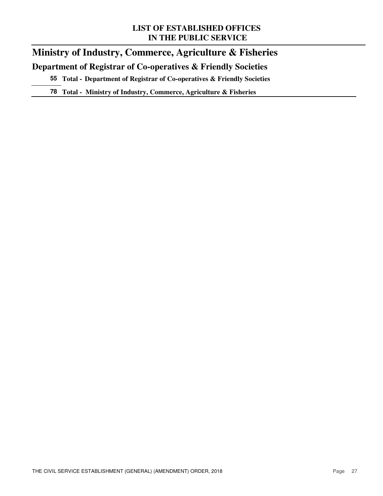### **Ministry of Industry, Commerce, Agriculture & Fisheries Department of Registrar of Co-operatives & Friendly Societies**

**55 Total - Department of Registrar of Co-operatives & Friendly Societies**

**78 Total - Ministry of Industry, Commerce, Agriculture & Fisheries**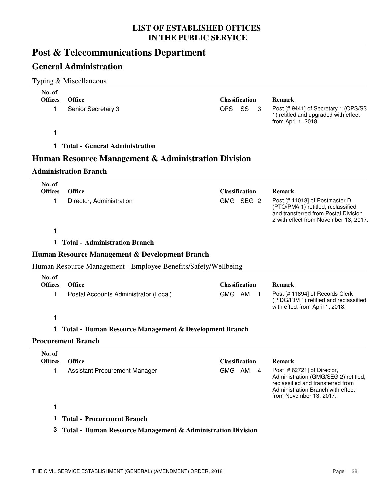### **Post & Telecommunications Department**

### **General Administration**

#### Typing & Miscellaneous

| No. of         |                                                                |                          |                                                                                                                                                                          |
|----------------|----------------------------------------------------------------|--------------------------|--------------------------------------------------------------------------------------------------------------------------------------------------------------------------|
| <b>Offices</b> | <b>Office</b>                                                  | <b>Classification</b>    | <b>Remark</b>                                                                                                                                                            |
| 1              | Senior Secretary 3                                             | OPS<br>SS<br>3           | Post [# 9441] of Secretary 1 (OPS/SS<br>1) retitled and upgraded with effect<br>from April 1, 2018.                                                                      |
| 1              |                                                                |                          |                                                                                                                                                                          |
| 1.             | <b>Total - General Administration</b>                          |                          |                                                                                                                                                                          |
|                | Human Resource Management & Administration Division            |                          |                                                                                                                                                                          |
|                | <b>Administration Branch</b>                                   |                          |                                                                                                                                                                          |
| No. of         |                                                                |                          |                                                                                                                                                                          |
| <b>Offices</b> | <b>Office</b>                                                  | <b>Classification</b>    | <b>Remark</b>                                                                                                                                                            |
| 1.             | Director, Administration                                       | GMG SEG 2                | Post [# 11018] of Postmaster D<br>(PTO/PMA 1) retitled, reclassified<br>and transferred from Postal Division<br>2 with effect from November 13, 2017.                    |
| 1              |                                                                |                          |                                                                                                                                                                          |
| 1.             | <b>Total - Administration Branch</b>                           |                          |                                                                                                                                                                          |
|                | Human Resource Management & Development Branch                 |                          |                                                                                                                                                                          |
|                | Human Resource Management - Employee Benefits/Safety/Wellbeing |                          |                                                                                                                                                                          |
| No. of         |                                                                |                          |                                                                                                                                                                          |
| <b>Offices</b> | <b>Office</b>                                                  | <b>Classification</b>    | <b>Remark</b>                                                                                                                                                            |
| 1.             | Postal Accounts Administrator (Local)                          | GMG AM<br>$\blacksquare$ | Post [# 11894] of Records Clerk<br>(PIDG/RIM 1) retitled and reclassified<br>with effect from April 1, 2018.                                                             |
| 1              |                                                                |                          |                                                                                                                                                                          |
|                | Total - Human Resource Management & Development Branch         |                          |                                                                                                                                                                          |
|                | <b>Procurement Branch</b>                                      |                          |                                                                                                                                                                          |
| No. of         |                                                                |                          |                                                                                                                                                                          |
| <b>Offices</b> | <b>Office</b>                                                  | <b>Classification</b>    | <b>Remark</b>                                                                                                                                                            |
|                | Assistant Procurement Manager                                  | GMG AM 4                 | Post [# 62721] of Director,<br>Administration (GMG/SEG 2) retitled,<br>reclassified and transferred from<br>Administration Branch with effect<br>from November 13, 2017. |
| 1              |                                                                |                          |                                                                                                                                                                          |
| 1              | <b>Total - Procurement Branch</b>                              |                          |                                                                                                                                                                          |
| 3              | Total - Human Resource Management & Administration Division    |                          |                                                                                                                                                                          |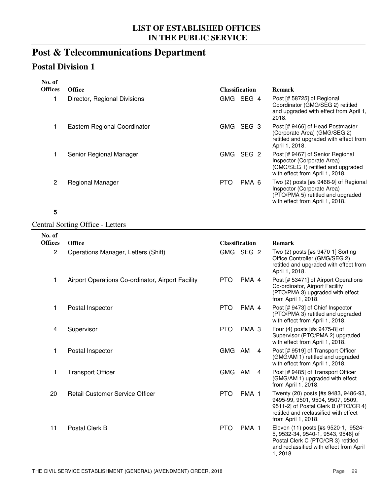### **Post & Telecommunications Department**

### **Postal Division 1**

| No. of<br><b>Offices</b> | <b>Office</b>                | <b>Classification</b>          | <b>Remark</b>                                                                                                                                 |  |
|--------------------------|------------------------------|--------------------------------|-----------------------------------------------------------------------------------------------------------------------------------------------|--|
|                          | Director, Regional Divisions | GMG SEG 4                      | Post [# 58725] of Regional<br>Coordinator (GMG/SEG 2) retitled<br>and upgraded with effect from April 1,<br>2018.                             |  |
|                          | Eastern Regional Coordinator | SEG <sub>3</sub><br>GMG.       | Post [# 9466] of Head Postmaster<br>(Corporate Area) (GMG/SEG 2)<br>retitled and upgraded with effect from<br>April 1, 2018.                  |  |
|                          | Senior Regional Manager      | SEG <sub>2</sub><br><b>GMG</b> | Post [# 9467] of Senior Regional<br>Inspector (Corporate Area)<br>(GMG/SEG 1) retitled and upgraded<br>with effect from April 1, 2018.        |  |
| $\overline{2}$           | Regional Manager             | PMA 6<br><b>PTO</b>            | Two $(2)$ posts [#s 9468-9] of Regional<br>Inspector (Corporate Area)<br>(PTO/PMA 5) retitled and upgraded<br>with effect from April 1, 2018. |  |

#### **5**

#### Central Sorting Office - Letters

| No. of         |                                                   |                       |                  |                                                                                                                                                                                  |
|----------------|---------------------------------------------------|-----------------------|------------------|----------------------------------------------------------------------------------------------------------------------------------------------------------------------------------|
| <b>Offices</b> | <b>Office</b>                                     | <b>Classification</b> |                  | <b>Remark</b>                                                                                                                                                                    |
| $\overline{c}$ | Operations Manager, Letters (Shift)               | GMG SEG 2             |                  | Two (2) posts [#s 9470-1] Sorting<br>Office Controller (GMG/SEG 2)<br>retitled and upgraded with effect from<br>April 1, 2018.                                                   |
| 1              | Airport Operations Co-ordinator, Airport Facility | <b>PTO</b>            | PMA 4            | Post [# 53471] of Airport Operations<br>Co-ordinator, Airport Facility<br>(PTO/PMA 3) upgraded with effect<br>from April 1, 2018.                                                |
| 1              | Postal Inspector                                  | <b>PTO</b>            | PMA 4            | Post [# 9473] of Chief Inspector<br>(PTO/PMA 3) retitled and upgraded<br>with effect from April 1, 2018.                                                                         |
| 4              | Supervisor                                        | <b>PTO</b>            | PMA <sub>3</sub> | Four (4) posts [#s 9475-8] of<br>Supervisor (PTO/PMA 2) upgraded<br>with effect from April 1, 2018.                                                                              |
| 1              | Postal Inspector                                  | GMG AM                | 4                | Post [# 9519] of Transport Officer<br>(GMG/AM 1) retitled and upgraded<br>with effect from April 1, 2018.                                                                        |
| 1              | <b>Transport Officer</b>                          | GMG AM                | $\overline{4}$   | Post [# 9485] of Transport Officer<br>(GMG/AM 1) upgraded with effect<br>from April 1, 2018.                                                                                     |
| 20             | <b>Retail Customer Service Officer</b>            | <b>PTO</b>            | PMA <sub>1</sub> | Twenty (20) posts [#s 9483, 9486-93,<br>9495-99, 9501, 9504, 9507, 9509,<br>9511-2] of Postal Clerk B (PTO/CR 4)<br>retitled and reclassified with effect<br>from April 1, 2018. |
| 11             | Postal Clerk B                                    | <b>PTO</b>            | PMA <sub>1</sub> | Eleven (11) posts [#s 9520-1, 9524-<br>5, 9532-34, 9540-1, 9543, 9546] of<br>Postal Clerk C (PTO/CR 3) retitled<br>and reclassified with effect from April<br>1, 2018.           |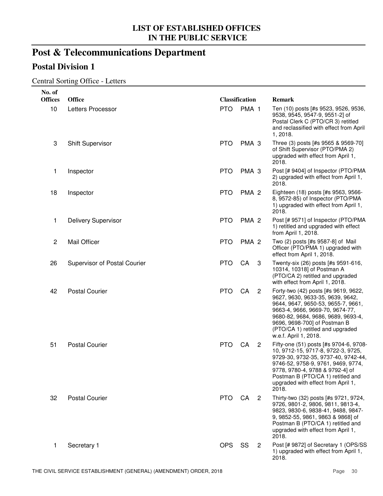# **Post & Telecommunications Department**

## **Postal Division 1**

#### Central Sorting Office - Letters

| No. of         |                              |                       |                  |                |                                                                                                                                                                                                                                                                                      |
|----------------|------------------------------|-----------------------|------------------|----------------|--------------------------------------------------------------------------------------------------------------------------------------------------------------------------------------------------------------------------------------------------------------------------------------|
| <b>Offices</b> | <b>Office</b>                | <b>Classification</b> |                  |                | Remark                                                                                                                                                                                                                                                                               |
| 10             | Letters Processor            | <b>PTO</b>            | PMA 1            |                | Ten (10) posts [#s 9523, 9526, 9536,<br>9538, 9545, 9547-9, 9551-2] of<br>Postal Clerk C (PTO/CR 3) retitled<br>and reclassified with effect from April<br>1, 2018.                                                                                                                  |
| 3              | <b>Shift Supervisor</b>      | <b>PTO</b>            | PMA <sub>3</sub> |                | Three (3) posts [#s 9565 & 9569-70]<br>of Shift Supervisor (PTO/PMA 2)<br>upgraded with effect from April 1,<br>2018.                                                                                                                                                                |
| 1              | Inspector                    | <b>PTO</b>            | PMA <sub>3</sub> |                | Post [# 9404] of Inspector (PTO/PMA<br>2) upgraded with effect from April 1,<br>2018.                                                                                                                                                                                                |
| 18             | Inspector                    | <b>PTO</b>            | PMA <sub>2</sub> |                | Eighteen (18) posts [#s 9563, 9566-<br>8, 9572-85) of Inspector (PTO/PMA<br>1) upgraded with effect from April 1,<br>2018.                                                                                                                                                           |
| 1              | <b>Delivery Supervisor</b>   | <b>PTO</b>            | PMA <sub>2</sub> |                | Post [# 9571] of Inspector (PTO/PMA<br>1) retitled and upgraded with effect<br>from April 1, 2018.                                                                                                                                                                                   |
| $\overline{c}$ | Mail Officer                 | <b>PTO</b>            | PMA <sub>2</sub> |                | Two (2) posts [#s 9587-8] of Mail<br>Officer (PTO/PMA 1) upgraded with<br>effect from April 1, 2018.                                                                                                                                                                                 |
| 26             | Supervisor of Postal Courier | <b>PTO</b>            | CA               | 3              | Twenty-six (26) posts [#s 9591-616,<br>10314, 10318] of Postman A<br>(PTO/CA 2) retitled and upgraded<br>with effect from April 1, 2018.                                                                                                                                             |
| 42             | <b>Postal Courier</b>        | <b>PTO</b>            | CA               | $\overline{2}$ | Forty-two (42) posts [#s 9619, 9622,<br>9627, 9630, 9633-35, 9639, 9642,<br>9644, 9647, 9650-53, 9655-7, 9661,<br>9663-4, 9666, 9669-70, 9674-77,<br>9680-82, 9684, 9686, 9689, 9693-4,<br>9696, 9698-700] of Postman B<br>(PTO/CA 1) retitled and upgraded<br>w.e.f. April 1, 2018. |
| 51             | <b>Postal Courier</b>        | <b>PTO</b>            | CA               | $\overline{2}$ | Fifty-one (51) posts [#s 9704-6, 9708-<br>10, 9712-15, 9717-8, 9722-3, 9725,<br>9729-30, 9732-35, 9737-40, 9742-44,<br>9746-52, 9758-9, 9761, 9469, 9774,<br>9778, 9780-4, 9788 & 9792-4] of<br>Postman B (PTO/CA 1) retitled and<br>upgraded with effect from April 1,<br>2018.     |
| 32             | <b>Postal Courier</b>        | PTO CA                |                  | $\overline{2}$ | Thirty-two (32) posts [#s 9721, 9724,<br>9726, 9801-2, 9806, 9811, 9813-4,<br>9823, 9830-6, 9838-41, 9488, 9847-<br>9, 9852-55, 9861, 9863 & 9868] of<br>Postman B (PTO/CA 1) retitled and<br>upgraded with effect from April 1,<br>2018.                                            |
| 1              | Secretary 1                  | OPS                   | SS               | 2              | Post [# 9872] of Secretary 1 (OPS/SS<br>1) upgraded with effect from April 1,<br>2018.                                                                                                                                                                                               |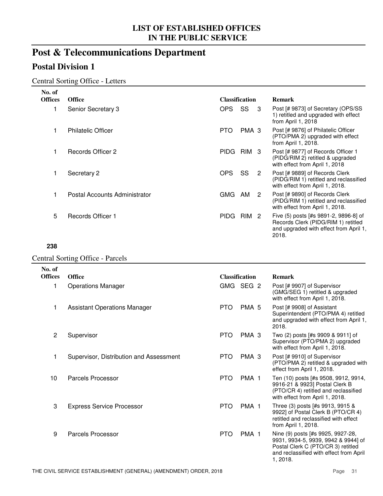# **Post & Telecommunications Department**

## **Postal Division 1**

#### Central Sorting Office - Letters

| No. of         |                                         |                       |                       |                |                                                                                                                                 |
|----------------|-----------------------------------------|-----------------------|-----------------------|----------------|---------------------------------------------------------------------------------------------------------------------------------|
| <b>Offices</b> | <b>Office</b>                           | <b>Classification</b> |                       |                | <b>Remark</b>                                                                                                                   |
| 1              | Senior Secretary 3                      | <b>OPS</b>            | SS                    | 3              | Post [# 9873] of Secretary (OPS/SS<br>1) retitled and upgraded with effect<br>from April 1, 2018                                |
| 1              | <b>Philatelic Officer</b>               | <b>PTO</b>            | PMA <sub>3</sub>      |                | Post [# 9876] of Philatelic Officer<br>(PTO/PMA 2) upgraded with effect<br>from April 1, 2018.                                  |
| 1.             | Records Officer 2                       | PIDG RIM 3            |                       |                | Post [# 9877] of Records Officer 1<br>(PIDG/RIM 2) retitled & upgraded<br>with effect from April 1, 2018                        |
| 1              | Secretary 2                             | <b>OPS</b>            | SS                    | $\overline{2}$ | Post [# 9889] of Records Clerk<br>(PIDG/RIM 1) retitled and reclassified<br>with effect from April 1, 2018.                     |
| 1              | Postal Accounts Administrator           | GMG AM                |                       | $\overline{2}$ | Post [# 9890] of Records Clerk<br>(PIDG/RIM 1) retitled and reclassified<br>with effect from April 1, 2018.                     |
| 5              | Records Officer 1                       |                       | PIDG RIM 2            |                | Five (5) posts [#s 9891-2, 9896-8] of<br>Records Clerk (PIDG/RIM 1) retitled<br>and upgraded with effect from April 1,<br>2018. |
| 238            |                                         |                       |                       |                |                                                                                                                                 |
|                | <b>Central Sorting Office - Parcels</b> |                       |                       |                |                                                                                                                                 |
| No. of         |                                         |                       |                       |                |                                                                                                                                 |
| <b>Offices</b> | <b>Office</b>                           |                       | <b>Classification</b> |                | <b>Remark</b>                                                                                                                   |
| 1              | <b>Operations Manager</b>               | GMG SEG 2             |                       |                | Post [# 9907] of Supervisor<br>(GMG/SEG 1) retitled & upgraded<br>with effect from April 1, 2018.                               |
| 1              | <b>Assistant Operations Manager</b>     | <b>PTO</b>            | PMA <sub>5</sub>      |                | Post [# 9908] of Assistant<br>Superintendent (PTO/PMA 4) retitled<br>and upgraded with effect from April 1,<br>2018.            |
| 2              | Supervisor                              | <b>PTO</b>            | PMA <sub>3</sub>      |                | Two (2) posts [#s 9909 & 9911] of<br>Supervisor (PTO/PMA 2) upgraded<br>with effect from April 1, 2018.                         |
| 1              | Supervisor, Distribution and Assessment | <b>PTO</b>            | PMA <sub>3</sub>      |                | Post [# 9910] of Supervisor<br>(PTO/PMA 2) retitled & upgraded with<br>effect from April 1, 2018.                               |
| 10             | <b>Parcels Processor</b>                | <b>PTO</b>            | PMA <sub>1</sub>      |                | Ten (10) posts [#s 9508, 9912, 9914,<br>9916-21 & 9923] Postal Clerk B                                                          |

- 3 Express Service Processor **PTO PMA 1**
- 9 Parcels Processor **PTO** PMA 1

(PTO/CR 4) retitled and reclassified with effect from April 1, 2018.

Three (3) posts [#s 9913, 9915 & 9922] of Postal Clerk B (PTO/CR 4) retitled and reclassified with effect

from April 1, 2018.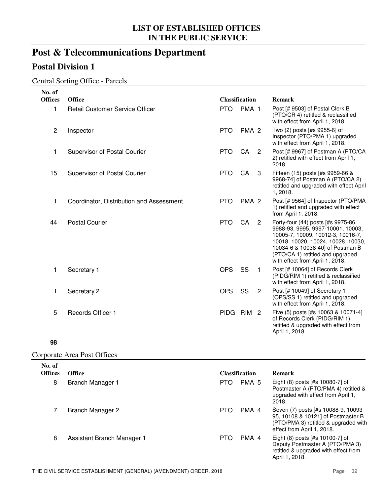# **Post & Telecommunications Department**

## **Postal Division 1**

#### Central Sorting Office - Parcels

| No. of         |                                          |                       |                  |                |                                                                                                                                                                                                                                                               |
|----------------|------------------------------------------|-----------------------|------------------|----------------|---------------------------------------------------------------------------------------------------------------------------------------------------------------------------------------------------------------------------------------------------------------|
| <b>Offices</b> | <b>Office</b>                            | <b>Classification</b> |                  |                | <b>Remark</b>                                                                                                                                                                                                                                                 |
| 1              | <b>Retail Customer Service Officer</b>   | <b>PTO</b>            | PMA <sub>1</sub> |                | Post [# 9503] of Postal Clerk B<br>(PTO/CR 4) retitled & reclassified<br>with effect from April 1, 2018.                                                                                                                                                      |
| 2              | Inspector                                | <b>PTO</b>            | PMA <sub>2</sub> |                | Two (2) posts [#s 9955-6] of<br>Inspector (PTO/PMA 1) upgraded<br>with effect from April 1, 2018.                                                                                                                                                             |
| 1              | Supervisor of Postal Courier             | <b>PTO</b>            | CA               | $\overline{2}$ | Post [# 9967] of Postman A (PTO/CA<br>2) retitled with effect from April 1,<br>2018.                                                                                                                                                                          |
| 15             | Supervisor of Postal Courier             | <b>PTO</b>            | CA               | -3             | Fifteen (15) posts [#s 9959-66 &<br>9968-74] of Postman A (PTO/CA 2)<br>retitled and upgraded with effect April<br>1, 2018.                                                                                                                                   |
| 1              | Coordinator, Distribution and Assessment | <b>PTO</b>            | PMA <sub>2</sub> |                | Post [# 9564] of Inspector (PTO/PMA<br>1) retitled and upgraded with effect<br>from April 1, 2018.                                                                                                                                                            |
| 44             | <b>Postal Courier</b>                    | <b>PTO</b>            | CA               | $\overline{2}$ | Forty-four (44) posts [#s 9975-86,<br>9988-93, 9995, 9997-10001, 10003,<br>10005-7, 10009, 10012-3, 10016-7,<br>10018, 10020, 10024, 10028, 10030,<br>10034-6 & 10038-40] of Postman B<br>(PTO/CA 1) retitled and upgraded<br>with effect from April 1, 2018. |
| 1              | Secretary 1                              | <b>OPS</b>            | SS               | $\mathbf{1}$   | Post [# 10064] of Records Clerk<br>(PIDG/RIM 1) retitled & reclassified<br>with effect from April 1, 2018.                                                                                                                                                    |
| 1              | Secretary 2                              | <b>OPS</b>            | SS               | $\overline{2}$ | Post [# 10049] of Secretary 1<br>(OPS/SS 1) retitled and upgraded<br>with effect from April 1, 2018.                                                                                                                                                          |
| 5              | Records Officer 1                        | PIDG RIM 2            |                  |                | Five (5) posts [#s 10063 & 10071-4]<br>of Records Clerk (PIDG/RIM 1)<br>retitled & upgraded with effect from<br>April 1, 2018.                                                                                                                                |

#### **98**

#### Corporate Area Post Offices

| No. of<br><b>Offices</b> | <b>Office</b>              | <b>Classification</b> |       | <b>Remark</b>                                                                                                                                   |
|--------------------------|----------------------------|-----------------------|-------|-------------------------------------------------------------------------------------------------------------------------------------------------|
| 8                        | Branch Manager 1           | <b>PTO</b>            | PMA 5 | Eight (8) posts [#s 10080-7] of<br>Postmaster A (PTO/PMA 4) retitled &<br>upgraded with effect from April 1,<br>2018.                           |
|                          | Branch Manager 2           | <b>PTO</b>            | PMA 4 | Seven (7) posts [#s 10088-9, 10093-<br>95, 10108 & 10121] of Postmaster B<br>(PTO/PMA 3) retitled & upgraded with<br>effect from April 1, 2018. |
| 8                        | Assistant Branch Manager 1 | <b>PTO</b>            | PMA 4 | Eight $(8)$ posts $[#s 10100-7]$ of<br>Deputy Postmaster A (PTO/PMA 3)<br>retitled & upgraded with effect from<br>April 1, 2018.                |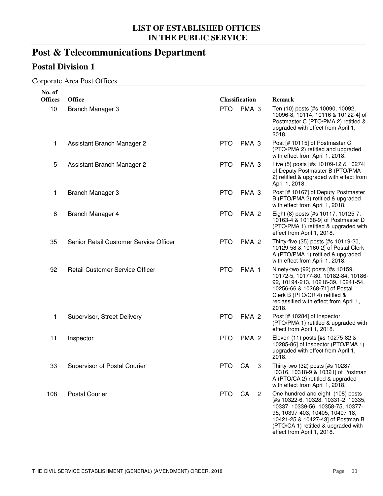# **Post & Telecommunications Department**

## **Postal Division 1**

#### Corporate Area Post Offices

| No. of         |                                        |            |                       |                                                                                                                                                                                                                                                            |
|----------------|----------------------------------------|------------|-----------------------|------------------------------------------------------------------------------------------------------------------------------------------------------------------------------------------------------------------------------------------------------------|
| <b>Offices</b> | <b>Office</b>                          |            | <b>Classification</b> | Remark                                                                                                                                                                                                                                                     |
| 10             | Branch Manager 3                       | <b>PTO</b> | PMA <sub>3</sub>      | Ten (10) posts [#s 10090, 10092,<br>10096-8, 10114, 10116 & 10122-4] of<br>Postmaster C (PTO/PMA 2) retitled &<br>upgraded with effect from April 1,<br>2018.                                                                                              |
| 1              | Assistant Branch Manager 2             | <b>PTO</b> | PMA <sub>3</sub>      | Post [# 10115] of Postmaster C<br>(PTO/PMA 2) retitled and upgraded<br>with effect from April 1, 2018.                                                                                                                                                     |
| 5              | Assistant Branch Manager 2             | <b>PTO</b> | PMA <sub>3</sub>      | Five (5) posts [#s 10109-12 & 10274]<br>of Deputy Postmaster B (PTO/PMA<br>2) retitled & upgraded with effect from<br>April 1, 2018.                                                                                                                       |
| 1              | Branch Manager 3                       | <b>PTO</b> | PMA <sub>3</sub>      | Post [# 10167] of Deputy Postmaster<br>B (PTO/PMA 2) retitled & upgraded<br>with effect from April 1, 2018.                                                                                                                                                |
| 8              | Branch Manager 4                       | <b>PTO</b> | PMA <sub>2</sub>      | Eight (8) posts [#s 10117, 10125-7,<br>10163-4 & 10168-9] of Postmaster D<br>(PTO/PMA 1) retitled & upgraded with<br>effect from April 1, 2018.                                                                                                            |
| 35             | Senior Retail Customer Service Officer | <b>PTO</b> | PMA <sub>2</sub>      | Thirty-five (35) posts [#s 10119-20,<br>10129-58 & 10160-2] of Postal Clerk<br>A (PTO/PMA 1) retitled & upgraded<br>with effect from April 1, 2018.                                                                                                        |
| 92             | <b>Retail Customer Service Officer</b> | <b>PTO</b> | PMA <sub>1</sub>      | Ninety-two (92) posts [#s 10159,<br>10172-5, 10177-80, 10182-84, 10186-<br>92, 10194-213, 10216-39, 10241-54,<br>10256-66 & 10268-71] of Postal<br>Clerk B (PTO/CR 4) retitled &<br>reclassified with effect from April 1,<br>2018.                        |
| 1              | Supervisor, Street Delivery            | <b>PTO</b> | PMA <sub>2</sub>      | Post [# 10284] of Inspector<br>(PTO/PMA 1) retitled & upgraded with<br>effect from April 1, 2018.                                                                                                                                                          |
| 11             | Inspector                              | <b>PTO</b> | PMA <sub>2</sub>      | Eleven (11) posts [#s 10275-82 &<br>10285-86] of Inspector (PTO/PMA 1)<br>upgraded with effect from April 1,<br>2018.                                                                                                                                      |
| 33             | <b>Supervisor of Postal Courier</b>    | <b>PTO</b> | CA                    | Thirty-two (32) posts [#s 10287-<br>3<br>10316, 10318-9 & 10321  of Postman<br>A (PTO/CA 2) retitled & upgraded<br>with effect from April 1, 2018.                                                                                                         |
| 108            | <b>Postal Courier</b>                  | <b>PTO</b> | CA<br>$\overline{2}$  | One hundred and eight (108) posts<br>[#s 10322-6, 10328, 10331-2, 10335,<br>10337, 10339-56, 10358-75, 10377-<br>95, 10397-403, 10405, 10407-18,<br>10421-25 & 10427-43] of Postman B<br>(PTO/CA 1) retitled & upgraded with<br>effect from April 1, 2018. |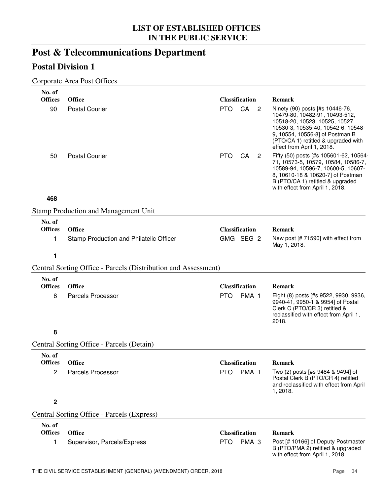# **Post & Telecommunications Department**

## **Postal Division 1**

#### Corporate Area Post Offices

| No. of           |                                                                |                       |                  |                            |                                                                                                                                                                                                                                                   |
|------------------|----------------------------------------------------------------|-----------------------|------------------|----------------------------|---------------------------------------------------------------------------------------------------------------------------------------------------------------------------------------------------------------------------------------------------|
| <b>Offices</b>   | <b>Office</b>                                                  | <b>Classification</b> |                  |                            | <b>Remark</b>                                                                                                                                                                                                                                     |
| 90               | <b>Postal Courier</b>                                          | <b>PTO</b>            | CA               | $\overline{\phantom{0}}^2$ | Ninety (90) posts [#s 10446-76,<br>10479-80, 10482-91, 10493-512,<br>10518-20, 10523, 10525, 10527,<br>10530-3, 10535-40, 10542-6, 10548-<br>9, 10554, 10556-8] of Postman B<br>(PTO/CA 1) retitled & upgraded with<br>effect from April 1, 2018. |
| 50               | <b>Postal Courier</b>                                          | PTO.                  | CA               | $\overline{2}$             | Fifty (50) posts [#s 105601-62, 10564-<br>71, 10573-5, 10579, 10584, 10586-7,<br>10589-94, 10596-7, 10600-5, 10607-<br>8, 10610-18 & 10620-7] of Postman<br>B (PTO/CA 1) retitled & upgraded<br>with effect from April 1, 2018.                   |
| 468              |                                                                |                       |                  |                            |                                                                                                                                                                                                                                                   |
|                  | <b>Stamp Production and Management Unit</b>                    |                       |                  |                            |                                                                                                                                                                                                                                                   |
| No. of           |                                                                |                       |                  |                            |                                                                                                                                                                                                                                                   |
| <b>Offices</b>   | <b>Office</b>                                                  | <b>Classification</b> |                  |                            | <b>Remark</b>                                                                                                                                                                                                                                     |
| 1                | Stamp Production and Philatelic Officer                        | GMG SEG 2             |                  |                            | New post [# 71590] with effect from<br>May 1, 2018.                                                                                                                                                                                               |
| 1                |                                                                |                       |                  |                            |                                                                                                                                                                                                                                                   |
|                  | Central Sorting Office - Parcels (Distribution and Assessment) |                       |                  |                            |                                                                                                                                                                                                                                                   |
| No. of           |                                                                |                       |                  |                            |                                                                                                                                                                                                                                                   |
| <b>Offices</b>   | <b>Office</b>                                                  | <b>Classification</b> |                  |                            | <b>Remark</b>                                                                                                                                                                                                                                     |
| 8                | <b>Parcels Processor</b>                                       | <b>PTO</b>            | PMA <sub>1</sub> |                            | Eight (8) posts [#s 9522, 9930, 9936,<br>9940-41, 9950-1 & 9954] of Postal<br>Clerk C (PTO/CR 3) retitled &<br>reclassified with effect from April 1,<br>2018.                                                                                    |
| 8                |                                                                |                       |                  |                            |                                                                                                                                                                                                                                                   |
|                  | Central Sorting Office - Parcels (Detain)                      |                       |                  |                            |                                                                                                                                                                                                                                                   |
| No. of           |                                                                |                       |                  |                            |                                                                                                                                                                                                                                                   |
| <b>Offices</b>   | <b>Office</b>                                                  | <b>Classification</b> |                  |                            | <b>Remark</b>                                                                                                                                                                                                                                     |
| 2                | Parcels Processor                                              | <b>PTO</b>            | PMA <sub>1</sub> |                            | Two (2) posts [#s 9484 & 9494] of<br>Postal Clerk B (PTO/CR 4) retitled<br>and reclassified with effect from April<br>1, 2018.                                                                                                                    |
| $\boldsymbol{2}$ |                                                                |                       |                  |                            |                                                                                                                                                                                                                                                   |
|                  | <b>Central Sorting Office - Parcels (Express)</b>              |                       |                  |                            |                                                                                                                                                                                                                                                   |
| No. of           |                                                                |                       |                  |                            |                                                                                                                                                                                                                                                   |
| <b>Offices</b>   | <b>Office</b>                                                  | <b>Classification</b> |                  |                            | <b>Remark</b>                                                                                                                                                                                                                                     |
| 1                | Supervisor, Parcels/Express                                    | <b>PTO</b>            | PMA <sub>3</sub> |                            | Post [# 10166] of Deputy Postmaster<br>B (PTO/PMA 2) retitled & upgraded                                                                                                                                                                          |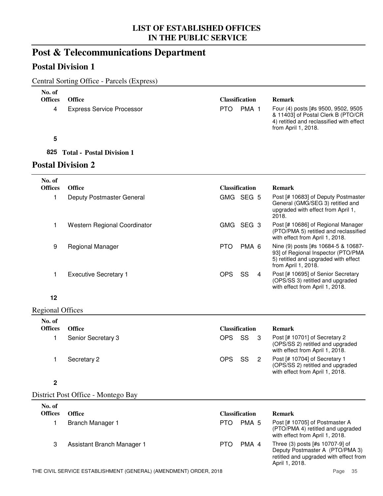## **Post & Telecommunications Department**

## **Postal Division 1**

|  |  |  |  | Central Sorting Office - Parcels (Express) |
|--|--|--|--|--------------------------------------------|
|--|--|--|--|--------------------------------------------|

|                          | Central Sorting Office - Farcels (Express) |            |                       |   |                                                                                                                                              |
|--------------------------|--------------------------------------------|------------|-----------------------|---|----------------------------------------------------------------------------------------------------------------------------------------------|
| No. of<br><b>Offices</b> | <b>Office</b>                              |            | <b>Classification</b> |   | <b>Remark</b>                                                                                                                                |
| 4                        | <b>Express Service Processor</b>           | <b>PTO</b> | PMA <sub>1</sub>      |   | Four (4) posts [#s 9500, 9502, 9505<br>& 11403] of Postal Clerk B (PTO/CR<br>4) retitled and reclassified with effect<br>from April 1, 2018. |
| 5                        |                                            |            |                       |   |                                                                                                                                              |
| 825                      | <b>Total - Postal Division 1</b>           |            |                       |   |                                                                                                                                              |
|                          | <b>Postal Division 2</b>                   |            |                       |   |                                                                                                                                              |
| No. of<br><b>Offices</b> | <b>Office</b>                              |            | <b>Classification</b> |   | <b>Remark</b>                                                                                                                                |
| 1                        | Deputy Postmaster General                  |            | GMG SEG 5             |   | Post [# 10683] of Deputy Postmaster<br>General (GMG/SEG 3) retitled and<br>upgraded with effect from April 1,<br>2018.                       |
| 1                        | Western Regional Coordinator               |            | GMG SEG 3             |   | Post [# 10686] of Regional Manager<br>(PTO/PMA 5) retitled and reclassified<br>with effect from April 1, 2018.                               |
| 9                        | Regional Manager                           | <b>PTO</b> | PMA <sub>6</sub>      |   | Nine (9) posts [#s 10684-5 & 10687-<br>93] of Regional Inspector (PTO/PMA<br>5) retitled and upgraded with effect<br>from April 1, 2018.     |
|                          | <b>Executive Secretary 1</b>               | <b>OPS</b> | SS                    | 4 | Post [# 10695] of Senior Secretary<br>(OPS/SS 3) retitled and upgraded                                                                       |

#### **12**

Regional Offices

| No. of<br><b>Offices</b> | <b>Office</b>      | <b>Classification</b> |    | <b>Remark</b>                                                                                        |
|--------------------------|--------------------|-----------------------|----|------------------------------------------------------------------------------------------------------|
|                          | Senior Secretary 3 | OPS                   | SS | Post [# 10701] of Secretary 2<br>(OPS/SS 2) retitled and upgraded<br>with effect from April 1, 2018. |
|                          | Secretary 2        | OPS SS                |    | Post [# 10704] of Secretary 1<br>(OPS/SS 2) retitled and upgraded<br>with effect from April 1, 2018. |

#### **2**

District Post Office - Montego Bay

| No. of<br><b>Offices</b> | <b>Office</b>              | <b>Classification</b>   | Remark                                                                                                                         |
|--------------------------|----------------------------|-------------------------|--------------------------------------------------------------------------------------------------------------------------------|
|                          | Branch Manager 1           | PMA <sub>5</sub><br>PTO | Post [# 10705] of Postmaster A<br>(PTO/PMA 4) retitled and upgraded<br>with effect from April 1, 2018.                         |
| 3                        | Assistant Branch Manager 1 | PMA 4<br>PTO            | Three (3) posts [#s 10707-9] of<br>Deputy Postmaster A (PTO/PMA 3)<br>retitled and upgraded with effect from<br>April 1, 2018. |

with effect from April 1, 2018.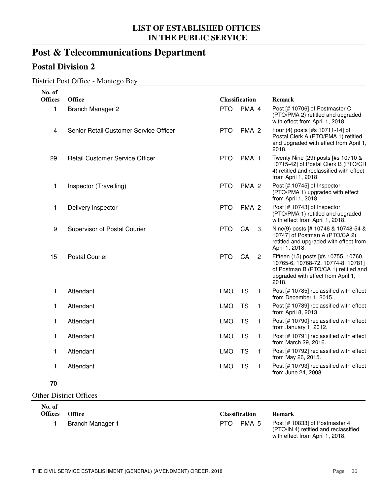## **Post & Telecommunications Department**

## **Postal Division 2**

#### District Post Office - Montego Bay

| No. of<br><b>Offices</b> | <b>Office</b>                          | <b>Classification</b> |                  |                |                                                                                                                                                                   |
|--------------------------|----------------------------------------|-----------------------|------------------|----------------|-------------------------------------------------------------------------------------------------------------------------------------------------------------------|
|                          |                                        |                       |                  |                | Remark                                                                                                                                                            |
| 1                        | Branch Manager 2                       | <b>PTO</b>            | PMA 4            |                | Post [# 10706] of Postmaster C<br>(PTO/PMA 2) retitled and upgraded<br>with effect from April 1, 2018.                                                            |
| 4                        | Senior Retail Customer Service Officer | <b>PTO</b>            | PMA <sub>2</sub> |                | Four (4) posts [#s 10711-14] of<br>Postal Clerk A (PTO/PMA 1) retitled<br>and upgraded with effect from April 1,<br>2018.                                         |
| 29                       | Retail Customer Service Officer        | <b>PTO</b>            | PMA <sub>1</sub> |                | Twenty Nine (29) posts [#s 10710 &<br>10715-42] of Postal Clerk B (PTO/CR<br>4) retitled and reclassified with effect<br>from April 1, 2018.                      |
| 1                        | Inspector (Travelling)                 | <b>PTO</b>            | PMA <sub>2</sub> |                | Post [# 10745] of Inspector<br>(PTO/PMA 1) upgraded with effect<br>from April 1, 2018.                                                                            |
| 1                        | Delivery Inspector                     | <b>PTO</b>            | PMA <sub>2</sub> |                | Post [# 10743] of Inspector<br>(PTO/PMA 1) retitled and upgraded<br>with effect from April 1, 2018.                                                               |
| 9                        | Supervisor of Postal Courier           | <b>PTO</b>            | CA               | 3              | Nine(9) posts [# 10746 & 10748-54 &<br>10747] of Postman A (PTO/CA 2)<br>retitled and upgraded with effect from<br>April 1, 2018.                                 |
| 15                       | <b>Postal Courier</b>                  | <b>PTO</b>            | CA               | $\overline{c}$ | Fifteen (15) posts [#s 10755, 10760,<br>10765-6, 10768-72, 10774-8, 10781]<br>of Postman B (PTO/CA 1) retitled and<br>upgraded with effect from April 1,<br>2018. |
| 1                        | Attendant                              | <b>LMO</b>            | <b>TS</b>        | $\mathbf{1}$   | Post [# 10785] reclassified with effect<br>from December 1, 2015.                                                                                                 |
| 1                        | Attendant                              | <b>LMO</b>            | <b>TS</b>        | $\mathbf{1}$   | Post [# 10789] reclassified with effect<br>from April 8, 2013.                                                                                                    |
| 1                        | Attendant                              | <b>LMO</b>            | <b>TS</b>        | 1              | Post [# 10790] reclassified with effect<br>from January 1, 2012.                                                                                                  |
| 1                        | Attendant                              | <b>LMO</b>            | <b>TS</b>        | 1              | Post [# 10791] reclassified with effect<br>from March 29, 2016.                                                                                                   |
| 1                        | Attendant                              | <b>LMO</b>            | <b>TS</b>        | $\mathbf{1}$   | Post [# 10792] reclassified with effect<br>from May 26, 2015.                                                                                                     |
| 1                        | Attendant                              | <b>LMO</b>            | <b>TS</b>        | $\mathbf{1}$   | Post [# 10793] reclassified with effect<br>from June 24, 2008.                                                                                                    |
| 70                       |                                        |                       |                  |                |                                                                                                                                                                   |

Other District Offices

**No. of** 

1 Branch Manager 1 **PTO PMA 5** 

**Offices Office Classification Remark**

Post [# 10833] of Postmaster 4 (PTO/IN 4) retitled and reclassified with effect from April 1, 2018.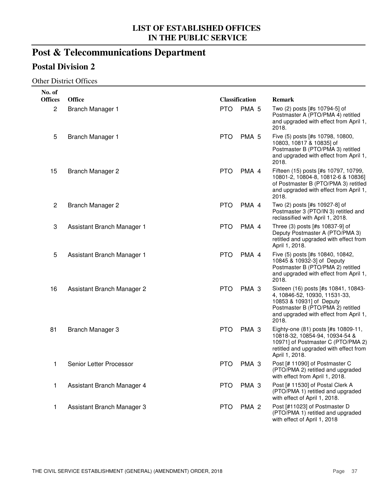# **Post & Telecommunications Department**

## **Postal Division 2**

#### Other District Offices

| No. of         |                            |            |                       |                                                                                                                                                                                           |
|----------------|----------------------------|------------|-----------------------|-------------------------------------------------------------------------------------------------------------------------------------------------------------------------------------------|
| <b>Offices</b> | <b>Office</b>              |            | <b>Classification</b> | Remark                                                                                                                                                                                    |
| $\overline{c}$ | <b>Branch Manager 1</b>    | <b>PTO</b> | PMA <sub>5</sub>      | Two (2) posts [#s 10794-5] of<br>Postmaster A (PTO/PMA 4) retitled<br>and upgraded with effect from April 1,<br>2018.                                                                     |
| 5              | Branch Manager 1           | <b>PTO</b> | PMA <sub>5</sub>      | Five (5) posts [#s 10798, 10800,<br>10803, 10817 & 10835] of<br>Postmaster B (PTO/PMA 3) retitled<br>and upgraded with effect from April 1,<br>2018.                                      |
| 15             | Branch Manager 2           | <b>PTO</b> | PMA 4                 | Fifteen (15) posts [#s 10797, 10799,<br>10801-2, 10804-8, 10812-6 & 10836]<br>of Postmaster B (PTO/PMA 3) retitled<br>and upgraded with effect from April 1,<br>2018.                     |
| $\mathbf{2}$   | <b>Branch Manager 2</b>    | <b>PTO</b> | PMA 4                 | Two (2) posts [#s 10927-8] of<br>Postmaster 3 (PTO/IN 3) retitled and<br>reclassified with April 1, 2018.                                                                                 |
| 3              | Assistant Branch Manager 1 | <b>PTO</b> | PMA 4                 | Three (3) posts [#s 10837-9] of<br>Deputy Postmaster A (PTO/PMA 3)<br>retitled and upgraded with effect from<br>April 1, 2018.                                                            |
| 5              | Assistant Branch Manager 1 | <b>PTO</b> | PMA 4                 | Five (5) posts [#s 10840, 10842,<br>10845 & 10932-3] of Deputy<br>Postmaster B (PTO/PMA 2) retitled<br>and upgraded with effect from April 1,<br>2018.                                    |
| 16             | Assistant Branch Manager 2 | <b>PTO</b> | PMA <sub>3</sub>      | Sixteen (16) posts [#s 10841, 10843-<br>4, 10846-52, 10930, 11531-33,<br>10853 & 10931] of Deputy<br>Postmaster B (PTO/PMA 2) retitled<br>and upgraded with effect from April 1,<br>2018. |
| 81             | Branch Manager 3           | <b>PTO</b> | PMA <sub>3</sub>      | Eighty-one (81) posts [#s 10809-11,<br>10818-32, 10854-94, 10934-54 &<br>10971] of Postmaster C (PTO/PMA 2)<br>retitled and upgraded with effect from<br>April 1, 2018.                   |
| 1              | Senior Letter Processor    | <b>PTO</b> | PMA <sub>3</sub>      | Post [# 11090] of Postmaster C<br>(PTO/PMA 2) retitled and upgraded<br>with effect from April 1, 2018.                                                                                    |
| 1              | Assistant Branch Manager 4 | <b>PTO</b> | PMA <sub>3</sub>      | Post [# 11530] of Postal Clerk A<br>(PTO/PMA 1) retitled and upgraded<br>with effect of April 1, 2018.                                                                                    |
| 1              | Assistant Branch Manager 3 | <b>PTO</b> | PMA <sub>2</sub>      | Post [#11023] of Postmaster D<br>(PTO/PMA 1) retitled and upgraded<br>with effect of April 1, 2018                                                                                        |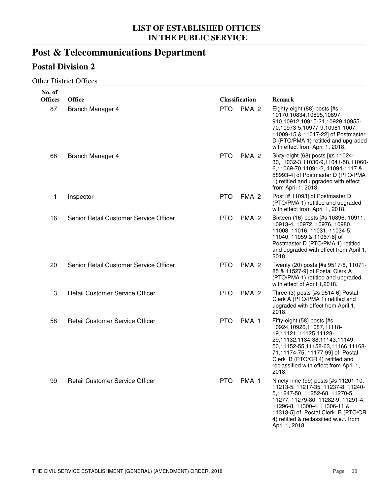# **Post & Telecommunications Department**

## **Postal Division 2**

#### Other District Offices

| No. of         |                                        |            |                       |                                                                                                                                                                                                                                                                                     |
|----------------|----------------------------------------|------------|-----------------------|-------------------------------------------------------------------------------------------------------------------------------------------------------------------------------------------------------------------------------------------------------------------------------------|
| <b>Offices</b> | <b>Office</b>                          |            | <b>Classification</b> | <b>Remark</b>                                                                                                                                                                                                                                                                       |
| 87             | Branch Manager 4                       | <b>PTO</b> | PMA <sub>2</sub>      | Eighty-eight (88) posts [#s<br>10170,10834,10895,10897-<br>910,10912,10915-21,10929,10955-<br>70,10973-5,10977-9,10981-1007,<br>11009-15 & 11017-22] of Postmaster<br>D (PTO/PMA 1) retitled and upgraded<br>with effect from April 1, 2018.                                        |
| 68             | Branch Manager 4                       | <b>PTO</b> | PMA <sub>2</sub>      | Sixty-eight (68) posts [#s 11024-<br>30,11032-3,11036-9,11041-58,11060-<br>6,11069-70,11091-2, 11094-1117 &<br>58993-4] of Postmaster D (PTO/PMA<br>1) retitled and upgraded with effect<br>from April 1, 2018.                                                                     |
| 1              | Inspector                              | <b>PTO</b> | PMA <sub>2</sub>      | Post [# 11093] of Postmaster D<br>(PTO/PMA 1) retitled and upgraded<br>with effect from April 1, 2018.                                                                                                                                                                              |
| 16             | Senior Retail Customer Service Officer | <b>PTO</b> | PMA <sub>2</sub>      | Sixteen (16) posts [#s 10896, 10911,<br>10913-4, 10972, 10976, 10980,<br>11008, 11016, 11031, 11034-5,<br>11040, 11059 & 11067-8] of<br>Postmaster D (PTO/PMA 1) retitled<br>and upgraded with effect from April 1,<br>2018.                                                        |
| 20             | Senior Retail Customer Service Officer | <b>PTO</b> | PMA <sub>2</sub>      | Twenty (20) posts [#s 9517-8, 11071-<br>85 & 11527-9] of Postal Clerk A<br>(PTO/PMA 1) retitled and upgraded<br>with effect of April 1,2018.                                                                                                                                        |
| 3              | <b>Retail Customer Service Officer</b> | <b>PTO</b> | PMA <sub>2</sub>      | Three (3) posts [#s 9514-6] Postal<br>Clerk A (PTO/PMA 1) retitled and<br>upgraded with effect from April 1,<br>2018.                                                                                                                                                               |
| 58             | <b>Retail Customer Service Officer</b> | <b>PTO</b> | PMA <sub>1</sub>      | Fifty-eight (58) posts [#s<br>10924,10926,11087,11118-<br>19,11121, 11125,11128-<br>29,11132,1134-38,11143,11149-<br>50,11152-55,11158-63,11166,11168-<br>71,11174-75, 11177-99] of Postal<br>Clerk B (PTO/CR 4) retitled and<br>reclassified with effect from April 1,<br>2018.    |
| 99             | <b>Retail Customer Service Officer</b> | <b>PTO</b> | PMA <sub>1</sub>      | Ninety-nine (99) posts [#s 11201-10,<br>11213-5, 11217-35, 11237-8, 11240-<br>5,11247-50, 11252-68, 11270-5,<br>11277, 11279-80, 11282-9, 11291-4,<br>11296-8, 11300-4, 11306-11 &<br>11313-5] of Postal Clerk B (PTO/CR<br>4) retitled & reclassified w.e.f. from<br>April 1, 2018 |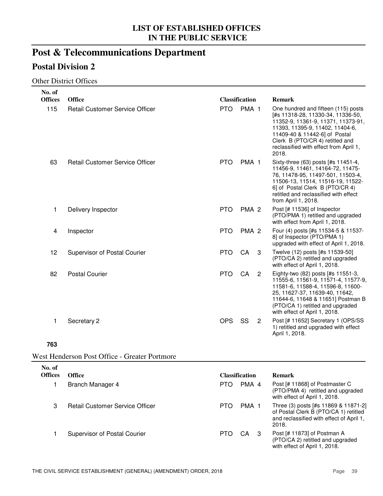# **Post & Telecommunications Department**

## **Postal Division 2**

#### Other District Offices

| No. of         |                                        |                       |                  |                            |                                                                                                                                                                                                                                                                          |
|----------------|----------------------------------------|-----------------------|------------------|----------------------------|--------------------------------------------------------------------------------------------------------------------------------------------------------------------------------------------------------------------------------------------------------------------------|
| <b>Offices</b> | <b>Office</b>                          | <b>Classification</b> |                  |                            | <b>Remark</b>                                                                                                                                                                                                                                                            |
| 115            | <b>Retail Customer Service Officer</b> | <b>PTO</b>            | PMA <sub>1</sub> |                            | One hundred and fifteen (115) posts<br>[#s 11318-28, 11330-34, 11336-50,<br>11352-9, 11361-9, 11371, 11373-91,<br>11393, 11395-9, 11402, 11404-6,<br>11409-40 & 11442-6] of Postal<br>Clerk B (PTO/CR 4) retitled and<br>reclassified with effect from April 1,<br>2018. |
| 63             | <b>Retail Customer Service Officer</b> | <b>PTO</b>            | PMA <sub>1</sub> |                            | Sixty-three (63) posts [#s 11451-4,<br>11456-9, 11461, 14164-72, 11475-<br>76, 11478-95, 11497-501, 11503-4,<br>11506-13, 11514, 11516-19, 11522-<br>6] of Postal Clerk B (PTO/CR 4)<br>retitled and reclassified with effect<br>from April 1, 2018.                     |
| 1              | Delivery Inspector                     | <b>PTO</b>            | PMA <sub>2</sub> |                            | Post [# 11536] of Inspector<br>(PTO/PMA 1) retitled and upgraded<br>with effect from April 1, 2018.                                                                                                                                                                      |
| 4              | Inspector                              | <b>PTO</b>            | PMA <sub>2</sub> |                            | Four (4) posts [#s 11534-5 & 11537-<br>8] of Inspector (PTO/PMA 1)<br>upgraded with effect of April 1, 2018.                                                                                                                                                             |
| 12             | Supervisor of Postal Courier           | <b>PTO</b>            | CA               | 3                          | Twelve (12) posts [#s 11539-50]<br>(PTO/CA 2) retitled and upgraded<br>with effect of April 1, 2018.                                                                                                                                                                     |
| 82             | <b>Postal Courier</b>                  | <b>PTO</b>            | CA               | $\overline{\phantom{0}}^2$ | Eighty-two (82) posts [#s 11551-3,<br>11555-6, 11561-9, 11571-4, 11577-9,<br>11581-6, 11588-4, 11596-8, 11600-<br>25, 11627-37, 11639-40, 11642,<br>11644-6, 11648 & 11651] Postman B<br>(PTO/CA 1) retitled and upgraded<br>with effect of April 1, 2018.               |
| 1              | Secretary 2                            | <b>OPS</b>            | SS               | 2                          | Post [# 11652] Secretary 1 (OPS/SS<br>1) retitled and upgraded with effect<br>April 1, 2018.                                                                                                                                                                             |
|                |                                        |                       |                  |                            |                                                                                                                                                                                                                                                                          |

**763**

| No. of<br><b>Offices</b> | <b>Office</b>                          | <b>Classification</b> | <b>Remark</b>                                                                                                                      |
|--------------------------|----------------------------------------|-----------------------|------------------------------------------------------------------------------------------------------------------------------------|
|                          | Branch Manager 4                       | PMA 4<br><b>PTO</b>   | Post [# 11868] of Postmaster C<br>(PTO/PMA 4) retitled and upgraded<br>with effect of April 1, 2018.                               |
| 3                        | <b>Retail Customer Service Officer</b> | PMA 1<br>PTO          | Three (3) posts [#s 11869 & 11871-2]<br>of Postal Clerk B (PTO/CA 1) retitled<br>and reclassified with effect of April 1,<br>2018. |
|                          | <b>Supervisor of Postal Courier</b>    | <b>PTO</b><br>CA 3    | Post [# 11873] of Postman A<br>(PTO/CA 2) retitled and upgraded<br>with effect of April 1, 2018.                                   |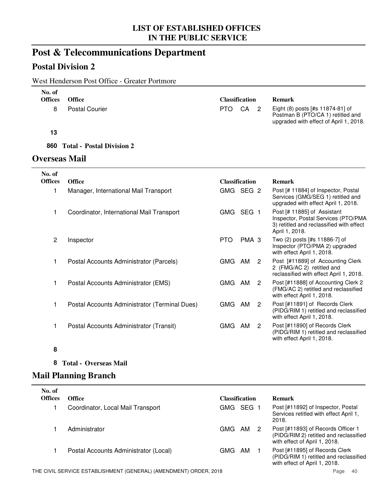## **Post & Telecommunications Department**

## **Postal Division 2**

## West Henderson Post Office - Greater Portmore

| No. of<br><b>Offices</b> | <b>Office</b>         | <b>Classification</b> |  | <b>Remark</b>                                                                                                   |
|--------------------------|-----------------------|-----------------------|--|-----------------------------------------------------------------------------------------------------------------|
|                          | <b>Postal Courier</b> | PTO CA 2              |  | Eight (8) posts [#s 11874-81] of<br>Postman B (PTO/CA 1) retitled and<br>upgraded with effect of April 1, 2018. |

#### **13**

#### **860 Total - Postal Division 2**

#### **Overseas Mail**

| No. of         |                                               |                       |       |   |                                                                                                                                  |
|----------------|-----------------------------------------------|-----------------------|-------|---|----------------------------------------------------------------------------------------------------------------------------------|
| <b>Offices</b> | <b>Office</b>                                 | <b>Classification</b> |       |   | <b>Remark</b>                                                                                                                    |
| 1              | Manager, International Mail Transport         | GMG SEG 2             |       |   | Post [# 11884] of Inspector, Postal<br>Services (GMG/SEG 1) retitled and<br>upgraded with effect April 1, 2018.                  |
| 1              | Coordinator, International Mail Transport     | GMG                   | SEG 1 |   | Post [# 11885] of Assistant<br>Inspector, Postal Services (PTO/PMA<br>3) retitled and reclassified with effect<br>April 1, 2018. |
| 2              | Inspector                                     | <b>PTO</b>            | PMA 3 |   | Two (2) posts [#s 11886-7] of<br>Inspector (PTO/PMA 2) upgraded<br>with effect April 1, 2018.                                    |
| 1              | Postal Accounts Administrator (Parcels)       | GMG                   | AM    | 2 | Post [#11889] of Accounting Clerk<br>2 (FMG/AC 2) retitled and<br>reclassified with effect April 1, 2018.                        |
| 1              | Postal Accounts Administrator (EMS)           | GMG                   | AM    | 2 | Post [#11888] of Accounting Clerk 2<br>(FMG/AC 2) retitled and reclassified<br>with effect April 1, 2018.                        |
| 1              | Postal Accounts Administrator (Terminal Dues) | <b>GMG</b>            | AM    | 2 | Post [#11891] of Records Clerk<br>(PIDG/RIM 1) retitled and reclassified<br>with effect April 1, 2018.                           |
| 1              | Postal Accounts Administrator (Transit)       | GMG                   | AM    | 2 | Post [#11890] of Records Clerk<br>(PIDG/RIM 1) retitled and reclassified<br>with effect April 1, 2018.                           |

#### **8**

#### **8 Total - Overseas Mail**

## **Mail Planning Branch**

| No. of<br><b>Offices</b> | <b>Office</b>                         | <b>Classification</b> | <b>Remark</b>                                                                                                 |
|--------------------------|---------------------------------------|-----------------------|---------------------------------------------------------------------------------------------------------------|
|                          | Coordinator, Local Mail Transport     | GMG SEG 1             | Post [#11892] of Inspector, Postal<br>Services retitled with effect April 1,<br>2018.                         |
|                          | Administrator                         | GMG<br>AM<br>2        | Post [#11893] of Records Officer 1<br>(PIDG/RIM 2) retitled and reclassified<br>with effect of April 1, 2018. |
|                          | Postal Accounts Administrator (Local) | AM<br>GMG             | Post [#11895] of Records Clerk<br>(PIDG/RIM 1) retitled and reclassified<br>with effect of April 1, 2018.     |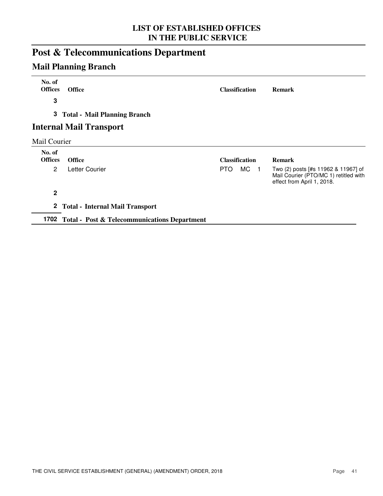# **Post & Telecommunications Department**

## **Mail Planning Branch**

| No. of<br><b>Offices</b> | <b>Office</b>                     | <b>Classification</b>  | <b>Remark</b>                                                                                              |
|--------------------------|-----------------------------------|------------------------|------------------------------------------------------------------------------------------------------------|
| $\mathbf 3$              |                                   |                        |                                                                                                            |
|                          | 3 Total - Mail Planning Branch    |                        |                                                                                                            |
|                          | <b>Internal Mail Transport</b>    |                        |                                                                                                            |
| Mail Courier             |                                   |                        |                                                                                                            |
| No. of<br><b>Offices</b> | <b>Office</b>                     | <b>Classification</b>  | <b>Remark</b>                                                                                              |
| $\overline{2}$           | Letter Courier                    | MC <sub>1</sub><br>PTO | Two (2) posts [#s 11962 & 11967] of<br>Mail Courier (PTO/MC 1) retitled with<br>effect from April 1, 2018. |
| $\mathbf{2}$             |                                   |                        |                                                                                                            |
|                          | 2 Total - Internal Mail Transport |                        |                                                                                                            |

**1702 Total - Post & Telecommunications Department**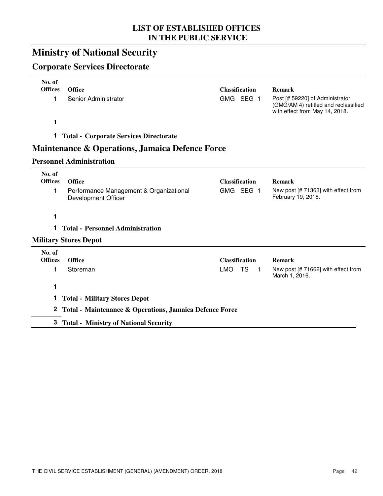## **Ministry of National Security**

## **Corporate Services Directorate**

| No. of<br><b>Offices</b><br>1 | <b>Office</b><br>Senior Administrator                          | <b>Classification</b><br>GMG SEG 1        | <b>Remark</b><br>Post [# 59220] of Administrator<br>(GMG/AM 4) retitled and reclassified<br>with effect from May 14, 2018. |
|-------------------------------|----------------------------------------------------------------|-------------------------------------------|----------------------------------------------------------------------------------------------------------------------------|
| 1                             |                                                                |                                           |                                                                                                                            |
| 1.                            | <b>Total - Corporate Services Directorate</b>                  |                                           |                                                                                                                            |
|                               | <b>Maintenance &amp; Operations, Jamaica Defence Force</b>     |                                           |                                                                                                                            |
|                               | <b>Personnel Administration</b>                                |                                           |                                                                                                                            |
| No. of<br><b>Offices</b>      | <b>Office</b>                                                  | <b>Classification</b>                     | <b>Remark</b>                                                                                                              |
| 1                             | Performance Management & Organizational<br>Development Officer | GMG SEG 1                                 | New post [# 71363] with effect from<br>February 19, 2018.                                                                  |
| 1                             |                                                                |                                           |                                                                                                                            |
| 1.                            | <b>Total - Personnel Administration</b>                        |                                           |                                                                                                                            |
|                               | <b>Military Stores Depot</b>                                   |                                           |                                                                                                                            |
| No. of<br><b>Offices</b>      | <b>Office</b>                                                  | <b>Classification</b>                     | <b>Remark</b>                                                                                                              |
| 1                             | Storeman                                                       | <b>LMO</b><br><b>TS</b><br>$\blacksquare$ | New post [# 71662] with effect from<br>March 1, 2016.                                                                      |
| 1                             |                                                                |                                           |                                                                                                                            |
| 1.                            | <b>Total - Military Stores Depot</b>                           |                                           |                                                                                                                            |
|                               | 2 Total - Maintenance & Operations, Jamaica Defence Force      |                                           |                                                                                                                            |
|                               | 3 Total - Ministry of National Security                        |                                           |                                                                                                                            |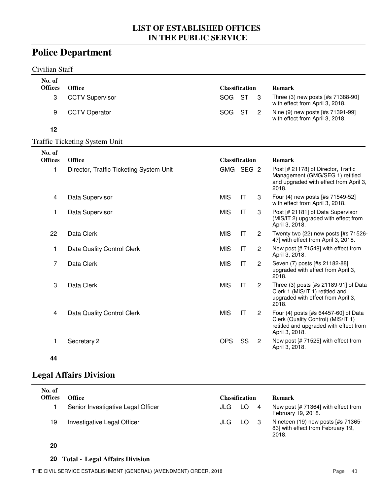## **Police Department**

#### Civilian Staff

| No. of         |                                         |                       |                        |                |                                                                                                                                        |
|----------------|-----------------------------------------|-----------------------|------------------------|----------------|----------------------------------------------------------------------------------------------------------------------------------------|
| <b>Offices</b> | <b>Office</b>                           | <b>Classification</b> |                        |                | <b>Remark</b>                                                                                                                          |
| 3              | <b>CCTV Supervisor</b>                  | SOG                   | <b>ST</b>              | 3              | Three (3) new posts [#s 71388-90]<br>with effect from April 3, 2018.                                                                   |
| 9              | <b>CCTV Operator</b>                    | SOG                   | <b>ST</b>              | $\overline{2}$ | Nine (9) new posts [#s 71391-99]<br>with effect from April 3, 2018.                                                                    |
| 12             |                                         |                       |                        |                |                                                                                                                                        |
|                | <b>Traffic Ticketing System Unit</b>    |                       |                        |                |                                                                                                                                        |
| No. of         |                                         |                       |                        |                |                                                                                                                                        |
| <b>Offices</b> | <b>Office</b>                           | <b>Classification</b> |                        |                | <b>Remark</b>                                                                                                                          |
| $\mathbf{1}$   | Director, Traffic Ticketing System Unit | GMG SEG 2             |                        |                | Post [# 21178] of Director, Traffic<br>Management (GMG/SEG 1) retitled<br>and upgraded with effect from April 3,<br>2018.              |
| 4              | Data Supervisor                         | <b>MIS</b>            | IT                     | 3              | Four (4) new posts [#s 71549-52]<br>with effect from April 3, 2018.                                                                    |
| 1              | Data Supervisor                         | <b>MIS</b>            | IT                     | 3              | Post [# 21181] of Data Supervisor<br>(MIS/IT 2) upgraded with effect from<br>April 3, 2018.                                            |
| 22             | Data Clerk                              | <b>MIS</b>            | IT                     | $\overline{c}$ | Twenty two (22) new posts [#s 71526-<br>47] with effect from April 3, 2018.                                                            |
| 1              | Data Quality Control Clerk              | <b>MIS</b>            | IT                     | $\overline{2}$ | New post [# 71548] with effect from<br>April 3, 2018.                                                                                  |
| $\overline{7}$ | Data Clerk                              | <b>MIS</b>            | IT                     | $\overline{2}$ | Seven (7) posts [#s 21182-88]<br>upgraded with effect from April 3,<br>2018.                                                           |
| 3              | Data Clerk                              | <b>MIS</b>            | $\mathsf{I}\mathsf{T}$ | $\overline{c}$ | Three (3) posts [#s 21189-91] of Data<br>Clerk 1 (MIS/IT 1) retitled and<br>upgraded with effect from April 3,<br>2018.                |
| 4              | Data Quality Control Clerk              | <b>MIS</b>            | IT                     | $\overline{2}$ | Four (4) posts [#s 64457-60] of Data<br>Clerk (Quality Control) (MIS/IT 1)<br>retitled and upgraded with effect from<br>April 3, 2018. |
| 1              | Secretary 2                             | <b>OPS</b>            | SS                     | $\overline{c}$ | New post [# 71525] with effect from<br>April 3, 2018.                                                                                  |

#### **44**

## **Legal Affairs Division**

| No. of<br><b>Offices</b> | Office                             | Classification |     | Remark                                                                           |
|--------------------------|------------------------------------|----------------|-----|----------------------------------------------------------------------------------|
|                          | Senior Investigative Legal Officer | JLG            | LO  | New post $[# 71364]$ with effect from<br>February 19, 2018.                      |
| 19                       | Investigative Legal Officer        | JLG            | LO. | Nineteen (19) new posts [#s 71365-<br>83] with effect from February 19,<br>2018. |

#### **20**

### **20 Total - Legal Affairs Division**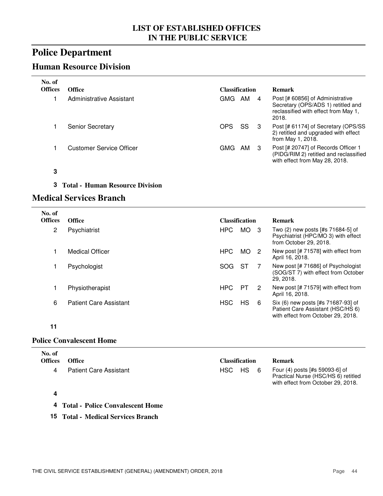## **Police Department**

## **Human Resource Division**

| No. of<br><b>Offices</b> | Office                   | <b>Classification</b> |     |                | <b>Remark</b>                                                                                                           |
|--------------------------|--------------------------|-----------------------|-----|----------------|-------------------------------------------------------------------------------------------------------------------------|
|                          | Administrative Assistant | GMG.                  | AM  | $\overline{4}$ | Post [# 60856] of Administrative<br>Secretary (OPS/ADS 1) retitled and<br>reclassified with effect from May 1,<br>2018. |
|                          | <b>Senior Secretary</b>  | <b>OPS</b>            | SS. | -3             | Post [# 61174] of Secretary (OPS/SS<br>2) retitled and upgraded with effect<br>from May 1, 2018.                        |
|                          | Customer Service Officer | GMG                   | AM  | -3             | Post [# 20747] of Records Officer 1<br>(PIDG/RIM 2) retitled and reclassified<br>with effect from May 28, 2018.         |

- **3**
- **3 Total - Human Resource Division**

#### **Medical Services Branch**

| No. of<br><b>Offices</b> | <b>Office</b>                 | <b>Classification</b> |      |     | <b>Remark</b>                                                                                                 |
|--------------------------|-------------------------------|-----------------------|------|-----|---------------------------------------------------------------------------------------------------------------|
| 2                        | Psychiatrist                  | HPC                   | MO l | - 3 | Two (2) new posts [#s 71684-5] of<br>Psychiatrist (HPC/MO 3) with effect<br>from October 29, 2018.            |
|                          | Medical Officer               | HPC                   | MO.  | -2  | New post [# 71578] with effect from<br>April 16, 2018.                                                        |
|                          | Psychologist                  | <b>SOG</b>            | ST   |     | New post [# 71686] of Psychologist<br>(SOG/ST 7) with effect from October<br>29, 2018.                        |
|                          | Physiotherapist               | HPC                   | PТ   | 2   | New post [# 71579] with effect from<br>April 16, 2018.                                                        |
| 6                        | <b>Patient Care Assistant</b> | <b>HSC</b>            | HS   | 6   | Six (6) new posts [#s 71687-93] of<br>Patient Care Assistant (HSC/HS 6)<br>with effect from October 29, 2018. |

#### **11**

#### **Police Convalescent Home**

| No. of<br><b>Offices</b> | <b>Office</b>                 | <b>Classification</b> | <b>Remark</b>                                                                                               |
|--------------------------|-------------------------------|-----------------------|-------------------------------------------------------------------------------------------------------------|
|                          | <b>Patient Care Assistant</b> | HSC.<br>HS.<br>6      | Four (4) posts [#s 59093-6] of<br>Practical Nurse (HSC/HS 6) retitled<br>with effect from October 29, 2018. |
|                          |                               |                       |                                                                                                             |

- **4 Total - Police Convalescent Home**
- **15 Total - Medical Services Branch**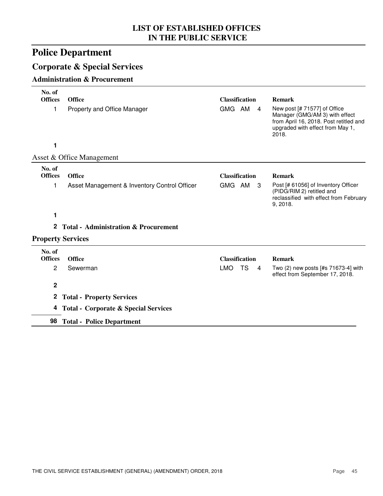# **Police Department**

## **Corporate & Special Services**

#### **Administration & Procurement**

| No. of<br><b>Offices</b> | <b>Office</b>                                   | <b>Classification</b>              | <b>Remark</b>                                                                                                                                         |
|--------------------------|-------------------------------------------------|------------------------------------|-------------------------------------------------------------------------------------------------------------------------------------------------------|
| 1                        | Property and Office Manager                     | GMG AM<br>$\overline{4}$           | New post [# 71577] of Office<br>Manager (GMG/AM 3) with effect<br>from April 16, 2018. Post retitled and<br>upgraded with effect from May 1,<br>2018. |
| 1                        |                                                 |                                    |                                                                                                                                                       |
|                          | Asset & Office Management                       |                                    |                                                                                                                                                       |
| No. of<br><b>Offices</b> | <b>Office</b>                                   | <b>Classification</b>              | <b>Remark</b>                                                                                                                                         |
| 1                        | Asset Management & Inventory Control Officer    | GMG AM<br>- 3                      | Post [# 61056] of Inventory Officer<br>(PIDG/RIM 2) retitled and<br>reclassified with effect from February<br>9, 2018.                                |
| 1                        |                                                 |                                    |                                                                                                                                                       |
| $\mathbf{2}$             | <b>Total - Administration &amp; Procurement</b> |                                    |                                                                                                                                                       |
|                          | <b>Property Services</b>                        |                                    |                                                                                                                                                       |
| No. of<br><b>Offices</b> | <b>Office</b>                                   | <b>Classification</b>              | <b>Remark</b>                                                                                                                                         |
| 2                        | Sewerman                                        | <b>LMO</b><br>TS<br>$\overline{4}$ | Two (2) new posts [#s 71673-4] with<br>effect from September 17, 2018.                                                                                |
| $\mathbf 2$              |                                                 |                                    |                                                                                                                                                       |
| $\boldsymbol{2}$         | <b>Total - Property Services</b>                |                                    |                                                                                                                                                       |
| 4                        | <b>Total - Corporate &amp; Special Services</b> |                                    |                                                                                                                                                       |
| 98                       | <b>Total - Police Department</b>                |                                    |                                                                                                                                                       |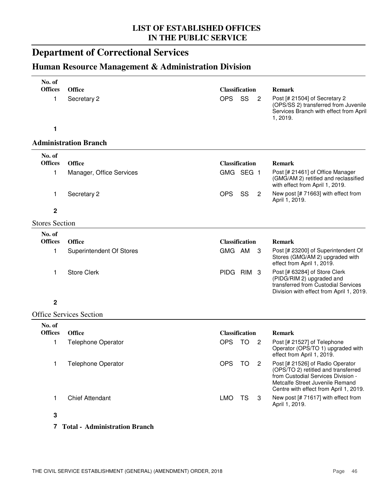# **Department of Correctional Services**

## **Human Resource Management & Administration Division**

| No. of                   |                                 |                       |                |                                                                                                                                                                                            |
|--------------------------|---------------------------------|-----------------------|----------------|--------------------------------------------------------------------------------------------------------------------------------------------------------------------------------------------|
| <b>Offices</b>           | <b>Office</b>                   | <b>Classification</b> |                | <b>Remark</b>                                                                                                                                                                              |
| 1                        | Secretary 2                     | <b>OPS</b><br>SS      | $\overline{c}$ | Post [# 21504] of Secretary 2<br>(OPS/SS 2) transferred from Juvenile<br>Services Branch with effect from April<br>1, 2019.                                                                |
| 1                        |                                 |                       |                |                                                                                                                                                                                            |
|                          | <b>Administration Branch</b>    |                       |                |                                                                                                                                                                                            |
| No. of<br><b>Offices</b> |                                 |                       |                |                                                                                                                                                                                            |
|                          | <b>Office</b>                   | <b>Classification</b> |                | <b>Remark</b>                                                                                                                                                                              |
| 1                        | Manager, Office Services        | GMG SEG 1             |                | Post [# 21461] of Office Manager<br>(GMG/AM 2) retitled and reclassified<br>with effect from April 1, 2019.                                                                                |
| 1                        | Secretary 2                     | <b>OPS</b><br>SS      | $\overline{2}$ | New post [# 71663] with effect from<br>April 1, 2019.                                                                                                                                      |
| 2                        |                                 |                       |                |                                                                                                                                                                                            |
| <b>Stores Section</b>    |                                 |                       |                |                                                                                                                                                                                            |
| No. of                   |                                 |                       |                |                                                                                                                                                                                            |
| <b>Offices</b>           | <b>Office</b>                   | <b>Classification</b> |                | Remark                                                                                                                                                                                     |
| 1                        | <b>Superintendent Of Stores</b> | GMG AM                | - 3            | Post [# 23200] of Superintendent Of<br>Stores (GMG/AM 2) upgraded with<br>effect from April 1, 2019.                                                                                       |
| 1                        | <b>Store Clerk</b>              | PIDG RIM 3            |                | Post [# 63284] of Store Clerk<br>(PIDG/RIM 2) upgraded and<br>transferred from Custodial Services<br>Division with effect from April 1, 2019.                                              |
| $\mathbf 2$              |                                 |                       |                |                                                                                                                                                                                            |
|                          | <b>Office Services Section</b>  |                       |                |                                                                                                                                                                                            |
| No. of                   |                                 |                       |                |                                                                                                                                                                                            |
| <b>Offices</b>           | <b>Office</b>                   | <b>Classification</b> |                | <b>Remark</b>                                                                                                                                                                              |
| 1                        | <b>Telephone Operator</b>       | <b>OPS</b><br>TO      | 2              | Post [# 21527] of Telephone<br>Operator (OPS/TO 1) upgraded with<br>effect from April 1, 2019.                                                                                             |
| 1                        | <b>Telephone Operator</b>       | <b>OPS</b><br>TO      | $\mathbf{2}$   | Post [# 21526] of Radio Operator<br>(OPS/TO 2) retitled and transferred<br>from Custodial Services Division -<br>Metcalfe Street Juvenile Remand<br>Centre with effect from April 1, 2019. |
| 1                        | <b>Chief Attendant</b>          | <b>LMO</b><br>TS      | 3              | New post [# 71617] with effect from<br>April 1, 2019.                                                                                                                                      |
| 3                        |                                 |                       |                |                                                                                                                                                                                            |
|                          |                                 |                       |                |                                                                                                                                                                                            |

#### **7 Total - Administration Branch**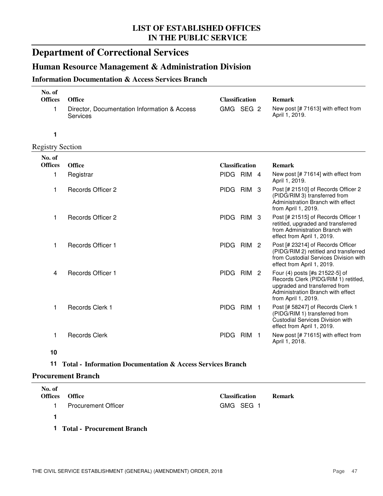## **Department of Correctional Services**

## **Human Resource Management & Administration Division**

#### **Information Documentation & Access Services Branch**

| No. of<br><b>Offices</b> | <b>Office</b>                                                   | <b>Classification</b>           | <b>Remark</b>                                                                                             |
|--------------------------|-----------------------------------------------------------------|---------------------------------|-----------------------------------------------------------------------------------------------------------|
|                          | Director, Documentation Information & Access<br><b>Services</b> | SEG 2<br>GMG                    | New post [# 71613] with effect from<br>April 1, 2019.                                                     |
|                          |                                                                 |                                 |                                                                                                           |
| egistry Section          |                                                                 |                                 |                                                                                                           |
| No. of                   |                                                                 |                                 |                                                                                                           |
| <b>Offices</b>           | <b>Office</b>                                                   | <b>Classification</b>           | <b>Remark</b>                                                                                             |
|                          | Registrar                                                       | <b>PIDG</b><br>RIM 4            | New post [# 71614] with effect from<br>April 1, 2019.                                                     |
|                          | Records Officer 2                                               | RIM <sub>3</sub><br><b>PIDG</b> | Post [# 21510] of Records Officer 2<br>(PIDG/RIM 3) transferred from<br>Administration Branch with effect |

### $\frac{R}{2}$

| No. of<br><b>Offices</b> | <b>Office</b>            | <b>Classification</b> |                  | <b>Remark</b>                                                                                                                                                       |
|--------------------------|--------------------------|-----------------------|------------------|---------------------------------------------------------------------------------------------------------------------------------------------------------------------|
| 1                        | Registrar                | PIDG RIM 4            |                  | New post $[# 71614]$ with effect from<br>April 1, 2019.                                                                                                             |
| 1                        | Records Officer 2        | <b>PIDG</b>           | RIM <sub>3</sub> | Post [# 21510] of Records Officer 2<br>(PIDG/RIM 3) transferred from<br>Administration Branch with effect<br>from April 1, 2019.                                    |
| 1                        | <b>Records Officer 2</b> | PIDG                  | RIM 3            | Post [# 21515] of Records Officer 1<br>retitled, upgraded and transferred<br>from Administration Branch with<br>effect from April 1, 2019.                          |
| 1                        | <b>Records Officer 1</b> | PIDG RIM 2            |                  | Post [# 23214] of Records Officer<br>(PIDG/RIM 2) retitled and transferred<br>from Custodial Services Division with<br>effect from April 1, 2019.                   |
| 4                        | <b>Records Officer 1</b> | <b>PIDG</b>           | RIM <sub>2</sub> | Four (4) posts [#s 21522-5] of<br>Records Clerk (PIDG/RIM 1) retitled,<br>upgraded and transferred from<br>Administration Branch with effect<br>from April 1, 2019. |
| 1                        | Records Clerk 1          | <b>PIDG</b>           | RIM <sub>1</sub> | Post [# 58247] of Records Clerk 1<br>(PIDG/RIM 1) transferred from<br>Custodial Services Division with<br>effect from April 1, 2019.                                |
| 1                        | <b>Records Clerk</b>     | <b>PIDG</b>           | RIM <sub>1</sub> | New post [# 71615] with effect from<br>April 1, 2018.                                                                                                               |
| 10                       |                          |                       |                  |                                                                                                                                                                     |

### **11 Total - Information Documentation & Access Services Branch**

#### **Procurement Branch**

| No. of<br><b>Offices</b> | <b>Office</b>                | <b>Classification</b> | <b>Remark</b> |
|--------------------------|------------------------------|-----------------------|---------------|
| 1.                       | <b>Procurement Officer</b>   | GMG SEG 1             |               |
| 1                        |                              |                       |               |
|                          | 1 Total - Procurement Branch |                       |               |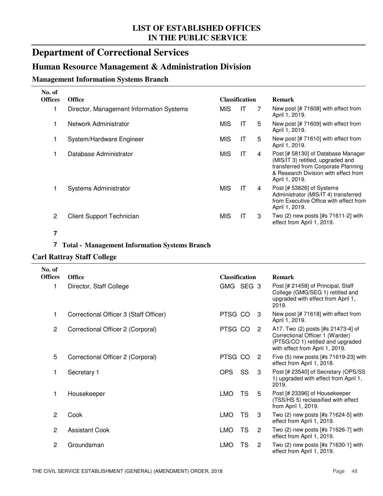## **Department of Correctional Services**

## **Human Resource Management & Administration Division**

#### **Management Information Systems Branch**

| No. of         |                                          |            |                       |   |                                                                                                                                                                          |
|----------------|------------------------------------------|------------|-----------------------|---|--------------------------------------------------------------------------------------------------------------------------------------------------------------------------|
| <b>Offices</b> | <b>Office</b>                            |            | <b>Classification</b> |   | <b>Remark</b>                                                                                                                                                            |
|                | Director, Management Information Systems | <b>MIS</b> | IT                    |   | New post $[# 71608]$ with effect from<br>April 1, 2019.                                                                                                                  |
|                | Network Administrator                    | <b>MIS</b> | IT                    | 5 | New post [# 71609] with effect from<br>April 1, 2019.                                                                                                                    |
|                | System/Hardware Engineer                 | <b>MIS</b> | IT                    | 5 | New post [# 71610] with effect from<br>April 1, 2019.                                                                                                                    |
|                | Database Administrator                   | MIS        | IT                    | 4 | Post [# 58130] of Database Manager<br>(MIS/IT 3) retitled, upgraded and<br>transferred from Corporate Planning<br>& Research Division with effect from<br>April 1, 2019. |
|                | <b>Systems Administrator</b>             | <b>MIS</b> | IT                    | 4 | Post [# 53826] of Systems<br>Administrator (MIS/IT 4) transferred<br>from Executive Office with effect from<br>April 1, 2019.                                            |
| 2              | <b>Client Support Technician</b>         | MIS        | IT                    | 3 | Two $(2)$ new posts $[#s 71611-2]$ with<br>effect from April 1, 2019.                                                                                                    |

#### **7**

#### **7 Total - Management Information Systems Branch**

#### **Carl Rattray Staff College**

| No. of<br><b>Offices</b> | <b>Office</b>                          | <b>Classification</b> |           |                | <b>Remark</b>                                                                                                                                 |
|--------------------------|----------------------------------------|-----------------------|-----------|----------------|-----------------------------------------------------------------------------------------------------------------------------------------------|
|                          | Director, Staff College                | GMG SEG 3             |           |                | Post [# 21458] of Principal, Staff<br>College (GMG/SEG 1) retitled and<br>upgraded with effect from April 1,<br>2019.                         |
|                          | Correctional Officer 3 (Staff Officer) | PTSG CO               |           | 3              | New post [# 71618] with effect from<br>April 1, 2019.                                                                                         |
| $\overline{c}$           | Correctional Officer 2 (Corporal)      | PTSG CO               |           | $\overline{2}$ | A17. Two (2) posts [#s 21473-4] of<br>Correctional Officer 1 (Warder)<br>(PTSG/CO 1) retitled and upgraded<br>with effect from April 1, 2019. |
| 5                        | Correctional Officer 2 (Corporal)      | PTSG CO               |           | 2              | Five (5) new posts [#s 71619-23] with<br>effect from April 1, 2018.                                                                           |
| 1                        | Secretary 1                            | <b>OPS</b>            | SS        | 3              | Post [# 23540] of Secretary (OPS/SS<br>1) upgraded with effect from April 1,<br>2019.                                                         |
| 1                        | Housekeeper                            | <b>LMO</b>            | <b>TS</b> | 5              | Post [# 23396] of Housekeeper<br>(TSS/HS 5) reclassified with effect<br>from April 1, 2019.                                                   |
| $\overline{2}$           | Cook                                   | <b>LMO</b>            | <b>TS</b> | 3              | Two (2) new posts [#s 71624-5] with<br>effect from April 1, 2019.                                                                             |
| $\overline{2}$           | <b>Assistant Cook</b>                  | <b>LMO</b>            | <b>TS</b> | $\overline{2}$ | Two (2) new posts [#s 71626-7] with<br>effect from April 1, 2019.                                                                             |
| $\overline{2}$           | Groundsman                             | <b>LMO</b>            | TS        | $\overline{2}$ | Two (2) new posts [#s 71630-1] with<br>effect from April 1, 2019.                                                                             |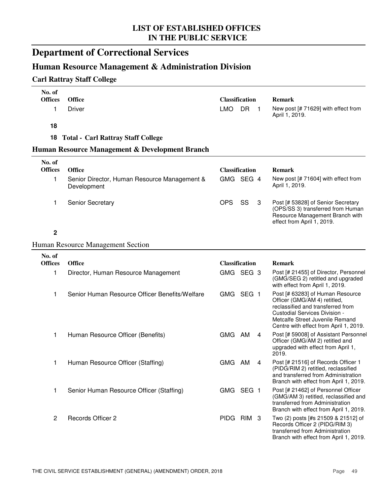# **Department of Correctional Services**

## **Human Resource Management & Administration Division**

### **Carl Rattray Staff College**

| No. of<br><b>Offices</b><br>1 | <b>Office</b><br>Driver                                     | <b>Classification</b><br><b>LMO</b> | <b>DR</b> | $\mathbf 1$ | <b>Remark</b><br>New post [# 71629] with effect from<br>April 1, 2019.                                                                                                                                              |
|-------------------------------|-------------------------------------------------------------|-------------------------------------|-----------|-------------|---------------------------------------------------------------------------------------------------------------------------------------------------------------------------------------------------------------------|
| 18                            |                                                             |                                     |           |             |                                                                                                                                                                                                                     |
| 18                            | <b>Total - Carl Rattray Staff College</b>                   |                                     |           |             |                                                                                                                                                                                                                     |
|                               | Human Resource Management & Development Branch              |                                     |           |             |                                                                                                                                                                                                                     |
| No. of<br><b>Offices</b>      | <b>Office</b>                                               | <b>Classification</b>               |           |             | <b>Remark</b>                                                                                                                                                                                                       |
| 1                             | Senior Director, Human Resource Management &<br>Development | GMG SEG 4                           |           |             | New post [# 71604] with effect from<br>April 1, 2019.                                                                                                                                                               |
| 1                             | Senior Secretary                                            | <b>OPS</b>                          | SS        | 3           | Post [# 53828] of Senior Secretary<br>(OPS/SS 3) transferred from Human<br>Resource Management Branch with<br>effect from April 1, 2019.                                                                            |
| $\mathbf 2$                   |                                                             |                                     |           |             |                                                                                                                                                                                                                     |
|                               | <b>Human Resource Management Section</b>                    |                                     |           |             |                                                                                                                                                                                                                     |
| No. of<br><b>Offices</b>      | Office                                                      | <b>Classification</b>               |           |             | <b>Remark</b>                                                                                                                                                                                                       |
| 1                             | Director, Human Resource Management                         | GMG SEG 3                           |           |             | Post [# 21455] of Director, Personnel<br>(GMG/SEG 2) retitled and upgraded<br>with effect from April 1, 2019.                                                                                                       |
| 1                             | Senior Human Resource Officer Benefits/Welfare              | GMG SEG 1                           |           |             | Post [# 63283] of Human Resource<br>Officer (GMG/AM 4) retitled,<br>reclassified and transferred from<br>Custodial Services Division -<br>Metcalfe Street Juvenile Remand<br>Centre with effect from April 1, 2019. |
| 1                             | Human Resource Officer (Benefits)                           | GMG AM                              |           | 4           | Post [# 59008] of Assistant Personnel<br>Officer (GMG/AM 2) retitled and<br>upgraded with effect from April 1,<br>2019.                                                                                             |
| 1                             | Human Resource Officer (Staffing)                           | GMG AM                              |           | 4           | Post [# 21516] of Records Officer 1<br>(PIDG/RIM 2) retitled, reclassified<br>and transferred from Administration<br>Branch with effect from April 1, 2019.                                                         |
| 1                             | Senior Human Resource Officer (Staffing)                    | GMG SEG 1                           |           |             | Post [# 21462] of Personnel Officer<br>(GMG/AM 3) retitled, reclassified and<br>transferred from Administration<br>Branch with effect from April 1, 2019.                                                           |
| $\overline{c}$                | Records Officer 2                                           | PIDG RIM 3                          |           |             | Two (2) posts [#s 21509 & 21512] of<br>Records Officer 2 (PIDG/RIM 3)<br>transferred from Administration<br>Branch with effect from April 1, 2019.                                                                  |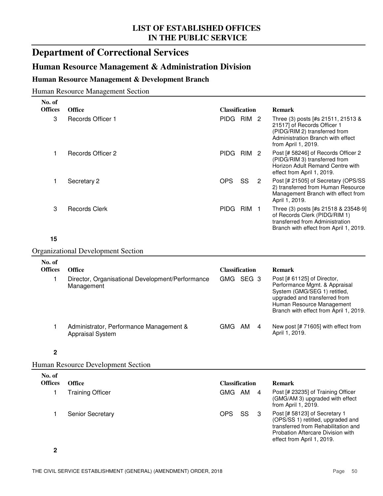## **Department of Correctional Services**

### **Human Resource Management & Administration Division**

#### **Human Resource Management & Development Branch**

Human Resource Management Section

| No. of                  |                                                                    |                       |                  |                |                                                                                                                                                                                                      |
|-------------------------|--------------------------------------------------------------------|-----------------------|------------------|----------------|------------------------------------------------------------------------------------------------------------------------------------------------------------------------------------------------------|
| <b>Offices</b>          | <b>Office</b>                                                      | <b>Classification</b> |                  |                | <b>Remark</b>                                                                                                                                                                                        |
| 3                       | Records Officer 1                                                  | PIDG RIM 2            |                  |                | Three (3) posts [#s 21511, 21513 &<br>21517] of Records Officer 1<br>(PIDG/RIM 2) transferred from<br>Administration Branch with effect<br>from April 1, 2019.                                       |
| 1                       | <b>Records Officer 2</b>                                           | PIDG RIM 2            |                  |                | Post [# 58246] of Records Officer 2<br>(PIDG/RIM 3) transferred from<br>Horizon Adult Remand Centre with<br>effect from April 1, 2019.                                                               |
| 1                       | Secretary 2                                                        | <b>OPS</b>            | SS               | $\overline{2}$ | Post [# 21505] of Secretary (OPS/SS<br>2) transferred from Human Resource<br>Management Branch with effect from<br>April 1, 2019.                                                                    |
| 3                       | <b>Records Clerk</b>                                               | <b>PIDG</b>           | RIM <sub>1</sub> |                | Three (3) posts [#s 21518 & 23548-9]<br>of Records Clerk (PIDG/RIM 1)<br>transferred from Administration<br>Branch with effect from April 1, 2019.                                                   |
| 15                      |                                                                    |                       |                  |                |                                                                                                                                                                                                      |
|                         | <b>Organizational Development Section</b>                          |                       |                  |                |                                                                                                                                                                                                      |
| No. of                  |                                                                    |                       |                  |                |                                                                                                                                                                                                      |
| <b>Offices</b>          | <b>Office</b>                                                      | <b>Classification</b> |                  |                | <b>Remark</b>                                                                                                                                                                                        |
| 1                       | Director, Organisational Development/Performance<br>Management     | GMG SEG 3             |                  |                | Post [# 61125] of Director,<br>Performance Mgmt. & Appraisal<br>System (GMG/SEG 1) retitled,<br>upgraded and transferred from<br>Human Resource Management<br>Branch with effect from April 1, 2019. |
| 1                       | Administrator, Performance Management &<br><b>Appraisal System</b> | GMG AM                |                  | 4              | New post [# 71605] with effect from<br>April 1, 2019.                                                                                                                                                |
| $\overline{\mathbf{2}}$ |                                                                    |                       |                  |                |                                                                                                                                                                                                      |
|                         | <b>Human Resource Development Section</b>                          |                       |                  |                |                                                                                                                                                                                                      |
| No. of                  |                                                                    |                       |                  |                |                                                                                                                                                                                                      |
| <b>Offices</b>          | <b>Office</b>                                                      | <b>Classification</b> |                  |                | <b>Remark</b>                                                                                                                                                                                        |
| 1                       | <b>Training Officer</b>                                            | GMG AM                |                  | 4              | Post [# 23235] of Training Officer<br>(GMG/AM 3) upgraded with effect<br>from April 1, 2019.                                                                                                         |
| 1                       | Senior Secretary                                                   | <b>OPS</b>            | SS               | 3              | Post [# 58123] of Secretary 1<br>(OPS/SS 1) retitled, upgraded and<br>transferred from Rehabilitation and<br>Probation Aftercare Division with<br>effect from April 1, 2019.                         |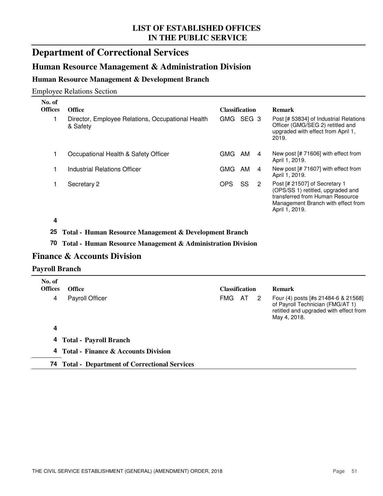## **Department of Correctional Services**

## **Human Resource Management & Administration Division**

#### **Human Resource Management & Development Branch**

#### Employee Relations Section

| No. of<br><b>Offices</b> | <b>Office</b>                                                 | <b>Classification</b>   |   | <b>Remark</b>                                                                                                                                                 |
|--------------------------|---------------------------------------------------------------|-------------------------|---|---------------------------------------------------------------------------------------------------------------------------------------------------------------|
|                          | Director, Employee Relations, Occupational Health<br>& Safety | GMG<br>SEG <sub>3</sub> |   | Post [# 53834] of Industrial Relations<br>Officer (GMG/SEG 2) retitled and<br>upgraded with effect from April 1,<br>2019.                                     |
|                          | Occupational Health & Safety Officer                          | <b>GMG</b><br>AM        | 4 | New post $[# 71606]$ with effect from<br>April 1, 2019.                                                                                                       |
|                          | Industrial Relations Officer                                  | <b>GMG</b><br>AM        | 4 | New post [# 71607] with effect from<br>April 1, 2019.                                                                                                         |
|                          | Secretary 2                                                   | SS<br>OPS               | 2 | Post [# 21507] of Secretary 1<br>(OPS/SS 1) retitled, upgraded and<br>transferred from Human Resource<br>Management Branch with effect from<br>April 1, 2019. |

**4**

#### **25 Total - Human Resource Management & Development Branch**

#### **70 Total - Human Resource Management & Administration Division**

### **Finance & Accounts Division**

#### **Payroll Branch**

| No. of<br><b>Offices</b> | <b>Office</b>                         |            | <b>Classification</b> |  | <b>Remark</b>                                                                                                                     |  |
|--------------------------|---------------------------------------|------------|-----------------------|--|-----------------------------------------------------------------------------------------------------------------------------------|--|
| 4                        | <b>Payroll Officer</b>                | <b>FMG</b> | AT 2                  |  | Four (4) posts [#s 21484-6 & 21568]<br>of Payroll Technician (FMG/AT 1)<br>retitled and upgraded with effect from<br>May 4, 2018. |  |
| 4                        |                                       |            |                       |  |                                                                                                                                   |  |
|                          | 4 Total - Payroll Branch              |            |                       |  |                                                                                                                                   |  |
|                          | 4 Total - Finance & Accounts Division |            |                       |  |                                                                                                                                   |  |

#### **74 Total - Department of Correctional Services**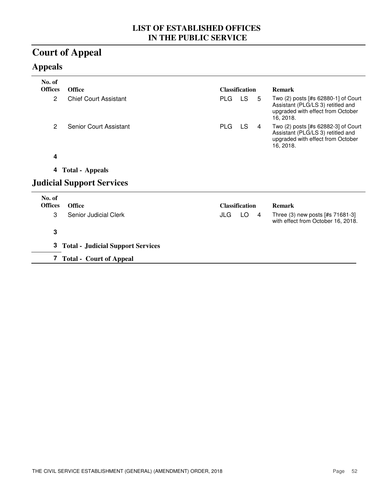# **Court of Appeal**

## **Appeals**

| No. of         |                                            |            |                       |   |                                                                                                                            |
|----------------|--------------------------------------------|------------|-----------------------|---|----------------------------------------------------------------------------------------------------------------------------|
| <b>Offices</b> | <b>Office</b>                              |            | <b>Classification</b> |   | <b>Remark</b>                                                                                                              |
| 2              | <b>Chief Court Assistant</b>               | <b>PLG</b> | <b>LS</b>             | 5 | Two (2) posts [#s 62880-1] of Court<br>Assistant (PLG/LS 3) retitled and<br>upgraded with effect from October<br>16, 2018. |
| $\overline{2}$ | <b>Senior Court Assistant</b>              | <b>PLG</b> | <b>LS</b>             | 4 | Two (2) posts [#s 62882-3] of Court<br>Assistant (PLG/LS 3) retitled and<br>upgraded with effect from October<br>16, 2018. |
| 4              |                                            |            |                       |   |                                                                                                                            |
| 4              | <b>Total - Appeals</b>                     |            |                       |   |                                                                                                                            |
|                | <b>Judicial Support Services</b>           |            |                       |   |                                                                                                                            |
| No. of         |                                            |            |                       |   |                                                                                                                            |
| <b>Offices</b> | <b>Office</b>                              |            | <b>Classification</b> |   | <b>Remark</b>                                                                                                              |
| 3              | Senior Judicial Clerk                      | JLG        | LO                    | 4 | Three (3) new posts [#s 71681-3]<br>with effect from October 16, 2018.                                                     |
| 3              |                                            |            |                       |   |                                                                                                                            |
|                | <b>3</b> Total - Judicial Support Services |            |                       |   |                                                                                                                            |
|                | 7 Total - Court of Appeal                  |            |                       |   |                                                                                                                            |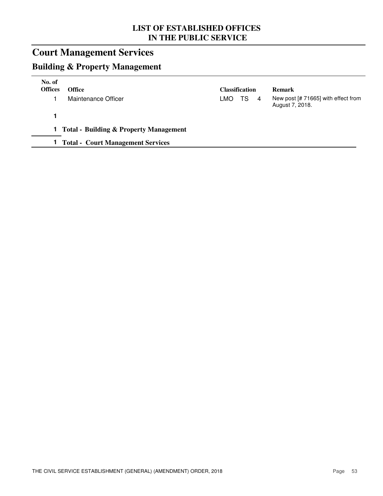# **Court Management Services**

## **Building & Property Management**

| No. of<br><b>Offices</b> | <b>Office</b>                            |     | Classification |   | <b>Remark</b>                                          |
|--------------------------|------------------------------------------|-----|----------------|---|--------------------------------------------------------|
|                          | Maintenance Officer                      | LMO | TS.            | 4 | New post [# 71665] with effect from<br>August 7, 2018. |
|                          |                                          |     |                |   |                                                        |
|                          | 1 Total - Building & Property Management |     |                |   |                                                        |
|                          | <b>Total - Court Management Services</b> |     |                |   |                                                        |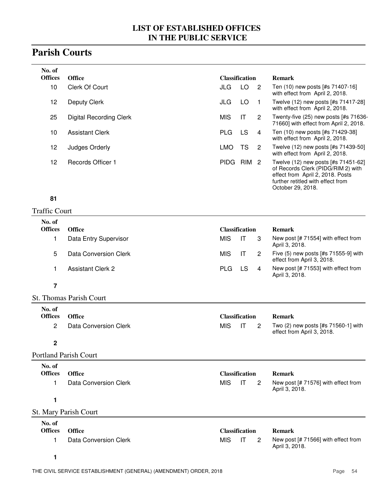## **Parish Courts**

| No. of         |                         |            |                       |                |                                                                                                                                                                         |
|----------------|-------------------------|------------|-----------------------|----------------|-------------------------------------------------------------------------------------------------------------------------------------------------------------------------|
| <b>Offices</b> | <b>Office</b>           |            | <b>Classification</b> |                | <b>Remark</b>                                                                                                                                                           |
| 10             | Clerk Of Court          | JLG        | LO                    | $\overline{2}$ | Ten (10) new posts [#s 71407-16]<br>with effect from April 2, 2018.                                                                                                     |
| 12             | <b>Deputy Clerk</b>     | JLG        | LO.                   |                | Twelve (12) new posts [#s 71417-28]<br>with effect from April 2, 2018.                                                                                                  |
| 25             | Digital Recording Clerk | <b>MIS</b> | IT                    | 2              | Twenty-five (25) new posts [#s 71636-<br>71660] with effect from April 2, 2018.                                                                                         |
| 10             | <b>Assistant Clerk</b>  | <b>PLG</b> | LS.                   | 4              | Ten (10) new posts [#s 71429-38]<br>with effect from April 2, 2018.                                                                                                     |
| 12             | Judges Orderly          | LMO        | TS.                   | 2              | Twelve (12) new posts [#s 71439-50]<br>with effect from April 2, 2018.                                                                                                  |
| 12             | Records Officer 1       | PIDG       | RIM 2                 |                | Twelve (12) new posts [#s 71451-62]<br>of Records Clerk (PIDG/RIM 2) with<br>effect from April 2, 2018. Posts<br>further retitled with effect from<br>October 29, 2018. |

#### **81**

## Traffic Court

| No. of<br><b>Offices</b> | <b>Office</b>         | <b>Classification</b> |     |   | <b>Remark</b>                                                          |
|--------------------------|-----------------------|-----------------------|-----|---|------------------------------------------------------------------------|
|                          | Data Entry Supervisor | MIS                   |     |   | New post [# 71554] with effect from<br>April 3, 2018.                  |
| 5                        | Data Conversion Clerk | MIS                   |     | 2 | Five $(5)$ new posts $[#s 71555-9]$ with<br>effect from April 3, 2018. |
|                          | Assistant Clerk 2     | <b>PLG</b>            | LS. | 4 | New post [# 71553] with effect from<br>April 3, 2018.                  |
|                          |                       |                       |     |   |                                                                        |

#### St. Thomas Parish Court

| No. of<br>Offices Office |                         | <b>Classification</b> |   | <b>Remark</b>                                                         |
|--------------------------|-------------------------|-----------------------|---|-----------------------------------------------------------------------|
|                          | 2 Data Conversion Clerk | MIS IT                | 2 | Two $(2)$ new posts $[#s 71560-1]$ with<br>effect from April 3, 2018. |

#### **2**

#### Portland Parish Court

| No. of<br><b>Offices</b> | <b>Office</b>         | <b>Classification</b>                    | <b>Remark</b>                                         |
|--------------------------|-----------------------|------------------------------------------|-------------------------------------------------------|
|                          | Data Conversion Clerk | MIS.<br>IT<br>$\overline{\phantom{a}}^2$ | New post [# 71576] with effect from<br>April 3, 2018. |
| 1.                       |                       |                                          |                                                       |
|                          | St. Mary Parish Court |                                          |                                                       |
| No. of<br>Offices        | <b>Office</b>         | Classification                           | Remark                                                |

| <b>Offices</b> | Office                |          | <b>Classification</b> | Remark                                                |
|----------------|-----------------------|----------|-----------------------|-------------------------------------------------------|
|                | Data Conversion Clerk | MIS IT 2 |                       | New post [# 71566] with effect from<br>April 3, 2018. |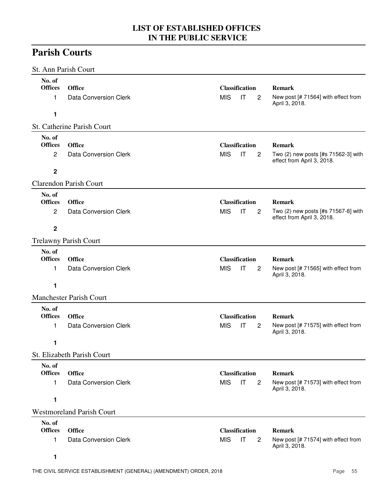## **Parish Courts**

| St. Ann Parish Court                                      |                                                                                |                                                             |                                                                                    |
|-----------------------------------------------------------|--------------------------------------------------------------------------------|-------------------------------------------------------------|------------------------------------------------------------------------------------|
| No. of<br><b>Offices</b><br>1<br>1                        | <b>Office</b><br>Data Conversion Clerk                                         | <b>Classification</b><br><b>MIS</b><br>IT<br>$\overline{2}$ | <b>Remark</b><br>New post [# 71564] with effect from<br>April 3, 2018.             |
|                                                           | St. Catherine Parish Court                                                     |                                                             |                                                                                    |
| No. of<br><b>Offices</b><br>$\overline{c}$<br>2           | <b>Office</b><br><b>Data Conversion Clerk</b><br><b>Clarendon Parish Court</b> | <b>Classification</b><br><b>MIS</b><br>IT<br>$\overline{c}$ | <b>Remark</b><br>Two (2) new posts [#s 71562-3] with<br>effect from April 3, 2018. |
| No. of<br><b>Offices</b><br>$\overline{c}$<br>$\mathbf 2$ | <b>Office</b><br><b>Data Conversion Clerk</b>                                  | <b>Classification</b><br><b>MIS</b><br>IT<br>$\overline{c}$ | <b>Remark</b><br>Two (2) new posts [#s 71567-8] with<br>effect from April 3, 2018. |
|                                                           | <b>Trelawny Parish Court</b>                                                   |                                                             |                                                                                    |
| No. of<br><b>Offices</b><br>1<br>1                        | <b>Office</b><br><b>Data Conversion Clerk</b>                                  | <b>Classification</b><br><b>MIS</b><br>IT<br>$\overline{c}$ | <b>Remark</b><br>New post [# 71565] with effect from<br>April 3, 2018.             |
|                                                           | <b>Manchester Parish Court</b>                                                 |                                                             |                                                                                    |
| No. of<br><b>Offices</b><br>1<br>1                        | <b>Office</b><br><b>Data Conversion Clerk</b><br>St. Elizabeth Parish Court    | <b>Classification</b><br><b>MIS</b><br>IT<br>$\overline{c}$ | <b>Remark</b><br>New post [# 71575] with effect from<br>April 3, 2018.             |
| No. of                                                    |                                                                                |                                                             |                                                                                    |
| <b>Offices</b><br>1<br>1                                  | <b>Office</b><br><b>Data Conversion Clerk</b>                                  | <b>Classification</b><br><b>MIS</b><br>IT<br>$\overline{2}$ | <b>Remark</b><br>New post [# 71573] with effect from<br>April 3, 2018.             |
|                                                           | <b>Westmoreland Parish Court</b>                                               |                                                             |                                                                                    |
| No. of<br><b>Offices</b><br>1<br>1                        | <b>Office</b><br><b>Data Conversion Clerk</b>                                  | <b>Classification</b><br><b>MIS</b><br>IT<br>2              | <b>Remark</b><br>New post [# 71574] with effect from<br>April 3, 2018.             |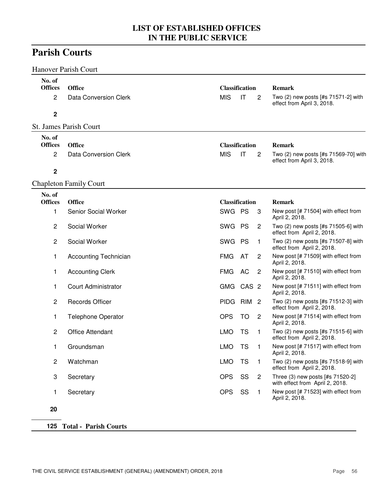## **Parish Courts**

|                               | <b>Hanover Parish Court</b>            |            |                             |                |                                                                                    |
|-------------------------------|----------------------------------------|------------|-----------------------------|----------------|------------------------------------------------------------------------------------|
| No. of<br><b>Offices</b><br>2 | <b>Office</b><br>Data Conversion Clerk | <b>MIS</b> | <b>Classification</b><br>IT | 2              | <b>Remark</b><br>Two (2) new posts [#s 71571-2] with<br>effect from April 3, 2018. |
| $\mathbf 2$                   |                                        |            |                             |                |                                                                                    |
|                               | St. James Parish Court                 |            |                             |                |                                                                                    |
| No. of<br><b>Offices</b>      | <b>Office</b>                          |            | <b>Classification</b>       |                | Remark                                                                             |
| 2                             | Data Conversion Clerk                  | <b>MIS</b> | IT                          | $\overline{c}$ | Two (2) new posts [#s 71569-70] with<br>effect from April 3, 2018.                 |
| $\mathbf 2$                   |                                        |            |                             |                |                                                                                    |
|                               | <b>Chapleton Family Court</b>          |            |                             |                |                                                                                    |
| No. of<br><b>Offices</b>      | <b>Office</b>                          |            | <b>Classification</b>       |                | <b>Remark</b>                                                                      |
| 1                             | Senior Social Worker                   | SWG PS     |                             | 3              | New post [# 71504] with effect from<br>April 2, 2018.                              |
| $\overline{c}$                | Social Worker                          | SWG PS     |                             | 2              | Two (2) new posts [#s 71505-6] with<br>effect from April 2, 2018.                  |
| $\overline{c}$                | Social Worker                          | SWG PS     |                             | 1              | Two (2) new posts [#s 71507-8] with<br>effect from April 2, 2018.                  |
| 1                             | <b>Accounting Technician</b>           | <b>FMG</b> | AT                          | 2              | New post [# 71509] with effect from<br>April 2, 2018.                              |
| 1                             | <b>Accounting Clerk</b>                | <b>FMG</b> | AC                          | 2              | New post [# 71510] with effect from<br>April 2, 2018.                              |
| 1                             | <b>Court Administrator</b>             |            | GMG CAS 2                   |                | New post [# 71511] with effect from<br>April 2, 2018.                              |
| $\overline{c}$                | <b>Records Officer</b>                 |            | PIDG RIM 2                  |                | Two (2) new posts [#s 71512-3] with<br>effect from April 2, 2018.                  |
| 1                             | <b>Telephone Operator</b>              | <b>OPS</b> | TO                          | 2              | New post [# 71514] with effect from<br>April 2, 2018.                              |
| 2                             | <b>Office Attendant</b>                | <b>LMO</b> | <b>TS</b>                   | $\mathbf{1}$   | Two (2) new posts [#s 71515-6] with<br>effect from April 2, 2018.                  |
| 1                             | Groundsman                             | <b>LMO</b> | TS                          | $\blacksquare$ | New post [# 71517] with effect from<br>April 2, 2018.                              |
| $\overline{c}$                | Watchman                               | <b>LMO</b> | <b>TS</b>                   | $\mathbf{1}$   | Two (2) new posts [#s 71518-9] with<br>effect from April 2, 2018.                  |
| 3                             | Secretary                              | <b>OPS</b> | SS                          | $\overline{2}$ | Three (3) new posts [#s 71520-2]<br>with effect from April 2, 2018.                |
| 1                             | Secretary                              | <b>OPS</b> | SS                          | $\mathbf{1}$   | New post [# 71523] with effect from<br>April 2, 2018.                              |
| 20                            |                                        |            |                             |                |                                                                                    |
|                               |                                        |            |                             |                |                                                                                    |

#### **125 Total - Parish Courts**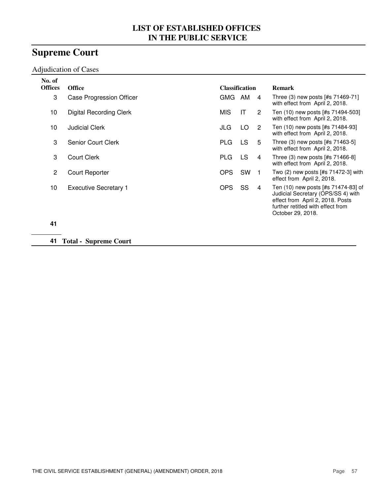# **Supreme Court**

#### Adjudication of Cases

| No. of<br><b>Offices</b> | <b>Office</b>                  | <b>Classification</b> |     |                | <b>Remark</b>                                                                                                                                                           |
|--------------------------|--------------------------------|-----------------------|-----|----------------|-------------------------------------------------------------------------------------------------------------------------------------------------------------------------|
| 3                        | Case Progression Officer       | GMG AM                |     | $\overline{4}$ | Three (3) new posts [#s 71469-71]<br>with effect from April 2, 2018.                                                                                                    |
| 10                       | <b>Digital Recording Clerk</b> | <b>MIS</b>            | ΙT  | 2              | Ten (10) new posts [#s 71494-503]<br>with effect from April 2, 2018.                                                                                                    |
| 10                       | <b>Judicial Clerk</b>          | JLG                   | LO. | 2              | Ten (10) new posts [#s 71484-93]<br>with effect from April 2, 2018.                                                                                                     |
| 3                        | Senior Court Clerk             | <b>PLG</b>            | LS. | 5              | Three (3) new posts [#s 71463-5]<br>with effect from April 2, 2018.                                                                                                     |
| 3                        | <b>Court Clerk</b>             | PLG.                  | LS. | 4              | Three (3) new posts [#s 71466-8]<br>with effect from April 2, 2018.                                                                                                     |
| 2                        | Court Reporter                 | OPS                   | SW  |                | Two (2) new posts [#s 71472-3] with<br>effect from April 2, 2018.                                                                                                       |
| 10                       | <b>Executive Secretary 1</b>   | <b>OPS</b>            | SS  | 4              | Ten (10) new posts [#s 71474-83] of<br>Judicial Secretary (OPS/SS 4) with<br>effect from April 2, 2018. Posts<br>further retitled with effect from<br>October 29, 2018. |
| 41                       |                                |                       |     |                |                                                                                                                                                                         |

**41 Total - Supreme Court**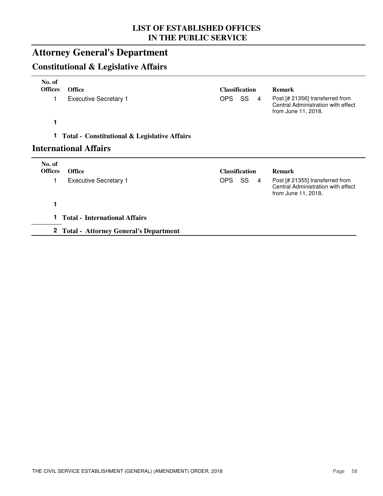# **Attorney General's Department**

## **Constitutional & Legislative Affairs**

| No. of         |                                                         |                       |                |                                                                                              |
|----------------|---------------------------------------------------------|-----------------------|----------------|----------------------------------------------------------------------------------------------|
| <b>Offices</b> | <b>Office</b>                                           | <b>Classification</b> |                | <b>Remark</b>                                                                                |
| 1              | <b>Executive Secretary 1</b>                            | OPS SS                | $\overline{4}$ | Post [# 21356] transferred from<br>Central Administration with effect<br>from June 11, 2018. |
| 1              |                                                         |                       |                |                                                                                              |
| 1.             | <b>Total - Constitutional &amp; Legislative Affairs</b> |                       |                |                                                                                              |
|                | <b>International Affairs</b>                            |                       |                |                                                                                              |
| No. of         |                                                         |                       |                |                                                                                              |
| <b>Offices</b> | <b>Office</b>                                           | <b>Classification</b> |                | <b>Remark</b>                                                                                |
|                | <b>Executive Secretary 1</b>                            | OPS SS                | 4              | Post [# 21355] transferred from<br>Central Administration with effect<br>from June 11, 2018. |
| 1              |                                                         |                       |                |                                                                                              |
| 1.             | <b>Total - International Affairs</b>                    |                       |                |                                                                                              |
|                | 2 Total - Attorney General's Department                 |                       |                |                                                                                              |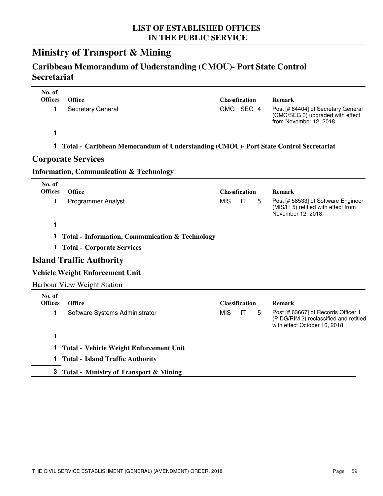## **Ministry of Transport & Mining**

## **Caribbean Memorandum of Understanding (CMOU)- Port State Control Secretariat**

| No. of<br><b>Offices</b> | <b>Office</b>                                                                        | <b>Classification</b> |                        |   | <b>Remark</b>                                                                                                  |
|--------------------------|--------------------------------------------------------------------------------------|-----------------------|------------------------|---|----------------------------------------------------------------------------------------------------------------|
| 1                        | Secretary General                                                                    | GMG SEG 4             |                        |   | Post [# 64404] of Secretary General<br>(GMG/SEG 3) upgraded with effect<br>from November 12, 2018.             |
| 1                        |                                                                                      |                       |                        |   |                                                                                                                |
| 1.                       | Total - Caribbean Memorandum of Understanding (CMOU)- Port State Control Secretariat |                       |                        |   |                                                                                                                |
|                          | <b>Corporate Services</b>                                                            |                       |                        |   |                                                                                                                |
|                          | <b>Information, Communication &amp; Technology</b>                                   |                       |                        |   |                                                                                                                |
| No. of<br><b>Offices</b> | <b>Office</b>                                                                        | <b>Classification</b> |                        |   | <b>Remark</b>                                                                                                  |
| 1                        | <b>Programmer Analyst</b>                                                            | <b>MIS</b>            | $\mathsf{I}\mathsf{T}$ | 5 | Post [# 58533] of Software Engineer<br>(MIS/IT 5) retitled with effect from<br>November 12, 2018.              |
| 1                        |                                                                                      |                       |                        |   |                                                                                                                |
| 1.                       | <b>Total - Information, Communication &amp; Technology</b>                           |                       |                        |   |                                                                                                                |
|                          | <b>1 Total - Corporate Services</b>                                                  |                       |                        |   |                                                                                                                |
|                          | <b>Island Traffic Authority</b>                                                      |                       |                        |   |                                                                                                                |
|                          | <b>Vehicle Weight Enforcement Unit</b>                                               |                       |                        |   |                                                                                                                |
|                          | Harbour View Weight Station                                                          |                       |                        |   |                                                                                                                |
| No. of<br><b>Offices</b> | <b>Office</b>                                                                        | <b>Classification</b> |                        |   | <b>Remark</b>                                                                                                  |
| 1                        | Software Systems Administrator                                                       | <b>MIS</b>            | $\mathsf{I}\mathsf{T}$ | 5 | Post [# 63667] of Records Officer 1<br>(PIDG/RIM 2) reclassified and retitled<br>with effect October 16, 2018. |
| 1                        |                                                                                      |                       |                        |   |                                                                                                                |
| 1.                       | <b>Total - Vehicle Weight Enforcement Unit</b>                                       |                       |                        |   |                                                                                                                |
| $\mathbf 1$              | <b>Total - Island Traffic Authority</b>                                              |                       |                        |   |                                                                                                                |
|                          | 3 Total - Ministry of Transport & Mining                                             |                       |                        |   |                                                                                                                |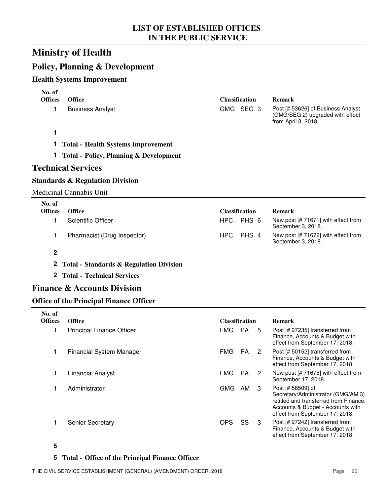## **Ministry of Health**

## **Policy, Planning & Development**

#### **Health Systems Improvement**

| No. of         |                                                    |            |                             |                                                                                                                                                                           |
|----------------|----------------------------------------------------|------------|-----------------------------|---------------------------------------------------------------------------------------------------------------------------------------------------------------------------|
| <b>Offices</b> | <b>Office</b>                                      |            | <b>Classification</b>       | <b>Remark</b>                                                                                                                                                             |
| 1              | <b>Business Analyst</b>                            |            | GMG SEG 3                   | Post [# 53626] of Business Analyst<br>(GMG/SEG 2) upgraded with effect<br>from April 3, 2018.                                                                             |
| 1              |                                                    |            |                             |                                                                                                                                                                           |
| 1.             | <b>Total - Health Systems Improvement</b>          |            |                             |                                                                                                                                                                           |
| Т.             | <b>Total - Policy, Planning &amp; Development</b>  |            |                             |                                                                                                                                                                           |
|                | <b>Technical Services</b>                          |            |                             |                                                                                                                                                                           |
|                | <b>Standards &amp; Regulation Division</b>         |            |                             |                                                                                                                                                                           |
|                | <b>Medicinal Cannabis Unit</b>                     |            |                             |                                                                                                                                                                           |
| No. of         |                                                    |            |                             |                                                                                                                                                                           |
| <b>Offices</b> | <b>Office</b>                                      |            | <b>Classification</b>       | <b>Remark</b>                                                                                                                                                             |
| 1              | <b>Scientific Officer</b>                          | HPC        | PHS 6                       | New post [# 71671] with effect from<br>September 3, 2018.                                                                                                                 |
| 1              | Pharmacist (Drug Inspector)                        | <b>HPC</b> | PHS 4                       | New post [# 71672] with effect from<br>September 3, 2018.                                                                                                                 |
| $\mathbf 2$    |                                                    |            |                             |                                                                                                                                                                           |
| $\mathbf{2}$   | <b>Total - Standards &amp; Regulation Division</b> |            |                             |                                                                                                                                                                           |
| $\mathbf{2}^-$ | <b>Total - Technical Services</b>                  |            |                             |                                                                                                                                                                           |
|                | <b>Finance &amp; Accounts Division</b>             |            |                             |                                                                                                                                                                           |
|                | <b>Office of the Principal Finance Officer</b>     |            |                             |                                                                                                                                                                           |
| No. of         |                                                    |            |                             |                                                                                                                                                                           |
| <b>Offices</b> | <b>Office</b>                                      |            | <b>Classification</b>       | <b>Remark</b>                                                                                                                                                             |
| 1              | <b>Principal Finance Officer</b>                   | <b>FMG</b> | <b>PA</b><br>5              | Post [# 27235] transferred from<br>Finance, Accounts & Budget with<br>effect from September 17, 2018.                                                                     |
| 1              | <b>Financial System Manager</b>                    | <b>FMG</b> | <b>PA</b><br>$\overline{2}$ | Post [# 50152] transferred from<br>Finance, Accounts & Budget with<br>effect from September 17, 2018.                                                                     |
| 1              | <b>Financial Analyst</b>                           | <b>FMG</b> | <b>PA</b><br>$\overline{c}$ | New post [# 71675] with effect from<br>September 17, 2018.                                                                                                                |
| 1              | Administrator                                      | GMG AM     | 3                           | Post [# 56509] of<br>Secretary/Administrator (GMG/AM 3)<br>retitled and transferred from Finance,<br>Accounts & Budget - Accounts with<br>effect from September 17, 2018. |
| 1              | Senior Secretary                                   | <b>OPS</b> | SS<br>3                     | Post [# 27242] transferred from<br>Finance, Accounts & Budget with                                                                                                        |

#### **5 Total - Office of the Principal Finance Officer**

effect from September 17, 2018.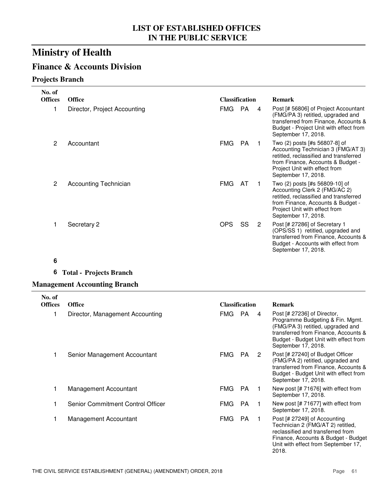## **Finance & Accounts Division**

#### **Projects Branch**

| No. of<br><b>Offices</b> | <b>Office</b>                | <b>Classification</b> |           |   | <b>Remark</b>                                                                                                                                                                                              |
|--------------------------|------------------------------|-----------------------|-----------|---|------------------------------------------------------------------------------------------------------------------------------------------------------------------------------------------------------------|
|                          | Director, Project Accounting | FMG                   | PA        | 4 | Post [# 56806] of Project Accountant<br>(FMG/PA 3) retitled, upgraded and<br>transferred from Finance, Accounts &<br>Budget - Project Unit with effect from<br>September 17, 2018.                         |
| 2                        | Accountant                   | <b>FMG</b>            | <b>PA</b> |   | Two (2) posts [#s 56807-8] of<br>Accounting Technician 3 (FMG/AT 3)<br>retitled, reclassified and transferred<br>from Finance, Accounts & Budget -<br>Project Unit with effect from<br>September 17, 2018. |
| $\overline{2}$           | Accounting Technician        | <b>FMG</b>            | AT        |   | Two (2) posts [#s 56809-10] of<br>Accounting Clerk 2 (FMG/AC 2)<br>retitled, reclassified and transferred<br>from Finance, Accounts & Budget -<br>Project Unit with effect from<br>September 17, 2018.     |
|                          | Secretary 2                  | <b>OPS</b>            | SS        | 2 | Post [# 27286] of Secretary 1<br>(OPS/SS 1) retitled, upgraded and<br>transferred from Finance, Accounts &<br>Budget - Accounts with effect from<br>September 17, 2018.                                    |

#### **6**

#### **6 Total - Projects Branch**

#### **Management Accounting Branch**

| No. of         |                                   |                       |     |   |                                                                                                                                                                                                              |
|----------------|-----------------------------------|-----------------------|-----|---|--------------------------------------------------------------------------------------------------------------------------------------------------------------------------------------------------------------|
| <b>Offices</b> | <b>Office</b>                     | <b>Classification</b> |     |   | <b>Remark</b>                                                                                                                                                                                                |
|                | Director, Management Accounting   | FMG.                  | PA. | 4 | Post [# 27236] of Director,<br>Programme Budgeting & Fin. Mgmt.<br>(FMG/PA 3) retitled, upgraded and<br>transferred from Finance, Accounts &<br>Budget - Budget Unit with effect from<br>September 17, 2018. |
|                | Senior Management Accountant      | FMG.                  | PA. | 2 | Post [# 27240] of Budget Officer<br>(FMG/PA 2) retitled, upgraded and<br>transferred from Finance, Accounts &<br>Budget - Budget Unit with effect from<br>September 17, 2018.                                |
|                | Management Accountant             | <b>FMG</b>            | PA. |   | New post $[# 71676]$ with effect from<br>September 17, 2018.                                                                                                                                                 |
|                | Senior Commitment Control Officer | <b>FMG</b>            | PA. |   | New post [# 71677] with effect from<br>September 17, 2018.                                                                                                                                                   |
|                | Management Accountant             | <b>FMG</b>            | PA. |   | Post [# 27249] of Accounting<br>Technician 2 (FMG/AT 2) retitled,<br>reclassified and transferred from<br>Finance, Accounts & Budget - Budget<br>Unit with effect from September 17,<br>2018.                |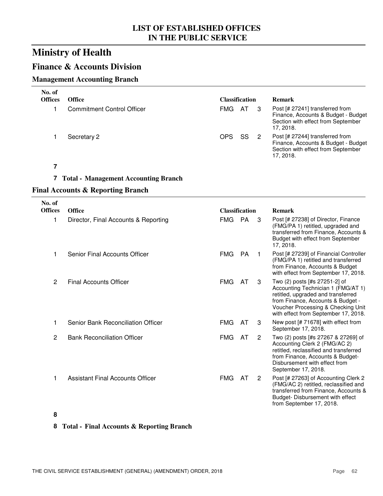## **Finance & Accounts Division**

#### **Management Accounting Branch**

| No. of<br><b>Offices</b> | <b>Office</b>                     | Classification |      | <b>Remark</b>                                                                                                             |
|--------------------------|-----------------------------------|----------------|------|---------------------------------------------------------------------------------------------------------------------------|
|                          | <b>Commitment Control Officer</b> | FMG.           | - AT | Post [# 27241] transferred from<br>Finance, Accounts & Budget - Budget<br>Section with effect from September<br>17.2018.  |
|                          | Secretary 2                       | OPS            | SS.  | Post [# 27244] transferred from<br>Finance, Accounts & Budget - Budget<br>Section with effect from September<br>17, 2018. |

**7**

#### **7 Total - Management Accounting Branch**

#### **Final Accounts & Reporting Branch**

| No. of<br><b>Offices</b> | <b>Office</b>                        | <b>Classification</b> |           |                | <b>Remark</b>                                                                                                                                                                                                                |
|--------------------------|--------------------------------------|-----------------------|-----------|----------------|------------------------------------------------------------------------------------------------------------------------------------------------------------------------------------------------------------------------------|
| 1                        | Director, Final Accounts & Reporting | FMG                   | <b>PA</b> | 3              | Post [# 27238] of Director, Finance<br>(FMG/PA 1) retitled, upgraded and<br>transferred from Finance, Accounts &<br>Budget with effect from September<br>17, 2018.                                                           |
| 1                        | Senior Final Accounts Officer        | <b>FMG</b>            | <b>PA</b> |                | Post [# 27239] of Financial Controller<br>(FMG/PA 1) retitled and transferred<br>from Finance, Accounts & Budget<br>with effect from September 17, 2018.                                                                     |
| 2                        | <b>Final Accounts Officer</b>        | <b>FMG</b>            | AT        | 3              | Two (2) posts [#s 27251-2] of<br>Accounting Technician 1 (FMG/AT 1)<br>retitled, upgraded and transferred<br>from Finance, Accounts & Budget -<br>Voucher Processing & Checking Unit<br>with effect from September 17, 2018. |
| 1                        | Senior Bank Reconciliation Officer   | <b>FMG</b>            | AT        | 3              | New post $[# 71678]$ with effect from<br>September 17, 2018.                                                                                                                                                                 |
| 2                        | <b>Bank Reconciliation Officer</b>   | <b>FMG</b>            | AT        | 2              | Two (2) posts [#s 27267 & 27269] of<br>Accounting Clerk 2 (FMG/AC 2)<br>retitled, reclassified and transferred<br>from Finance, Accounts & Budget-<br>Disbursement with effect from<br>September 17, 2018.                   |
| 1                        | Assistant Final Accounts Officer     | <b>FMG</b>            | AT        | $\overline{2}$ | Post [# 27263] of Accounting Clerk 2<br>(FMG/AC 2) retitled, reclassified and<br>transferred from Finance, Accounts &<br>Budget-Disbursement with effect<br>from September 17, 2018.                                         |

#### **8**

#### **8 Total - Final Accounts & Reporting Branch**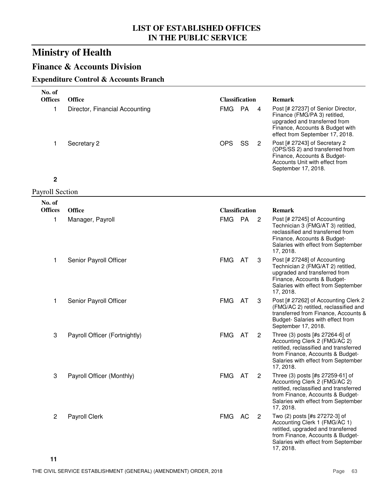## **Finance & Accounts Division**

#### **Expenditure Control & Accounts Branch**

| No. of                   |                                |                       |    |                |                                                                                                                                                                                                     |
|--------------------------|--------------------------------|-----------------------|----|----------------|-----------------------------------------------------------------------------------------------------------------------------------------------------------------------------------------------------|
| <b>Offices</b>           | <b>Office</b>                  | <b>Classification</b> |    |                | <b>Remark</b>                                                                                                                                                                                       |
| 1                        | Director, Financial Accounting | <b>FMG</b>            | PA | 4              | Post [# 27237] of Senior Director,<br>Finance (FMG/PA 3) retitled,<br>upgraded and transferred from<br>Finance, Accounts & Budget with<br>effect from September 17, 2018.                           |
| 1                        | Secretary 2                    | <b>OPS</b>            | SS | $\overline{2}$ | Post [# 27243] of Secretary 2<br>(OPS/SS 2) and transferred from<br>Finance, Accounts & Budget-<br>Accounts Unit with effect from<br>September 17, 2018.                                            |
| $\mathbf 2$              |                                |                       |    |                |                                                                                                                                                                                                     |
| <b>Payroll Section</b>   |                                |                       |    |                |                                                                                                                                                                                                     |
| No. of<br><b>Offices</b> | <b>Office</b>                  | <b>Classification</b> |    |                | <b>Remark</b>                                                                                                                                                                                       |
| 1                        |                                | <b>FMG</b>            | PA | 2              | Post [# 27245] of Accounting                                                                                                                                                                        |
|                          | Manager, Payroll               |                       |    |                | Technician 3 (FMG/AT 3) retitled,<br>reclassified and transferred from<br>Finance, Accounts & Budget-<br>Salaries with effect from September<br>17, 2018.                                           |
| 1                        | Senior Payroll Officer         | <b>FMG</b>            | AT | 3              | Post [# 27248] of Accounting<br>Technician 2 (FMG/AT 2) retitled,<br>upgraded and transferred from<br>Finance, Accounts & Budget-<br>Salaries with effect from September<br>17, 2018.               |
| 1                        | Senior Payroll Officer         | <b>FMG</b>            | AT | 3              | Post [# 27262] of Accounting Clerk 2<br>(FMG/AC 2) retitled, reclassified and<br>transferred from Finance, Accounts &<br>Budget-Salaries with effect from<br>September 17, 2018.                    |
| 3                        | Payroll Officer (Fortnightly)  | <b>FMG</b>            | AT | $\overline{2}$ | Three (3) posts [#s 27264-6] of<br>Accounting Clerk 2 (FMG/AC 2)<br>retitled, reclassified and transferred<br>from Finance, Accounts & Budget-<br>Salaries with effect from September<br>17, 2018.  |
| 3                        | Payroll Officer (Monthly)      | FMG AT                |    | $\overline{2}$ | Three (3) posts [#s 27259-61] of<br>Accounting Clerk 2 (FMG/AC 2)<br>retitled, reclassified and transferred<br>from Finance, Accounts & Budget-<br>Salaries with effect from September<br>17, 2018. |
| $\overline{c}$           | <b>Payroll Clerk</b>           | FMG AC                |    | $\overline{2}$ | Two (2) posts [#s 27272-3] of<br>Accounting Clerk 1 (FMG/AC 1)<br>retitled, upgraded and transferred<br>from Finance, Accounts & Budget-<br>Salaries with effect from September<br>17, 2018.        |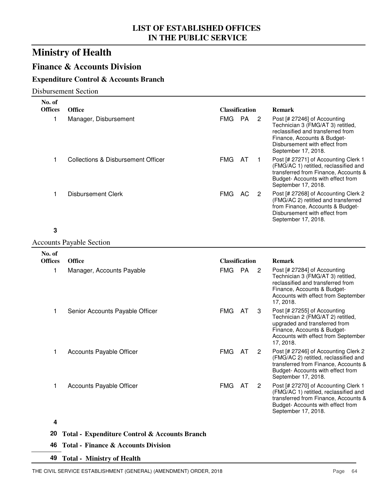## **Finance & Accounts Division**

#### **Expenditure Control & Accounts Branch**

Disbursement Section

| No. of<br><b>Offices</b> |                                                          |                                     |    |                |                                                                                                                                                                                                                |
|--------------------------|----------------------------------------------------------|-------------------------------------|----|----------------|----------------------------------------------------------------------------------------------------------------------------------------------------------------------------------------------------------------|
| 1                        | <b>Office</b><br>Manager, Disbursement                   | <b>Classification</b><br><b>FMG</b> | PA | $\overline{2}$ | <b>Remark</b><br>Post [# 27246] of Accounting<br>Technician 3 (FMG/AT 3) retitled,<br>reclassified and transferred from<br>Finance, Accounts & Budget-<br>Disbursement with effect from<br>September 17, 2018. |
| 1                        | <b>Collections &amp; Disbursement Officer</b>            | <b>FMG</b>                          | AT | $\mathbf{1}$   | Post [# 27271] of Accounting Clerk 1<br>(FMG/AC 1) retitled, reclassified and<br>transferred from Finance, Accounts &<br>Budget- Accounts with effect from<br>September 17, 2018.                              |
| 1                        | <b>Disbursement Clerk</b>                                | FMG                                 | AC | $\overline{2}$ | Post [# 27268] of Accounting Clerk 2<br>(FMG/AC 2) retitled and transferred<br>from Finance, Accounts & Budget-<br>Disbursement with effect from<br>September 17, 2018.                                        |
| 3                        |                                                          |                                     |    |                |                                                                                                                                                                                                                |
|                          | <b>Accounts Payable Section</b>                          |                                     |    |                |                                                                                                                                                                                                                |
| No. of                   |                                                          |                                     |    |                |                                                                                                                                                                                                                |
| <b>Offices</b>           | <b>Office</b>                                            | <b>Classification</b>               |    |                | <b>Remark</b>                                                                                                                                                                                                  |
| 1                        | Manager, Accounts Payable                                | <b>FMG</b>                          | PA | $\overline{2}$ | Post [# 27284] of Accounting<br>Technician 3 (FMG/AT 3) retitled,<br>reclassified and transferred from<br>Finance, Accounts & Budget-<br>Accounts with effect from September<br>17, 2018.                      |
| $\mathbf{1}$             | Senior Accounts Payable Officer                          | <b>FMG</b>                          | AT | 3              | Post [# 27255] of Accounting<br>Technician 2 (FMG/AT 2) retitled,<br>upgraded and transferred from<br>Finance, Accounts & Budget-<br>Accounts with effect from September<br>17, 2018.                          |
| 1                        | Accounts Payable Officer                                 | <b>FMG</b>                          | AT | $\overline{2}$ | Post [# 27246] of Accounting Clerk 2<br>(FMG/AC 2) retitled, reclassified and<br>transferred from Finance, Accounts &<br>Budget- Accounts with effect from<br>September 17, 2018.                              |
| 1                        | <b>Accounts Payable Officer</b>                          | FMG AT                              |    | 2              | Post [# 27270] of Accounting Clerk 1<br>(FMG/AC 1) retitled, reclassified and<br>transferred from Finance, Accounts &<br>Budget- Accounts with effect from<br>September 17, 2018.                              |
| 4                        |                                                          |                                     |    |                |                                                                                                                                                                                                                |
| 20                       | <b>Total - Expenditure Control &amp; Accounts Branch</b> |                                     |    |                |                                                                                                                                                                                                                |
|                          |                                                          |                                     |    |                |                                                                                                                                                                                                                |

**46 Total - Finance & Accounts Division**

**49 Total - Ministry of Health**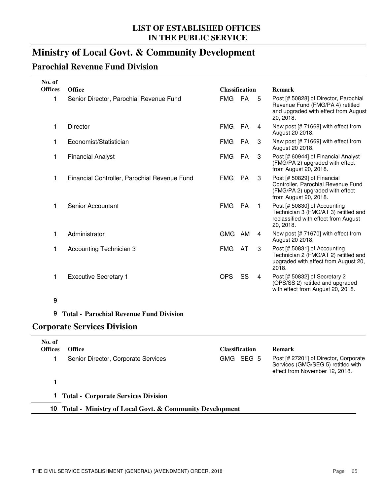## **Ministry of Local Govt. & Community Development**

## **Parochial Revenue Fund Division**

| <b>Office</b><br>Senior Director, Parochial Revenue Fund<br><b>Director</b><br>Economist/Statistician<br><b>Financial Analyst</b> | <b>Classification</b><br><b>FMG</b><br><b>FMG</b><br><b>FMG</b><br><b>FMG</b> | PA<br><b>PA</b><br><b>PA</b><br><b>PA</b> | 5<br>4<br>3  | <b>Remark</b><br>Post [# 50828] of Director, Parochial<br>Revenue Fund (FMG/PA 4) retitled<br>and upgraded with effect from August<br>20, 2018.<br>New post [# 71668] with effect from<br>August 20 2018.<br>New post [# 71669] with effect from |
|-----------------------------------------------------------------------------------------------------------------------------------|-------------------------------------------------------------------------------|-------------------------------------------|--------------|--------------------------------------------------------------------------------------------------------------------------------------------------------------------------------------------------------------------------------------------------|
|                                                                                                                                   |                                                                               |                                           |              |                                                                                                                                                                                                                                                  |
|                                                                                                                                   |                                                                               |                                           |              |                                                                                                                                                                                                                                                  |
|                                                                                                                                   |                                                                               |                                           |              |                                                                                                                                                                                                                                                  |
|                                                                                                                                   |                                                                               |                                           |              | August 20 2018.                                                                                                                                                                                                                                  |
|                                                                                                                                   |                                                                               |                                           | 3            | Post [# 60944] of Financial Analyst<br>(FMG/PA 2) upgraded with effect<br>from August 20, 2018.                                                                                                                                                  |
| Financial Controller, Parochial Revenue Fund                                                                                      | <b>FMG</b>                                                                    | <b>PA</b>                                 | 3            | Post [# 50829] of Financial<br>Controller, Parochial Revenue Fund<br>(FMG/PA 2) upgraded with effect<br>from August 20, 2018.                                                                                                                    |
| Senior Accountant                                                                                                                 | <b>FMG</b>                                                                    | <b>PA</b>                                 | $\mathbf{1}$ | Post [# 50830] of Accounting<br>Technician 3 (FMG/AT 3) retitled and<br>reclassified with effect from August<br>20, 2018.                                                                                                                        |
| Administrator                                                                                                                     | <b>GMG</b>                                                                    | AM                                        | 4            | New post [# 71670] with effect from<br>August 20 2018.                                                                                                                                                                                           |
| Accounting Technician 3                                                                                                           | <b>FMG</b>                                                                    | AT                                        | 3            | Post [# 50831] of Accounting<br>Technician 2 (FMG/AT 2) retitled and<br>upgraded with effect from August 20,<br>2018.                                                                                                                            |
|                                                                                                                                   | <b>OPS</b>                                                                    | SS                                        | 4            | Post [# 50832] of Secretary 2<br>(OPS/SS 2) retitled and upgraded<br>with effect from August 20, 2018.                                                                                                                                           |
|                                                                                                                                   |                                                                               |                                           |              |                                                                                                                                                                                                                                                  |
|                                                                                                                                   | <b>Executive Secretary 1</b>                                                  |                                           |              |                                                                                                                                                                                                                                                  |

#### **9 Total - Parochial Revenue Fund Division**

### **Corporate Services Division**

| No. of<br><b>Offices</b> | <b>Office</b>                                              | Classification | <b>Remark</b>                                                                                                 |
|--------------------------|------------------------------------------------------------|----------------|---------------------------------------------------------------------------------------------------------------|
|                          | Senior Director, Corporate Services                        | GMG SEG 5      | Post [# 27201] of Director, Corporate<br>Services (GMG/SEG 5) retitled with<br>effect from November 12, 2018. |
|                          |                                                            |                |                                                                                                               |
|                          | <b>Total - Corporate Services Division</b>                 |                |                                                                                                               |
|                          | 10 Total - Ministry of Local Govt. & Community Development |                |                                                                                                               |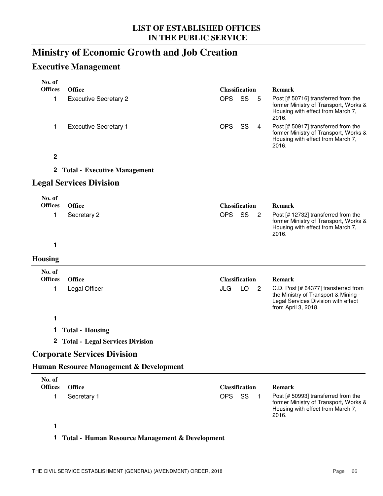## **Ministry of Economic Growth and Job Creation**

## **Executive Management**

| No. of                   |                                                    |                                         |                                                                                                                                            |
|--------------------------|----------------------------------------------------|-----------------------------------------|--------------------------------------------------------------------------------------------------------------------------------------------|
| <b>Offices</b>           | <b>Office</b>                                      | <b>Classification</b>                   | <b>Remark</b>                                                                                                                              |
| 1                        | <b>Executive Secretary 2</b>                       | SS<br><b>OPS</b><br>5                   | Post [# 50716] transferred from the<br>former Ministry of Transport, Works &<br>Housing with effect from March 7,<br>2016.                 |
| 1                        | <b>Executive Secretary 1</b>                       | SS<br><b>OPS</b><br>$\overline{4}$      | Post [# 50917] transferred from the<br>former Ministry of Transport, Works &<br>Housing with effect from March 7,<br>2016.                 |
| $\mathbf 2$              |                                                    |                                         |                                                                                                                                            |
| $\mathbf{2}$             | <b>Total - Executive Management</b>                |                                         |                                                                                                                                            |
|                          | <b>Legal Services Division</b>                     |                                         |                                                                                                                                            |
| No. of<br><b>Offices</b> | <b>Office</b>                                      | <b>Classification</b>                   | <b>Remark</b>                                                                                                                              |
| 1                        | Secretary 2                                        | <b>OPS</b><br>SS<br>$\overline{2}$      | Post [# 12732] transferred from the                                                                                                        |
|                          |                                                    |                                         | former Ministry of Transport, Works &<br>Housing with effect from March 7,<br>2016.                                                        |
| 1                        |                                                    |                                         |                                                                                                                                            |
| <b>Housing</b>           |                                                    |                                         |                                                                                                                                            |
| No. of<br><b>Offices</b> | <b>Office</b>                                      | <b>Classification</b>                   | <b>Remark</b>                                                                                                                              |
| 1                        | Legal Officer                                      | JLG<br>LO<br>$\overline{\phantom{0}}^2$ | C.D. Post [# 64377] transferred from<br>the Ministry of Transport & Mining -<br>Legal Services Division with effect<br>from April 3, 2018. |
| 1                        |                                                    |                                         |                                                                                                                                            |
| Т.                       | <b>Total - Housing</b>                             |                                         |                                                                                                                                            |
| $\mathbf{2}$             | <b>Total - Legal Services Division</b>             |                                         |                                                                                                                                            |
|                          | <b>Corporate Services Division</b>                 |                                         |                                                                                                                                            |
|                          | <b>Human Resource Management &amp; Development</b> |                                         |                                                                                                                                            |
| No. of<br><b>Offices</b> | <b>Office</b>                                      |                                         | <b>Remark</b>                                                                                                                              |
|                          |                                                    | <b>Classification</b><br>OPS SS         |                                                                                                                                            |
| 1                        | Secretary 1                                        | $\blacksquare$ 1                        | Post [# 50993] transferred from the<br>former Ministry of Transport, Works &<br>Housing with effect from March 7,<br>2016.                 |
| 1                        |                                                    |                                         |                                                                                                                                            |

### **1 Total - Human Resource Management & Development**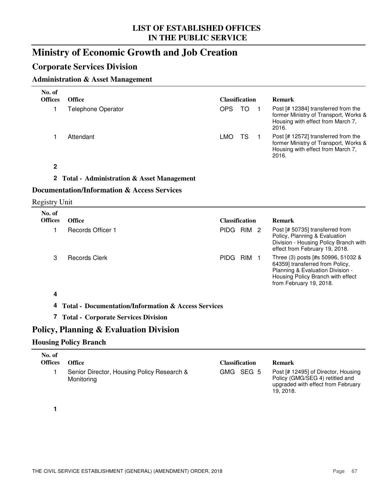## **Ministry of Economic Growth and Job Creation**

## **Corporate Services Division**

### **Administration & Asset Management**

| No. of<br><b>Offices</b> | <b>Office</b>                                                  | <b>Classification</b>          | <b>Remark</b>                                                                                                                                                             |
|--------------------------|----------------------------------------------------------------|--------------------------------|---------------------------------------------------------------------------------------------------------------------------------------------------------------------------|
| 1                        | <b>Telephone Operator</b>                                      | <b>OPS</b><br><b>TO</b><br>- 1 | Post [# 12384] transferred from the<br>former Ministry of Transport, Works &<br>Housing with effect from March 7,<br>2016.                                                |
| 1                        | Attendant                                                      | LMO.<br>TS<br>$\blacksquare$   | Post [# 12572] transferred from the<br>former Ministry of Transport, Works &<br>Housing with effect from March 7,<br>2016.                                                |
| $\overline{2}$           |                                                                |                                |                                                                                                                                                                           |
|                          | 2 Total - Administration & Asset Management                    |                                |                                                                                                                                                                           |
|                          | <b>Documentation/Information &amp; Access Services</b>         |                                |                                                                                                                                                                           |
| <b>Registry Unit</b>     |                                                                |                                |                                                                                                                                                                           |
| No. of                   |                                                                |                                |                                                                                                                                                                           |
| <b>Offices</b>           | <b>Office</b>                                                  | <b>Classification</b>          | <b>Remark</b>                                                                                                                                                             |
| 1                        | <b>Records Officer 1</b>                                       | PIDG RIM 2                     | Post [# 50735] transferred from<br>Policy, Planning & Evaluation<br>Division - Housing Policy Branch with<br>effect from February 19, 2018.                               |
| 3                        | <b>Records Clerk</b>                                           | PIDG RIM 1                     | Three (3) posts [#s 50996, 51032 &<br>64359] transferred from Policy,<br>Planning & Evaluation Division -<br>Housing Policy Branch with effect<br>from February 19, 2018. |
| 4                        |                                                                |                                |                                                                                                                                                                           |
| 4                        | <b>Total - Documentation/Information &amp; Access Services</b> |                                |                                                                                                                                                                           |
| $\mathbf{7}$             | <b>Total - Corporate Services Division</b>                     |                                |                                                                                                                                                                           |
|                          | Policy, Planning & Evaluation Division                         |                                |                                                                                                                                                                           |
|                          | <b>Housing Policy Branch</b>                                   |                                |                                                                                                                                                                           |
|                          |                                                                |                                |                                                                                                                                                                           |
| No. of                   |                                                                |                                |                                                                                                                                                                           |

| .<br><b>Offices</b> | Office                                                   | <b>Classification</b> | Remark                                                                                                                   |
|---------------------|----------------------------------------------------------|-----------------------|--------------------------------------------------------------------------------------------------------------------------|
|                     | Senior Director, Housing Policy Research &<br>Monitoring | GMG SEG 5             | Post [# 12495] of Director, Housing<br>Policy (GMG/SEG 4) retitled and<br>upgraded with effect from February<br>19.2018. |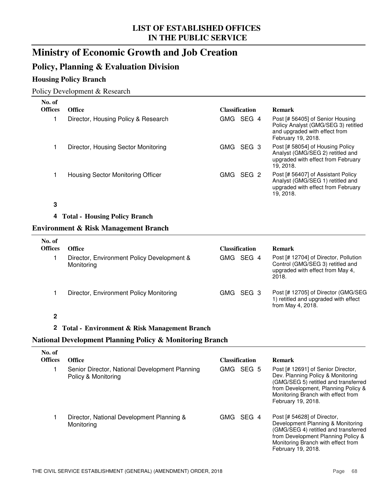## **Ministry of Economic Growth and Job Creation**

## **Policy, Planning & Evaluation Division**

### **Housing Policy Branch**

#### Policy Development & Research

| No. of<br><b>Offices</b> | <b>Office</b>                       | <b>Classification</b> | <b>Remark</b>                                                                                                                  |  |  |  |
|--------------------------|-------------------------------------|-----------------------|--------------------------------------------------------------------------------------------------------------------------------|--|--|--|
|                          | Director, Housing Policy & Research | SEG 4<br>GMG          | Post [# 56405] of Senior Housing<br>Policy Analyst (GMG/SEG 3) retitled<br>and upgraded with effect from<br>February 19, 2018. |  |  |  |
|                          | Director, Housing Sector Monitoring | SEG 3<br>GMG .        | Post [# 58054] of Housing Policy<br>Analyst (GMG/SEG 2) retitled and<br>upgraded with effect from February<br>19.2018.         |  |  |  |
|                          | Housing Sector Monitoring Officer   | SEG 2<br>GMG.         | Post [# 56407] of Assistant Policy<br>Analyst (GMG/SEG 1) retitled and<br>upgraded with effect from February<br>19.2018.       |  |  |  |

### **3**

#### **4 Total - Housing Policy Branch**

#### **Environment & Risk Management Branch**

| No. of<br><b>Offices</b> | <b>Office</b>                                            | <b>Classification</b> | <b>Remark</b>                                                                                                          |  |  |
|--------------------------|----------------------------------------------------------|-----------------------|------------------------------------------------------------------------------------------------------------------------|--|--|
|                          | Director, Environment Policy Development &<br>Monitoring | SEG 4<br>GMG .        | Post [# 12704] of Director, Pollution<br>Control (GMG/SEG 3) retitled and<br>upgraded with effect from May 4.<br>2018. |  |  |
|                          | Director, Environment Policy Monitoring                  | GMG SEG 3             | Post [# 12705] of Director (GMG/SEG<br>1) retitled and upgraded with effect<br>from May 4, 2018.                       |  |  |

### **2**

### **2 Total - Environment & Risk Management Branch**

### **National Development Planning Policy & Monitoring Branch**

| No. of<br><b>Offices</b> | <b>Office</b>                                                         | <b>Classification</b> | <b>Remark</b>                                                                                                                                                                                                      |
|--------------------------|-----------------------------------------------------------------------|-----------------------|--------------------------------------------------------------------------------------------------------------------------------------------------------------------------------------------------------------------|
|                          | Senior Director, National Development Planning<br>Policy & Monitoring | GMG SEG 5             | Post [# 12691] of Senior Director,<br>Dev. Planning Policy & Monitoring<br>(GMG/SEG 5) retitled and transferred<br>from Development, Planning Policy &<br>Monitoring Branch with effect from<br>February 19, 2018. |
|                          | Director, National Development Planning &<br>Monitoring               | SEG 4<br>GMG .        | Post [# 54628] of Director,<br>Development Planning & Monitoring<br>(GMG/SEG 4) retitled and transferred<br>from Development Planning Policy &<br>Monitoring Branch with effect from<br>February 19, 2018.         |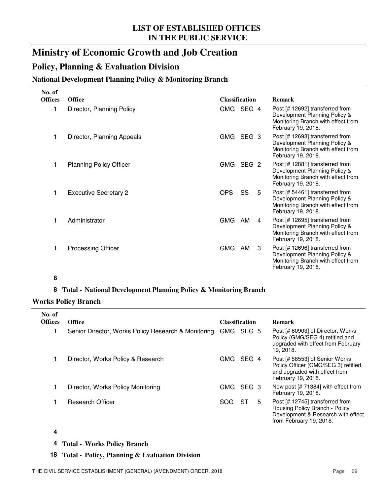## **Ministry of Economic Growth and Job Creation**

### **Policy, Planning & Evaluation Division**

### **National Development Planning Policy & Monitoring Branch**

| <b>Office</b>                  | <b>Classification</b> |    |   | <b>Remark</b>                                                                                                                |
|--------------------------------|-----------------------|----|---|------------------------------------------------------------------------------------------------------------------------------|
| Director, Planning Policy      |                       |    |   | Post [# 12692] transferred from<br>Development Planning Policy &<br>Monitoring Branch with effect from<br>February 19, 2018. |
| Director, Planning Appeals     | <b>GMG</b>            |    |   | Post [# 12693] transferred from<br>Development Planning Policy &<br>Monitoring Branch with effect from<br>February 19, 2018. |
| <b>Planning Policy Officer</b> |                       |    |   | Post [# 12881] transferred from<br>Development Planning Policy &<br>Monitoring Branch with effect from<br>February 19, 2018. |
| <b>Executive Secretary 2</b>   | OPS                   | SS | 5 | Post [# 54461] transferred from<br>Development Planning Policy &<br>Monitoring Branch with effect from<br>February 19, 2018. |
| Administrator                  | <b>GMG</b>            | AM | 4 | Post [# 12695] transferred from<br>Development Planning Policy &<br>Monitoring Branch with effect from<br>February 19, 2018. |
| <b>Processing Officer</b>      | <b>GMG</b>            | AM | 3 | Post [# 12696] transferred from<br>Development Planning Policy &<br>Monitoring Branch with effect from<br>February 19, 2018. |
|                                |                       |    |   | GMG SEG 4<br>SEG <sub>3</sub><br>GMG SEG 2                                                                                   |

#### **8**

#### **8 Total - National Development Planning Policy & Monitoring Branch**

#### **Works Policy Branch**

| No. of<br><b>Offices</b> | <b>Office</b>                                       |       | <b>Classification</b> |   | <b>Remark</b>                                                                                                                      |
|--------------------------|-----------------------------------------------------|-------|-----------------------|---|------------------------------------------------------------------------------------------------------------------------------------|
|                          | Senior Director, Works Policy Research & Monitoring | GMG   | SEG 5                 |   | Post [# 60903] of Director, Works<br>Policy (GMG/SEG 4) retitled and<br>upgraded with effect from February<br>19.2018.             |
|                          | Director, Works Policy & Research                   | GMG . | SEG 4                 |   | Post [# 58553] of Senior Works<br>Policy Officer (GMG/SEG 3) retitled<br>and upgraded with effect from<br>February 19, 2018.       |
|                          | Director, Works Policy Monitoring                   | GMG   | SEG 3                 |   | New post [# 71384] with effect from<br>February 19, 2018.                                                                          |
|                          | <b>Research Officer</b>                             | SOG   | ST                    | 5 | Post [# 12745] transferred from<br>Housing Policy Branch - Policy<br>Development & Research with effect<br>from February 19, 2018. |

#### **4**

**4 Total - Works Policy Branch**

#### **18 Total - Policy, Planning & Evaluation Division**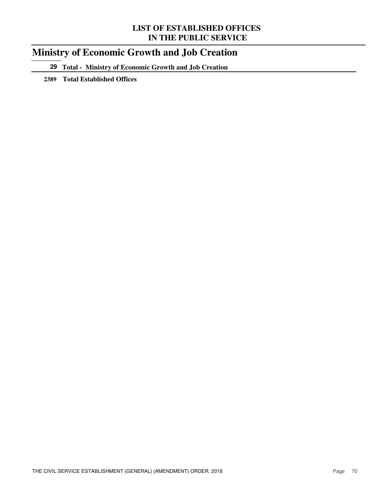## **Ministry of Economic Growth and Job Creation**

**29 Total - Ministry of Economic Growth and Job Creation**

**2389 Total Established Offices**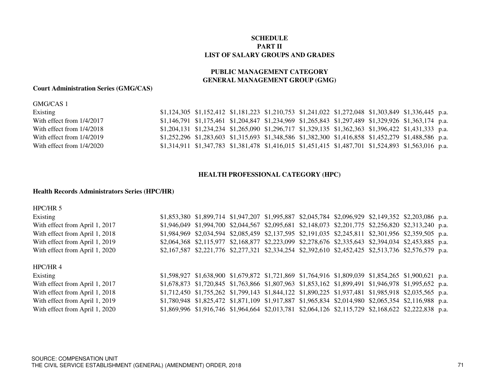#### **SCHEDULE PART IILIST OF SALARY GROUPS AND GRADES**

#### **GENERAL MANAGEMENT GROUP (GMG) PUBLIC MANAGEMENT CATEGORY**

#### **Court Administration Series (GMG/CAS)**

#### GMG/CAS 1

| Existing                    |  |  | \$1,124,305 \$1,152,412 \$1,181,223 \$1,210,753 \$1,241,022 \$1,272,048 \$1,303,849 \$1,336,445 p.a.         |  |  |
|-----------------------------|--|--|--------------------------------------------------------------------------------------------------------------|--|--|
| With effect from 1/4/2017   |  |  | \$1,146,791 \$1,175,461 \$1,204,847 \$1,234,969 \$1,265,843 \$1,297,489 \$1,329,926 \$1,363,174 p.a.         |  |  |
| With effect from $1/4/2018$ |  |  | $$1,204,131$ $$1,234,234$ $$1,265,090$ $$1,296,717$ $$1,329,135$ $$1,362,363$ $$1,396,422$ $$1,431,333$ p.a. |  |  |
| With effect from $1/4/2019$ |  |  | \$1,252,296 \$1,283,603 \$1,315,693 \$1,348,586 \$1,382,300 \$1,416,858 \$1,452,279 \$1,488,586 p.a.         |  |  |
| With effect from $1/4/2020$ |  |  | \$1,314,911 \$1,347,783 \$1,381,478 \$1,416,015 \$1,451,415 \$1,487,701 \$1,524,893 \$1,563,016 p.a.         |  |  |

#### **HEALTH PROFESSIONAL CATEGORY (HPC)**

#### **Health Records Administrators Series (HPC/HR)**

#### HPC/HR 5

| Existing                       |  |  |  | \$1,853,380 \$1,899,714 \$1,947,207 \$1,995,887 \$2,045,784 \$2,096,929 \$2,149,352 \$2,203,086 p.a. |  |
|--------------------------------|--|--|--|------------------------------------------------------------------------------------------------------|--|
| With effect from April 1, 2017 |  |  |  | \$1,946,049 \$1,994,700 \$2,044,567 \$2,095,681 \$2,148,073 \$2,201,775 \$2,256,820 \$2,313,240 p.a. |  |
| With effect from April 1, 2018 |  |  |  | \$1,984,969 \$2,034,594 \$2,085,459 \$2,137,595 \$2,191,035 \$2,245,811 \$2,301,956 \$2,359,505 p.a. |  |
| With effect from April 1, 2019 |  |  |  | \$2,064,368 \$2,115,977 \$2,168,877 \$2,223,099 \$2,278,676 \$2,335,643 \$2,394,034 \$2,453,885 p.a. |  |
| With effect from April 1, 2020 |  |  |  | \$2,167,587 \$2,221,776 \$2,277,321 \$2,334,254 \$2,392,610 \$2,452,425 \$2,513,736 \$2,576,579 p.a. |  |
|                                |  |  |  |                                                                                                      |  |

#### HPC/HR 4

Existing \$1,598,927 \$1,638,900 \$1,679,872 \$1,721,869 \$1,764,916 \$1,809,039 \$1,854,265 \$1,900,621 p.a. With effect from April 1, 2017 \$1,678,873 \$1,720,845 \$1,763,866 \$1,807,963 \$1,853,162 \$1,899,491 \$1,946,978 \$1,995,652 p.a. With effect from April 1, 2018 \$1,712,450 \$1,755,262 \$1,799,143 \$1,844,122 \$1,890,225 \$1,937,481 \$1,985,918 \$2,035,565 p.a. With effect from April 1, 2019 \$1,780,948 \$1,825,472 \$1,871,109 \$1,917,887 \$1,965,834 \$2,014,980 \$2,065,354 \$2,116,988 p.a. With effect from April 1, 2020 \$1,869,996 \$1,916,746 \$1,964,664 \$2,013,781 \$2,064,126 \$2,115,729 \$2,168,622 \$2,222,838 p.a.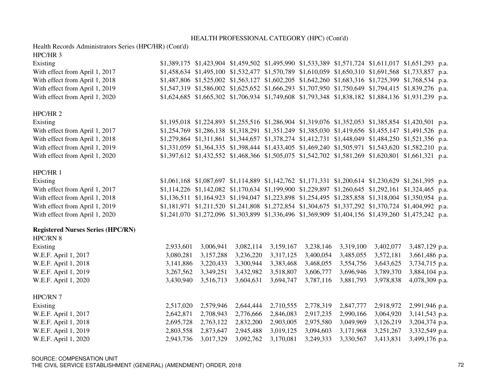#### HEALTH PROFESSIONAL CATEGORY (HPC) (Cont'd)

Health Records Administrators Series (HPC/HR) (Cont'd)

#### HPC/HR 3

| Existing                       |  |  | \$1,389,175 \$1,423,904 \$1,459,502 \$1,495,990 \$1,533,389 \$1,571,724 \$1,611,017 \$1,651,293 p.a. |  |  |
|--------------------------------|--|--|------------------------------------------------------------------------------------------------------|--|--|
| With effect from April 1, 2017 |  |  | \$1,458,634 \$1,495,100 \$1,532,477 \$1,570,789 \$1,610,059 \$1,650,310 \$1,691,568 \$1,733,857 p.a. |  |  |
| With effect from April 1, 2018 |  |  | \$1,487,806 \$1,525,002 \$1,563,127 \$1,602,205 \$1,642,260 \$1,683,316 \$1,725,399 \$1,768,534 p.a. |  |  |
| With effect from April 1, 2019 |  |  | \$1,547,319 \$1,586,002 \$1,625,652 \$1,666,293 \$1,707,950 \$1,750,649 \$1,794,415 \$1,839,276 p.a. |  |  |
| With effect from April 1, 2020 |  |  | \$1,624,685 \$1,665,302 \$1,706,934 \$1,749,608 \$1,793,348 \$1,838,182 \$1,884,136 \$1,931,239 p.a. |  |  |
|                                |  |  |                                                                                                      |  |  |

#### HPC/HR 2

| Existing                       | \$1,195,018 \$1,224,893 \$1,255,516 \$1,286,904 \$1,319,076 \$1,352,053 \$1,385,854 \$1,420,501 p.a. |  |  |  |  |
|--------------------------------|------------------------------------------------------------------------------------------------------|--|--|--|--|
| With effect from April 1, 2017 | \$1,254,769 \$1,286,138 \$1,318,291 \$1,351,249 \$1,385,030 \$1,419,656 \$1,455,147 \$1,491,526 p.a. |  |  |  |  |
| With effect from April 1, 2018 | \$1,279,864 \$1,311,861 \$1,344,657 \$1,378,274 \$1,412,731 \$1,448,049 \$1,484,250 \$1,521,356 p.a. |  |  |  |  |
| With effect from April 1, 2019 | \$1,331,059 \$1,364,335 \$1,398,444 \$1,433,405 \$1,469,240 \$1,505,971 \$1,543,620 \$1,582,210 p.a. |  |  |  |  |
| With effect from April 1, 2020 | \$1,397,612 \$1,432,552 \$1,468,366 \$1,505,075 \$1,542,702 \$1,581,269 \$1,620,801 \$1,661,321 p.a. |  |  |  |  |

#### HPC/HR 1

| Existing                       |  |  |  | $$1,061,168$ $$1,087,697$ $$1,114,889$ $$1,142,762$ $$1,171,331$ $$1,200,614$ $$1,230,629$ $$1,261,395$ p.a. |  |
|--------------------------------|--|--|--|--------------------------------------------------------------------------------------------------------------|--|
| With effect from April 1, 2017 |  |  |  | \$1,114,226 \$1,142,082 \$1,170,634 \$1,199,900 \$1,229,897 \$1,260,645 \$1,292,161 \$1,324,465 p.a.         |  |
| With effect from April 1, 2018 |  |  |  | \$1,136,511 \$1,164,923 \$1,194,047 \$1,223,898 \$1,254,495 \$1,285,858 \$1,318,004 \$1,350,954 p.a.         |  |
| With effect from April 1, 2019 |  |  |  | \$1,181,971 \$1,211,520 \$1,241,808 \$1,272,854 \$1,304,675 \$1,337,292 \$1,370,724 \$1,404,992 p.a.         |  |
| With effect from April 1, 2020 |  |  |  | \$1,241,070 \$1,272,096 \$1,303,899 \$1,336,496 \$1,369,909 \$1,404,156 \$1,439,260 \$1,475,242 p.a.         |  |

#### **Registered Nurses Series (HPC/RN)**

| HPC/RN 8             |           |           |           |           |           |           |           |                |
|----------------------|-----------|-----------|-----------|-----------|-----------|-----------|-----------|----------------|
| Existing             | 2,933,601 | 3,006,941 | 3,082,114 | 3,159,167 | 3,238,146 | 3,319,100 | 3,402,077 | 3,487,129 p.a. |
| W.E.F. April 1, 2017 | 3,080,281 | 3,157,288 | 3,236,220 | 3,317,125 | 3,400,054 | 3,485,055 | 3,572,181 | 3,661,486 p.a. |
| W.E.F. April 1, 2018 | 3,141,886 | 3,220,433 | 3,300,944 | 3,383,468 | 3,468,055 | 3,554,756 | 3,643,625 | 3,734,715 p.a. |
| W.E.F. April 1, 2019 | 3,267,562 | 3,349,251 | 3,432,982 | 3,518,807 | 3,606,777 | 3,696,946 | 3,789,370 | 3,884,104 p.a. |
| W.E.F. April 1, 2020 | 3,430,940 | 3,516,713 | 3,604,631 | 3,694,747 | 3,787,116 | 3,881,793 | 3,978,838 | 4,078,309 p.a. |
| HPC/RN 7             |           |           |           |           |           |           |           |                |
| Existing             | 2,517,020 | 2,579,946 | 2,644,444 | 2,710,555 | 2,778,319 | 2,847,777 | 2,918,972 | 2,991,946 p.a. |
| W.E.F. April 1, 2017 | 2,642,871 | 2,708,943 | 2,776,666 | 2,846,083 | 2,917,235 | 2,990,166 | 3,064,920 | 3,141,543 p.a. |
| W.E.F. April 1, 2018 | 2,695,728 | 2,763,122 | 2,832,200 | 2,903,005 | 2,975,580 | 3,049,969 | 3,126,219 | 3,204,374 p.a. |
| W.E.F. April 1, 2019 | 2,803,558 | 2,873,647 | 2,945,488 | 3,019,125 | 3,094,603 | 3,171,968 | 3,251,267 | 3,332,549 p.a. |
| W.E.F. April 1, 2020 | 2,943,736 | 3,017,329 | 3,092,762 | 3,170,081 | 3,249,333 | 3,330,567 | 3,413,831 | 3,499,176 p.a. |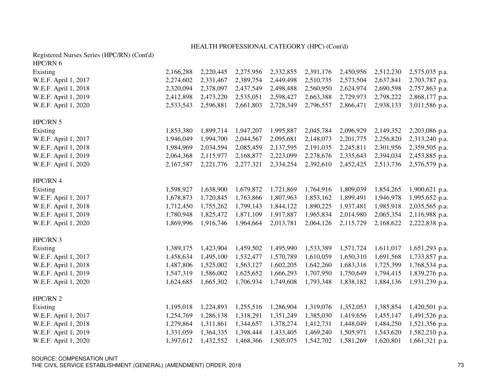#### HEALTH PROFESSIONAL CATEGORY (HPC) (Cont'd)

| Registered Nurses Series (HPC/RN) (Cont'd) |           |           |           |           |           |           |           |                |
|--------------------------------------------|-----------|-----------|-----------|-----------|-----------|-----------|-----------|----------------|
| HPC/RN 6                                   |           |           |           |           |           |           |           |                |
| Existing                                   | 2,166,288 | 2,220,445 | 2,275,956 | 2,332,855 | 2,391,176 | 2,450,956 | 2,512,230 | 2,575,035 p.a. |
| W.E.F. April 1, 2017                       | 2,274,602 | 2,331,467 | 2,389,754 | 2,449,498 | 2,510,735 | 2,573,504 | 2,637,841 | 2,703,787 p.a. |
| W.E.F. April 1, 2018                       | 2,320,094 | 2,378,097 | 2,437,549 | 2,498,488 | 2,560,950 | 2,624,974 | 2,690,598 | 2,757,863 p.a. |
| W.E.F. April 1, 2019                       | 2,412,898 | 2,473,220 | 2,535,051 | 2,598,427 | 2,663,388 | 2,729,973 | 2,798,222 | 2,868,177 p.a. |
| W.E.F. April 1, 2020                       | 2,533,543 | 2,596,881 | 2,661,803 | 2,728,349 | 2,796,557 | 2,866,471 | 2,938,133 | 3,011,586 p.a. |
| HPC/RN 5                                   |           |           |           |           |           |           |           |                |
| Existing                                   | 1,853,380 | 1,899,714 | 1,947,207 | 1,995,887 | 2,045,784 | 2,096,929 | 2,149,352 | 2,203,086 p.a. |
| W.E.F. April 1, 2017                       | 1,946,049 | 1,994,700 | 2,044,567 | 2,095,681 | 2,148,073 | 2,201,775 | 2,256,820 | 2,313,240 p.a. |
| W.E.F. April 1, 2018                       | 1,984,969 | 2,034,594 | 2,085,459 | 2,137,595 | 2,191,035 | 2,245,811 | 2,301,956 | 2,359,505 p.a. |
| W.E.F. April 1, 2019                       | 2,064,368 | 2,115,977 | 2,168,877 | 2,223,099 | 2,278,676 | 2,335,643 | 2,394,034 | 2,453,885 p.a. |
| W.E.F. April 1, 2020                       | 2,167,587 | 2,221,776 | 2,277,321 | 2,334,254 | 2,392,610 | 2,452,425 | 2,513,736 | 2,576,579 p.a. |
| HPC/RN 4                                   |           |           |           |           |           |           |           |                |
| Existing                                   | 1,598,927 | 1,638,900 | 1,679,872 | 1,721,869 | 1,764,916 | 1,809,039 | 1,854,265 | 1,900,621 p.a. |
| W.E.F. April 1, 2017                       | 1,678,873 | 1,720,845 | 1,763,866 | 1,807,963 | 1,853,162 | 1,899,491 | 1,946,978 | 1,995,652 p.a. |
| W.E.F. April 1, 2018                       | 1,712,450 | 1,755,262 | 1,799,143 | 1,844,122 | 1,890,225 | 1,937,481 | 1,985,918 | 2,035,565 p.a. |
| W.E.F. April 1, 2019                       | 1,780,948 | 1,825,472 | 1,871,109 | 1,917,887 | 1,965,834 | 2,014,980 | 2,065,354 | 2,116,988 p.a. |
| W.E.F. April 1, 2020                       | 1,869,996 | 1,916,746 | 1,964,664 | 2,013,781 | 2,064,126 | 2,115,729 | 2,168,622 | 2,222,838 p.a. |
| HPC/RN 3                                   |           |           |           |           |           |           |           |                |
| Existing                                   | 1,389,175 | 1,423,904 | 1,459,502 | 1,495,990 | 1,533,389 | 1,571,724 | 1,611,017 | 1,651,293 p.a. |
| W.E.F. April 1, 2017                       | 1,458,634 | 1,495,100 | 1,532,477 | 1,570,789 | 1,610,059 | 1,650,310 | 1,691,568 | 1,733,857 p.a. |
| W.E.F. April 1, 2018                       | 1,487,806 | 1,525,002 | 1,563,127 | 1,602,205 | 1,642,260 | 1,683,316 | 1,725,399 | 1,768,534 p.a. |
| W.E.F. April 1, 2019                       | 1,547,319 | 1,586,002 | 1,625,652 | 1,666,293 | 1,707,950 | 1,750,649 | 1,794,415 | 1,839,276 p.a. |
| W.E.F. April 1, 2020                       | 1,624,685 | 1,665,302 | 1,706,934 | 1,749,608 | 1,793,348 | 1,838,182 | 1,884,136 | 1,931,239 p.a. |
| HPC/RN 2                                   |           |           |           |           |           |           |           |                |
| Existing                                   | 1,195,018 | 1,224,893 | 1,255,516 | 1,286,904 | 1,319,076 | 1,352,053 | 1,385,854 | 1,420,501 p.a. |
| W.E.F. April 1, 2017                       | 1,254,769 | 1,286,138 | 1,318,291 | 1,351,249 | 1,385,030 | 1,419,656 | 1,455,147 | 1,491,526 p.a. |
| W.E.F. April 1, 2018                       | 1,279,864 | 1,311,861 | 1,344,657 | 1,378,274 | 1,412,731 | 1,448,049 | 1,484,250 | 1,521,356 p.a. |
| W.E.F. April 1, 2019                       | 1,331,059 | 1,364,335 | 1,398,444 | 1,433,405 | 1,469,240 | 1,505,971 | 1,543,620 | 1,582,210 p.a. |
| W.E.F. April 1, 2020                       | 1,397,612 | 1,432,552 | 1,468,366 | 1,505,075 | 1,542,702 | 1,581,269 | 1,620,801 | 1,661,321 p.a. |

SOURCE: COMPENSATION UNITTHE CIVIL SERVICE ESTABLISHMENT (GENERAL) (AMENDMENT) ORDER, 2018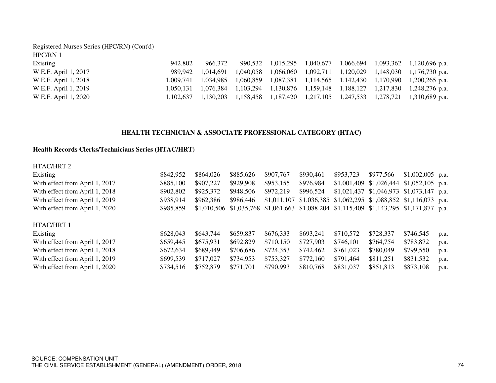| Registered Nurses Series (HPC/RN) (Cont'd) |           |         |  |  |                                                                                          |
|--------------------------------------------|-----------|---------|--|--|------------------------------------------------------------------------------------------|
| HPC/RN 1                                   |           |         |  |  |                                                                                          |
| Existing                                   | 942.802   | 966.372 |  |  | 990,532 1,015,295 1,040,677 1,066,694 1,093,362 1,120,696 p.a.                           |
| W.E.F. April 1, 2017                       | 989.942   |         |  |  | $1,014,691$ $1,040,058$ $1,066,060$ $1,092,711$ $1,120,029$ $1,148,030$ $1,176,730$ p.a. |
| W.E.F. April 1, 2018                       |           |         |  |  | 1,009,741 1,034,985 1,060,859 1,087,381 1,114,565 1,142,430 1,170,990 1,200,265 p.a.     |
| W.E.F. April 1, 2019                       | 1.050.131 |         |  |  | 1,076,384 1,103,294 1,130,876 1,159,148 1,188,127 1,217,830 1,248,276 p.a.               |
| W.E.F. April 1, 2020                       |           |         |  |  | 1,102,637 1,130,203 1,158,458 1,187,420 1,217,105 1,247,533 1,278,721 1,310,689 p.a.     |

#### **HEALTH TECHNICIAN & ASSOCIATE PROFESSIONAL CATEGORY (HTAC)**

#### **Health Records Clerks/Technicians Series (HTAC/HRT)**

| HTAC/HRT 2                     |           |             |             |             |                                                                       |             |                                                          |                                |      |
|--------------------------------|-----------|-------------|-------------|-------------|-----------------------------------------------------------------------|-------------|----------------------------------------------------------|--------------------------------|------|
| Existing                       | \$842,952 | \$864,026   | \$885,626   | \$907,767   | \$930,461                                                             | \$953,723   | \$977,566                                                | $$1,002,005$ p.a.              |      |
| With effect from April 1, 2017 | \$885,100 | \$907,227   | \$929,908   | \$953,155   | \$976,984                                                             | \$1,001,409 |                                                          | $$1,026,444$ $$1,052,105$ p.a. |      |
| With effect from April 1, 2018 | \$902,802 | \$925,372   | \$948,506   | \$972,219   | \$996,524                                                             |             | $$1,021,437$ $$1,046,973$ $$1,073,147$ p.a.              |                                |      |
| With effect from April 1, 2019 | \$938,914 | \$962,386   | \$986,446   | \$1,011,107 |                                                                       |             | $$1,036,385$ $$1,062,295$ $$1,088,852$ $$1,116,073$ p.a. |                                |      |
| With effect from April 1, 2020 | \$985,859 | \$1,010,506 | \$1,035,768 |             | $$1,061,663$ $$1,088,204$ $$1,115,409$ $$1,143,295$ $$1,171,877$ p.a. |             |                                                          |                                |      |
| HTAC/HRT 1                     |           |             |             |             |                                                                       |             |                                                          |                                |      |
| Existing                       | \$628,043 | \$643,744   | \$659,837   | \$676,333   | \$693,241                                                             | \$710,572   | \$728,337                                                | \$746,545                      | p.a. |
| With effect from April 1, 2017 | \$659,445 | \$675,931   | \$692,829   | \$710,150   | \$727,903                                                             | \$746,101   | \$764,754                                                | \$783,872                      | p.a. |
| With effect from April 1, 2018 | \$672,634 | \$689,449   | \$706,686   | \$724,353   | \$742,462                                                             | \$761,023   | \$780,049                                                | \$799,550                      | p.a. |
| With effect from April 1, 2019 | \$699,539 | \$717,027   | \$734,953   | \$753,327   | \$772,160                                                             | \$791,464   | \$811,251                                                | \$831,532                      | p.a. |
| With effect from April 1, 2020 | \$734,516 | \$752,879   | \$771,701   | \$790,993   | \$810,768                                                             | \$831,037   | \$851,813                                                | \$873,108                      | p.a. |
|                                |           |             |             |             |                                                                       |             |                                                          |                                |      |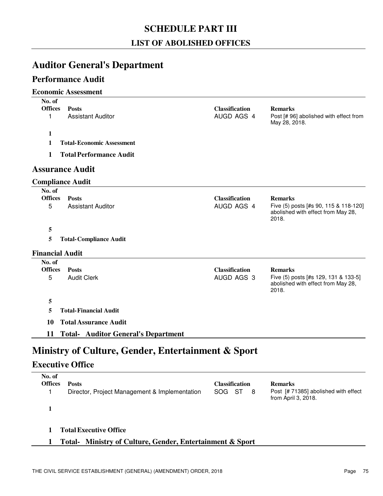## **SCHEDULE PART III**

### **LIST OF ABOLISHED OFFICES**

## **Auditor General's Department**

### **Performance Audit**

#### **Economic Assessment**

| No. of                  |                                                    |                                     |                                                                                      |
|-------------------------|----------------------------------------------------|-------------------------------------|--------------------------------------------------------------------------------------|
| <b>Offices</b><br>1     | <b>Posts</b><br><b>Assistant Auditor</b>           | <b>Classification</b><br>AUGD AGS 4 | <b>Remarks</b><br>Post [# 96] abolished with effect from                             |
|                         |                                                    |                                     | May 28, 2018.                                                                        |
| 1                       |                                                    |                                     |                                                                                      |
| 1                       | <b>Total-Economic Assessment</b>                   |                                     |                                                                                      |
| 1                       | <b>Total Performance Audit</b>                     |                                     |                                                                                      |
|                         | <b>Assurance Audit</b>                             |                                     |                                                                                      |
| <b>Compliance Audit</b> |                                                    |                                     |                                                                                      |
| No. of                  |                                                    |                                     |                                                                                      |
| <b>Offices</b>          | <b>Posts</b>                                       | <b>Classification</b>               | <b>Remarks</b>                                                                       |
| 5                       | <b>Assistant Auditor</b>                           | AUGD AGS 4                          | Five (5) posts [#s 90, 115 & 118-120]<br>abolished with effect from May 28,<br>2018. |
| 5                       |                                                    |                                     |                                                                                      |
| 5                       | <b>Total-Compliance Audit</b>                      |                                     |                                                                                      |
| <b>Financial Audit</b>  |                                                    |                                     |                                                                                      |
| No. of                  |                                                    |                                     |                                                                                      |
| <b>Offices</b>          | <b>Posts</b>                                       | <b>Classification</b>               | <b>Remarks</b>                                                                       |
| 5                       | <b>Audit Clerk</b>                                 | AUGD AGS 3                          | Five (5) posts [#s 129, 131 & 133-5]<br>abolished with effect from May 28,<br>2018.  |
| 5                       |                                                    |                                     |                                                                                      |
| 5                       | <b>Total-Financial Audit</b>                       |                                     |                                                                                      |
| 10                      | <b>Total Assurance Audit</b>                       |                                     |                                                                                      |
| 11                      | <b>Total- Auditor General's Department</b>         |                                     |                                                                                      |
|                         |                                                    |                                     |                                                                                      |
|                         | Ministry of Culture, Gender, Entertainment & Sport |                                     |                                                                                      |
| <b>Executive Office</b> |                                                    |                                     |                                                                                      |
| No. of                  |                                                    |                                     |                                                                                      |
| <b>Offices</b>          | <b>Posts</b>                                       | <b>Classification</b>               | <b>Remarks</b>                                                                       |
| 1                       | Director, Project Management & Implementation      | SOG ST<br>8                         | Post [#71385] abolished with effect                                                  |

**1**

**1 TotalExecutive Office**

#### **1 Total- Ministry of Culture, Gender, Entertainment & Sport**

from April 3, 2018.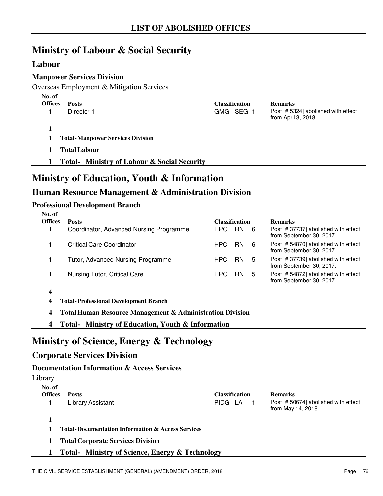## **Ministry of Labour & Social Security**

### **Labour**

### **Manpower Services Division**

Overseas Employment & Mitigation Services

| No. of<br><b>Offices</b> | <b>Posts</b><br>Director 1                                                                                           | <b>Classification</b><br>GMG SEG 1 | <b>Remarks</b><br>Post [# 5324] abolished with effect<br>from April 3, 2018. |
|--------------------------|----------------------------------------------------------------------------------------------------------------------|------------------------------------|------------------------------------------------------------------------------|
|                          | <b>Total-Manpower Services Division</b><br><b>Total Labour</b><br><b>Total-</b> Ministry of Labour & Social Security |                                    |                                                                              |
|                          |                                                                                                                      |                                    |                                                                              |

## **Ministry of Education, Youth & Information**

## **Human Resource Management & Administration Division**

#### **Professional Development Branch**

| No. of<br><b>Offices</b> | <b>Posts</b>                            | <b>Classification</b> |                  | <b>Remarks</b>                                                   |
|--------------------------|-----------------------------------------|-----------------------|------------------|------------------------------------------------------------------|
|                          |                                         |                       |                  |                                                                  |
|                          | Coordinator, Advanced Nursing Programme | HPC.                  | <b>RN</b><br>- 6 | Post [# 37737] abolished with effect<br>from September 30, 2017. |
|                          | Critical Care Coordinator               | HPC.                  | RN.<br>-6        | Post [# 54870] abolished with effect<br>from September 30, 2017. |
|                          | Tutor, Advanced Nursing Programme       | HPC.                  | <b>RN</b><br>5   | Post [# 37739] abolished with effect<br>from September 30, 2017. |
|                          | Nursing Tutor, Critical Care            | HPC.                  | <b>RN</b><br>5   | Post [# 54872] abolished with effect<br>from September 30, 2017. |
|                          |                                         |                       |                  |                                                                  |

**4**

**4 Professional Development Branch Total-**

**4 Total Human Resource Management & Administration Division**

**4 Total- Ministry of Education, Youth & Information**

## **Ministry of Science, Energy & Technology**

### **Corporate Services Division**

#### **Documentation Information & Access Services**

| Library                  |                                                              |                       |                                                            |
|--------------------------|--------------------------------------------------------------|-----------------------|------------------------------------------------------------|
| No. of<br><b>Offices</b> | <b>Posts</b>                                                 | <b>Classification</b> | <b>Remarks</b>                                             |
|                          | Library Assistant                                            | PIDG LA               | Post [# 50674] abolished with effect<br>from May 14, 2018. |
|                          | <b>Total-Documentation Information &amp; Access Services</b> |                       |                                                            |
|                          | <b>Total Corporate Services Division</b>                     |                       |                                                            |

**1 Total- Ministry of Science, Energy & Technology**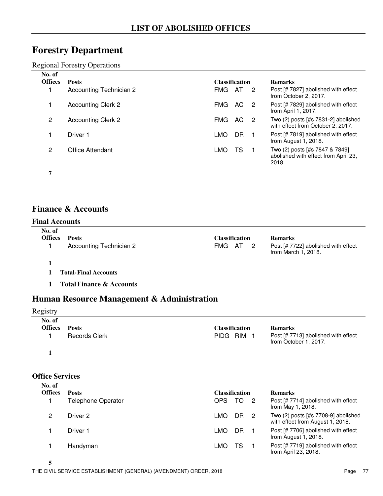## **Forestry Department**

Regional Forestry Operations

| No. of<br><b>Offices</b> | <b>Posts</b>              |            | <b>Classification</b> |                | <b>Remarks</b>                                                                  |
|--------------------------|---------------------------|------------|-----------------------|----------------|---------------------------------------------------------------------------------|
|                          | Accounting Technician 2   | FMG.       | AT                    | $\overline{2}$ | Post [# 7827] abolished with effect<br>from October 2, 2017.                    |
|                          | <b>Accounting Clerk 2</b> | <b>FMG</b> | AC.                   | -2             | Post [# 7829] abolished with effect<br>from April 1, 2017.                      |
| 2                        | <b>Accounting Clerk 2</b> | <b>FMG</b> | AC.                   | - 2            | Two (2) posts [#s 7831-2] abolished<br>with effect from October 2, 2017.        |
|                          | Driver 1                  | LMO        | DR                    |                | Post [# 7819] abolished with effect<br>from August 1, 2018.                     |
| 2                        | Office Attendant          | LMO        | TS                    |                | Two (2) posts [#s 7847 & 7849]<br>abolished with effect from April 23,<br>2018. |
|                          |                           |            |                       |                |                                                                                 |

## **Finance & Accounts**

#### **Final Accounts**

| No. of<br><b>Offices</b> | Posts                          | <b>Classification</b> | <b>Remarks</b>                                             |
|--------------------------|--------------------------------|-----------------------|------------------------------------------------------------|
|                          | <b>Accounting Technician 2</b> | FMG AT 2              | Post [# 7722] abolished with effect<br>from March 1, 2018. |
|                          |                                |                       |                                                            |

- **1 Final Accounts Total-**
- **1 Total Finance & Accounts**

## **Human Resource Management & Administration**

### Registry

| No. of<br>Offices | <b>Posts</b>         | <b>Classification</b> | <b>Remarks</b>                                               |
|-------------------|----------------------|-----------------------|--------------------------------------------------------------|
|                   | <b>Records Clerk</b> | PIDG RIM              | Post [# 7713] abolished with effect<br>from October 1, 2017. |
|                   |                      |                       |                                                              |

#### **Office Services**

| No. of<br><b>Offices</b> | <b>Posts</b>              | Classification                | <b>Remarks</b>                                                            |
|--------------------------|---------------------------|-------------------------------|---------------------------------------------------------------------------|
|                          | <b>Telephone Operator</b> | OPS.<br>TO.<br>$\overline{2}$ | Post [# 7714] abolished with effect<br>from May 1, 2018.                  |
| 2                        | Driver 2                  | DR.<br>LMO                    | Two $(2)$ posts [#s 7708-9] abolished<br>with effect from August 1, 2018. |
|                          | Driver 1                  | DR<br>LMO                     | Post [# 7706] abolished with effect<br>from August 1, 2018.               |
|                          | Handyman                  | LMO<br>TS                     | Post [# 7719] abolished with effect<br>from April 23, 2018.               |

**5**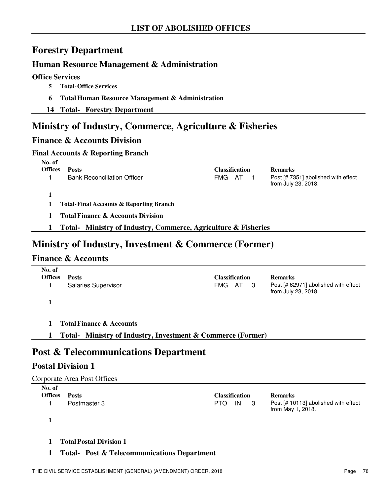## **Forestry Department**

### **Human Resource Management & Administration**

#### **Office Services**

- **5** Total-Office Services
- **6 Total Human Resource Management & Administration**
- **14 Total- Forestry Department**

## **Ministry of Industry, Commerce, Agriculture & Fisheries**

### **Finance & Accounts Division**

#### **Final Accounts & Reporting Branch**

|                          | ັ                                                                 |                       |                                                            |
|--------------------------|-------------------------------------------------------------------|-----------------------|------------------------------------------------------------|
| No. of<br><b>Offices</b> | <b>Posts</b>                                                      | <b>Classification</b> | <b>Remarks</b>                                             |
|                          | <b>Bank Reconciliation Officer</b>                                | FMG<br>AT             | Post [# 7351] abolished with effect<br>from July 23, 2018. |
|                          |                                                                   |                       |                                                            |
|                          | <b>Total-Final Accounts &amp; Reporting Branch</b>                |                       |                                                            |
|                          | <b>Total Finance &amp; Accounts Division</b>                      |                       |                                                            |
|                          | Ministry of Industry, Commerce, Agriculture & Fisheries<br>Total- |                       |                                                            |
|                          |                                                                   |                       |                                                            |

## **Ministry of Industry, Investment & Commerce (Former)**

### **Finance & Accounts**

| No. of<br><b>Offices</b> | <b>Posts</b><br><b>Salaries Supervisor</b>                  | FMG | Classification<br>AT 3 | <b>Remarks</b><br>Post [# 62971] abolished with effect<br>from July 23, 2018. |
|--------------------------|-------------------------------------------------------------|-----|------------------------|-------------------------------------------------------------------------------|
|                          | <b>Total Finance &amp; Accounts</b>                         |     |                        |                                                                               |
|                          | Total- Ministry of Industry, Investment & Commerce (Former) |     |                        |                                                                               |

## **Post & Telecommunications Department**

## **Postal Division 1**

|                          | Corporate Area Post Offices                            |                       |    |     |                                                           |
|--------------------------|--------------------------------------------------------|-----------------------|----|-----|-----------------------------------------------------------|
| No. of<br><b>Offices</b> | <b>Posts</b>                                           | <b>Classification</b> |    |     | <b>Remarks</b>                                            |
|                          | Postmaster 3                                           | <b>PTO</b>            | IN | - 3 | Post [# 10113] abolished with effect<br>from May 1, 2018. |
|                          |                                                        |                       |    |     |                                                           |
|                          | <b>Total Postal Division 1</b>                         |                       |    |     |                                                           |
|                          | <b>Total- Post &amp; Telecommunications Department</b> |                       |    |     |                                                           |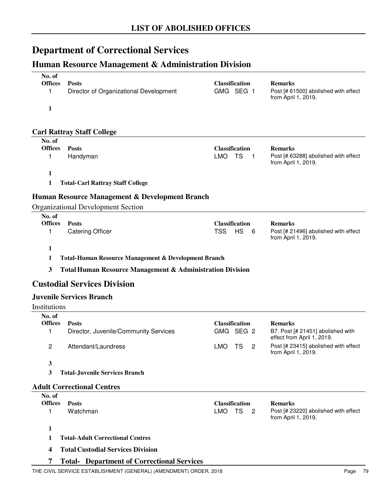# **Department of Correctional Services**

## **Human Resource Management & Administration Division**

| No. of                   |                                                                      |                                                  |                |                                                                 |
|--------------------------|----------------------------------------------------------------------|--------------------------------------------------|----------------|-----------------------------------------------------------------|
| <b>Offices</b>           | <b>Posts</b>                                                         | <b>Classification</b>                            |                | <b>Remarks</b>                                                  |
| 1                        | Director of Organizational Development                               | GMG SEG 1                                        |                | Post [# 61500] abolished with effect<br>from April 1, 2019.     |
| 1                        |                                                                      |                                                  |                |                                                                 |
|                          |                                                                      |                                                  |                |                                                                 |
|                          | <b>Carl Rattray Staff College</b>                                    |                                                  |                |                                                                 |
| No. of<br><b>Offices</b> |                                                                      |                                                  |                |                                                                 |
| 1                        | <b>Posts</b><br>Handyman                                             | <b>Classification</b><br><b>LMO</b><br><b>TS</b> | $\mathbf{1}$   | <b>Remarks</b><br>Post [# 63288] abolished with effect          |
|                          |                                                                      |                                                  |                | from April 1, 2019.                                             |
| 1                        |                                                                      |                                                  |                |                                                                 |
| $\mathbf{1}$             | <b>Total-Carl Rattray Staff College</b>                              |                                                  |                |                                                                 |
|                          | Human Resource Management & Development Branch                       |                                                  |                |                                                                 |
|                          | <b>Organizational Development Section</b>                            |                                                  |                |                                                                 |
| No. of<br><b>Offices</b> | <b>Posts</b>                                                         | <b>Classification</b>                            |                | <b>Remarks</b>                                                  |
| 1                        | <b>Catering Officer</b>                                              | <b>TSS</b><br><b>HS</b>                          | 6              | Post [# 21496] abolished with effect                            |
|                          |                                                                      |                                                  |                | from April 1, 2019.                                             |
| 1                        |                                                                      |                                                  |                |                                                                 |
|                          |                                                                      |                                                  |                |                                                                 |
| 1                        | Total-Human Resource Management & Development Branch                 |                                                  |                |                                                                 |
| 3                        | <b>Total Human Resource Management &amp; Administration Division</b> |                                                  |                |                                                                 |
|                          | <b>Custodial Services Division</b>                                   |                                                  |                |                                                                 |
|                          | <b>Juvenile Services Branch</b>                                      |                                                  |                |                                                                 |
| Institutions             |                                                                      |                                                  |                |                                                                 |
| No. of                   |                                                                      |                                                  |                |                                                                 |
| <b>Offices</b>           | <b>Posts</b>                                                         | <b>Classification</b>                            |                | <b>Remarks</b>                                                  |
| 1                        | Director, Juvenile/Community Services                                | GMG SEG 2                                        |                | B7. Post [# 21451] abolished with<br>effect from April 1, 2019. |
| 2                        | Attendant/Laundress                                                  | LMO TS                                           | $\overline{2}$ | Post [# 23415] abolished with effect                            |
| 3                        |                                                                      |                                                  |                | from April 1, 2019.                                             |
| 3                        | <b>Total-Juvenile Services Branch</b>                                |                                                  |                |                                                                 |
|                          | <b>Adult Correctional Centres</b>                                    |                                                  |                |                                                                 |
| No. of                   |                                                                      |                                                  |                |                                                                 |
| <b>Offices</b>           | <b>Posts</b>                                                         | <b>Classification</b>                            |                | <b>Remarks</b>                                                  |
| 1                        | Watchman                                                             | LMO TS                                           | $\overline{2}$ | Post [# 23220] abolished with effect<br>from April 1, 2019.     |
| 1                        |                                                                      |                                                  |                |                                                                 |
| 1                        | <b>Total-Adult Correctional Centres</b>                              |                                                  |                |                                                                 |

**7 Total- Department of Correctional Services**